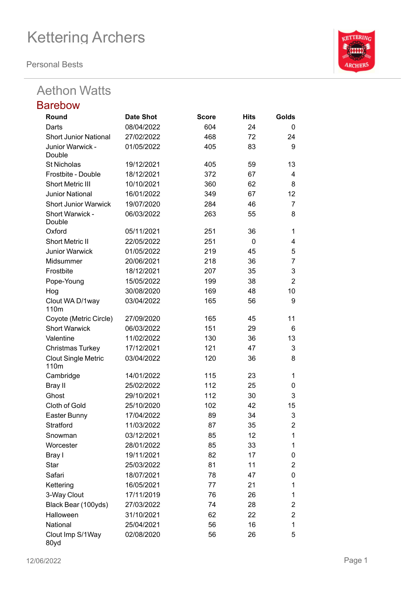**Personal Bests**

## Aethon Watts

| <b>Barebow</b>                                 |                  |              |      |                         |
|------------------------------------------------|------------------|--------------|------|-------------------------|
| Round                                          | <b>Date Shot</b> | <b>Score</b> | Hits | Golds                   |
| Darts                                          | 08/04/2022       | 604          | 24   | 0                       |
| <b>Short Junior National</b>                   | 27/02/2022       | 468          | 72   | 24                      |
| Junior Warwick -<br>Double                     | 01/05/2022       | 405          | 83   | 9                       |
| <b>St Nicholas</b>                             | 19/12/2021       | 405          | 59   | 13                      |
| Frostbite - Double                             | 18/12/2021       | 372          | 67   | 4                       |
| <b>Short Metric III</b>                        | 10/10/2021       | 360          | 62   | 8                       |
| <b>Junior National</b>                         | 16/01/2022       | 349          | 67   | 12                      |
| <b>Short Junior Warwick</b>                    | 19/07/2020       | 284          | 46   | $\overline{7}$          |
| Short Warwick -<br>Double                      | 06/03/2022       | 263          | 55   | 8                       |
| Oxford                                         | 05/11/2021       | 251          | 36   | $\mathbf 1$             |
| <b>Short Metric II</b>                         | 22/05/2022       | 251          | 0    | 4                       |
| <b>Junior Warwick</b>                          | 01/05/2022       | 219          | 45   | 5                       |
| Midsummer                                      | 20/06/2021       | 218          | 36   | $\overline{7}$          |
| Frostbite                                      | 18/12/2021       | 207          | 35   | 3                       |
| Pope-Young                                     | 15/05/2022       | 199          | 38   | $\overline{2}$          |
| Hog                                            | 30/08/2020       | 169          | 48   | 10                      |
| Clout WA D/1way<br>110m                        | 03/04/2022       | 165          | 56   | 9                       |
| Coyote (Metric Circle)                         | 27/09/2020       | 165          | 45   | 11                      |
| <b>Short Warwick</b>                           | 06/03/2022       | 151          | 29   | 6                       |
| Valentine                                      | 11/02/2022       | 130          | 36   | 13                      |
| <b>Christmas Turkey</b>                        | 17/12/2021       | 121          | 47   | 3                       |
| <b>Clout Single Metric</b><br>110 <sub>m</sub> | 03/04/2022       | 120          | 36   | 8                       |
| Cambridge                                      | 14/01/2022       | 115          | 23   | $\mathbf 1$             |
| Bray II                                        | 25/02/2022       | 112          | 25   | 0                       |
| Ghost                                          | 29/10/2021       | 112          | 30   | 3                       |
| <b>Cloth of Gold</b>                           | 25/10/2020       | 102          | 42   | 15                      |
| Easter Bunny                                   | 17/04/2022       | 89           | 34   | 3                       |
| Stratford                                      | 11/03/2022       | 87           | 35   | $\overline{c}$          |
| Snowman                                        | 03/12/2021       | 85           | 12   | 1                       |
| Worcester                                      | 28/01/2022       | 85           | 33   | 1                       |
| Bray I                                         | 19/11/2021       | 82           | 17   | 0                       |
| <b>Star</b>                                    | 25/03/2022       | 81           | 11   | $\overline{\mathbf{c}}$ |
| Safari                                         | 18/07/2021       | 78           | 47   | 0                       |
| Kettering                                      | 16/05/2021       | 77           | 21   | 1                       |
| 3-Way Clout                                    | 17/11/2019       | 76           | 26   | 1                       |
| Black Bear (100yds)                            | 27/03/2022       | 74           | 28   | 2                       |
| Halloween                                      | 31/10/2021       | 62           | 22   | 2                       |
| National                                       | 25/04/2021       | 56           | 16   | 1                       |
| Clout Imp S/1Way                               | 02/08/2020       | 56           | 26   | 5                       |



80yd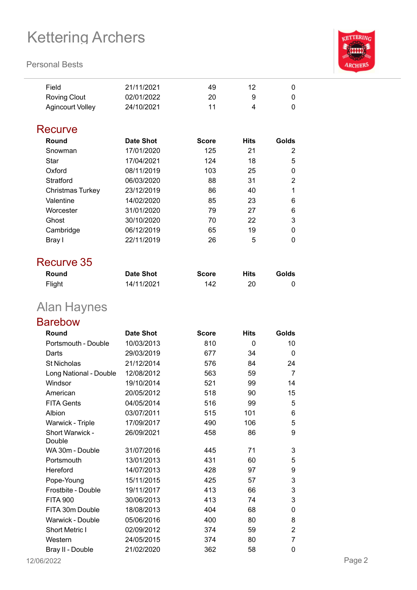#### **Personal Bests**



| Field                   | 21/11/2021 | 49 | 12 |   |
|-------------------------|------------|----|----|---|
| <b>Roving Clout</b>     | 02/01/2022 | 20 | 9  | 0 |
| <b>Agincourt Volley</b> | 24/10/2021 | 11 | 4  |   |

### **Recurve**

| Round            | <b>Date Shot</b> | <b>Score</b> | <b>Hits</b> | Golds |
|------------------|------------------|--------------|-------------|-------|
| Snowman          | 17/01/2020       | 125          | 21          | 2     |
| Star             | 17/04/2021       | 124          | 18          | 5     |
| Oxford           | 08/11/2019       | 103          | 25          | 0     |
| Stratford        | 06/03/2020       | 88           | 31          | 2     |
| Christmas Turkey | 23/12/2019       | 86           | 40          | 1     |
| Valentine        | 14/02/2020       | 85           | 23          | 6     |
| Worcester        | 31/01/2020       | 79           | 27          | 6     |
| Ghost            | 30/10/2020       | 70           | 22          | 3     |
| Cambridge        | 06/12/2019       | 65           | 19          | 0     |
| Bray I           | 22/11/2019       | 26           | 5           | 0     |

### Recurve 35

| Round  | <b>Date Shot</b> | <b>Score</b> | <b>Hits</b> | Golds |
|--------|------------------|--------------|-------------|-------|
| Flight | 14/11/2021       | 142          | 20          |       |

## Alan Haynes

### Barebow

| Round                     | <b>Date Shot</b> | <b>Score</b> | <b>Hits</b> | Golds          |
|---------------------------|------------------|--------------|-------------|----------------|
| Portsmouth - Double       | 10/03/2013       | 810          | 0           | 10             |
| Darts                     | 29/03/2019       | 677          | 34          | 0              |
| <b>St Nicholas</b>        | 21/12/2014       | 576          | 84          | 24             |
| Long National - Double    | 12/08/2012       | 563          | 59          | $\overline{7}$ |
| Windsor                   | 19/10/2014       | 521          | 99          | 14             |
| American                  | 20/05/2012       | 518          | 90          | 15             |
| <b>FITA Gents</b>         | 04/05/2014       | 516          | 99          | 5              |
| Albion                    | 03/07/2011       | 515          | 101         | 6              |
| Warwick - Triple          | 17/09/2017       | 490          | 106         | 5              |
| Short Warwick -<br>Double | 26/09/2021       | 458          | 86          | 9              |
| WA 30m - Double           | 31/07/2016       | 445          | 71          | 3              |
| Portsmouth                | 13/01/2013       | 431          | 60          | 5              |
| Hereford                  | 14/07/2013       | 428          | 97          | 9              |
| Pope-Young                | 15/11/2015       | 425          | 57          | 3              |
| Frostbite - Double        | 19/11/2017       | 413          | 66          | 3              |
| <b>FITA 900</b>           | 30/06/2013       | 413          | 74          | 3              |
| FITA 30m Double           | 18/08/2013       | 404          | 68          | 0              |
| <b>Warwick - Double</b>   | 05/06/2016       | 400          | 80          | 8              |
| <b>Short Metric I</b>     | 02/09/2012       | 374          | 59          | $\overline{2}$ |
| Western                   | 24/05/2015       | 374          | 80          | $\overline{7}$ |
| Bray II - Double          | 21/02/2020       | 362          | 58          | 0              |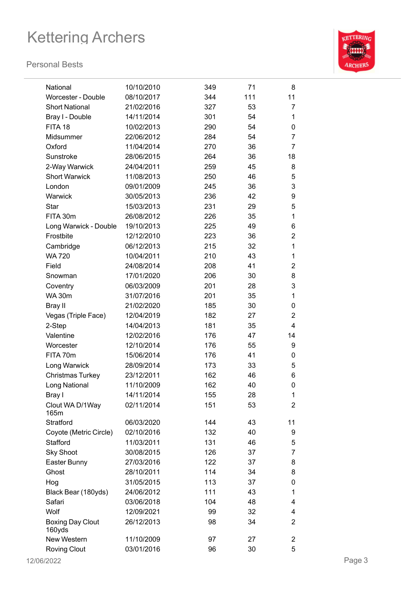

| National                | 10/10/2010 | 349 | 71  | 8              |
|-------------------------|------------|-----|-----|----------------|
| Worcester - Double      | 08/10/2017 | 344 | 111 | 11             |
| <b>Short National</b>   | 21/02/2016 | 327 | 53  | 7              |
| Bray I - Double         | 14/11/2014 | 301 | 54  | 1              |
| FITA 18                 | 10/02/2013 | 290 | 54  | 0              |
| Midsummer               | 22/06/2012 | 284 | 54  | 7              |
| Oxford                  | 11/04/2014 | 270 | 36  | 7              |
| Sunstroke               | 28/06/2015 | 264 | 36  | 18             |
| 2-Way Warwick           | 24/04/2011 | 259 | 45  | 8              |
| <b>Short Warwick</b>    | 11/08/2013 | 250 | 46  | 5              |
| London                  | 09/01/2009 | 245 | 36  | 3              |
| Warwick                 | 30/05/2013 | 236 | 42  | 9              |
| Star                    | 15/03/2013 | 231 | 29  | 5              |
| FITA 30m                | 26/08/2012 | 226 | 35  | 1              |
| Long Warwick - Double   | 19/10/2013 | 225 | 49  | 6              |
| Frostbite               | 12/12/2010 | 223 | 36  | $\overline{2}$ |
| Cambridge               | 06/12/2013 | 215 | 32  | 1              |
| <b>WA 720</b>           | 10/04/2011 | 210 | 43  | 1              |
| Field                   | 24/08/2014 | 208 | 41  | $\overline{2}$ |
| Snowman                 | 17/01/2020 | 206 | 30  | 8              |
| Coventry                | 06/03/2009 | 201 | 28  | 3              |
| <b>WA 30m</b>           | 31/07/2016 | 201 | 35  | 1              |
| Bray II                 | 21/02/2020 | 185 | 30  | 0              |
| Vegas (Triple Face)     | 12/04/2019 | 182 | 27  | 2              |
| 2-Step                  | 14/04/2013 | 181 | 35  | 4              |
| Valentine               | 12/02/2016 | 176 | 47  | 14             |
| Worcester               | 12/10/2014 | 176 | 55  | 9              |
| FITA 70m                | 15/06/2014 | 176 | 41  | 0              |
| Long Warwick            | 28/09/2014 | 173 | 33  | 5              |
| <b>Christmas Turkey</b> | 23/12/2011 | 162 | 46  | 6              |
| Long National           | 11/10/2009 | 162 | 40  | 0              |
| Bray I                  | 14/11/2014 | 155 | 28  | $\mathbf{1}$   |
| Clout WA D/1Way         | 02/11/2014 | 151 | 53  | 2              |
| 165m                    |            |     |     |                |
| Stratford               | 06/03/2020 | 144 | 43  | 11             |
| Coyote (Metric Circle)  | 02/10/2016 | 132 | 40  | 9              |
| Stafford                | 11/03/2011 | 131 | 46  | 5              |
| <b>Sky Shoot</b>        | 30/08/2015 | 126 | 37  | 7              |
| Easter Bunny            | 27/03/2016 | 122 | 37  | 8              |
| Ghost                   | 28/10/2011 | 114 | 34  | 8              |
| Hog                     | 31/05/2015 | 113 | 37  | 0              |
| Black Bear (180yds)     | 24/06/2012 | 111 | 43  | 1              |
| Safari                  | 03/06/2018 | 104 | 48  | 4              |
| Wolf                    | 12/09/2021 | 99  | 32  | 4              |
| <b>Boxing Day Clout</b> | 26/12/2013 | 98  | 34  | $\overline{2}$ |
| 160yds                  |            |     |     |                |
| New Western             | 11/10/2009 | 97  | 27  | 2              |
| <b>Roving Clout</b>     | 03/01/2016 | 96  | 30  | 5              |
|                         |            |     |     |                |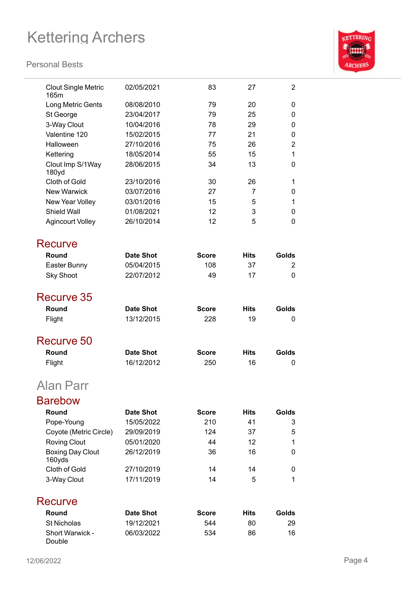

| <b>Clout Single Metric</b><br>165m | 02/05/2021       | 83           | 27          | 2              |
|------------------------------------|------------------|--------------|-------------|----------------|
| Long Metric Gents                  | 08/08/2010       | 79           | 20          | 0              |
| St George                          | 23/04/2017       | 79           | 25          | 0              |
| 3-Way Clout                        | 10/04/2016       | 78           | 29          | 0              |
| Valentine 120                      | 15/02/2015       | 77           | 21          | 0              |
| Halloween                          | 27/10/2016       | 75           | 26          | $\overline{2}$ |
| Kettering                          | 18/05/2014       | 55           | 15          | $\mathbf{1}$   |
| Clout Imp S/1Way<br>180yd          | 28/06/2015       | 34           | 13          | 0              |
| Cloth of Gold                      | 23/10/2016       | 30           | 26          | 1              |
| <b>New Warwick</b>                 | 03/07/2016       | 27           | 7           | 0              |
| New Year Volley                    | 03/01/2016       | 15           | 5           | 1              |
| <b>Shield Wall</b>                 | 01/08/2021       | 12           | 3           | 0              |
| <b>Agincourt Volley</b>            | 26/10/2014       | 12           | 5           | 0              |
| Recurve                            |                  |              |             |                |
| Round                              | <b>Date Shot</b> | <b>Score</b> | <b>Hits</b> | Golds          |
| Easter Bunny                       | 05/04/2015       | 108          | 37          | 2              |
| <b>Sky Shoot</b>                   | 22/07/2012       | 49           | 17          | 0              |
| Recurve 35                         |                  |              |             |                |
| Round                              | <b>Date Shot</b> | <b>Score</b> | <b>Hits</b> | Golds          |
| Flight                             | 13/12/2015       | 228          | 19          | 0              |
| Recurve 50                         |                  |              |             |                |
| Round                              | Date Shot        | <b>Score</b> | <b>Hits</b> | Golds          |
| Flight                             | 16/12/2012       | 250          | 16          | 0              |
| Alan Parr                          |                  |              |             |                |
| <b>Barebow</b>                     |                  |              |             |                |
| Round                              | <b>Date Shot</b> | <b>Score</b> | <b>Hits</b> | Golds          |
| Pope-Young                         | 15/05/2022       | 210          | 41          | 3              |
| Coyote (Metric Circle)             | 29/09/2019       | 124          | 37          | 5              |
| <b>Roving Clout</b>                | 05/01/2020       | 44           | 12          | 1              |
| <b>Boxing Day Clout</b>            | 26/12/2019       | 36           | 16          | 0              |
| 160yds                             |                  |              |             |                |
| Cloth of Gold                      | 27/10/2019       | 14           | 14          | 0              |
| 3-Way Clout                        | 17/11/2019       | 14           | 5           | 1              |
| Recurve                            |                  |              |             |                |
| Round                              | <b>Date Shot</b> | <b>Score</b> | <b>Hits</b> | Golds          |
| <b>St Nicholas</b>                 | 19/12/2021       | 544          | 80          | 29             |
| Short Warwick -<br>Double          | 06/03/2022       | 534          | 86          | 16             |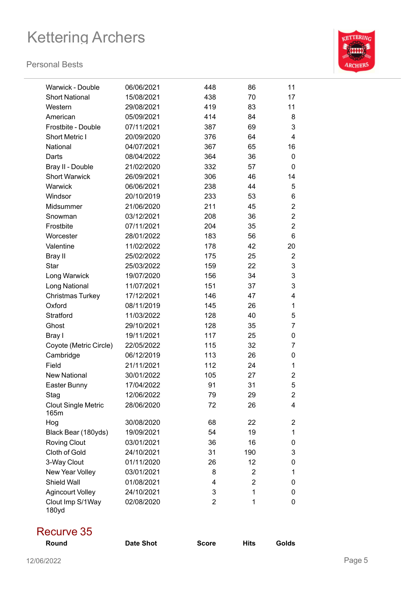#### **Personal Bests**



| Warwick - Double                   | 06/06/2021 | 448 | 86             | 11             |
|------------------------------------|------------|-----|----------------|----------------|
| <b>Short National</b>              | 15/08/2021 | 438 | 70             | 17             |
| Western                            | 29/08/2021 | 419 | 83             | 11             |
| American                           | 05/09/2021 | 414 | 84             | 8              |
| Frostbite - Double                 | 07/11/2021 | 387 | 69             | 3              |
| Short Metric I                     | 20/09/2020 | 376 | 64             | $\overline{4}$ |
| National                           | 04/07/2021 | 367 | 65             | 16             |
| Darts                              | 08/04/2022 | 364 | 36             | 0              |
| Bray II - Double                   | 21/02/2020 | 332 | 57             | 0              |
| <b>Short Warwick</b>               | 26/09/2021 | 306 | 46             | 14             |
| Warwick                            | 06/06/2021 | 238 | 44             | 5              |
| Windsor                            | 20/10/2019 | 233 | 53             | 6              |
| Midsummer                          | 21/06/2020 | 211 | 45             | $\overline{2}$ |
| Snowman                            | 03/12/2021 | 208 | 36             | $\overline{2}$ |
| Frostbite                          | 07/11/2021 | 204 | 35             | $\overline{2}$ |
| Worcester                          | 28/01/2022 | 183 | 56             | 6              |
| Valentine                          | 11/02/2022 | 178 | 42             | 20             |
| Bray II                            | 25/02/2022 | 175 | 25             | $\overline{2}$ |
| Star                               | 25/03/2022 | 159 | 22             | 3              |
| Long Warwick                       | 19/07/2020 | 156 | 34             | 3              |
| Long National                      | 11/07/2021 | 151 | 37             | 3              |
| <b>Christmas Turkey</b>            | 17/12/2021 | 146 | 47             | 4              |
| Oxford                             | 08/11/2019 | 145 | 26             | 1              |
| Stratford                          | 11/03/2022 | 128 | 40             | 5              |
| Ghost                              | 29/10/2021 | 128 | 35             | 7              |
| Bray I                             | 19/11/2021 | 117 | 25             | 0              |
| Coyote (Metric Circle)             | 22/05/2022 | 115 | 32             | 7              |
| Cambridge                          | 06/12/2019 | 113 | 26             | 0              |
| Field                              | 21/11/2021 | 112 | 24             | 1              |
| <b>New National</b>                | 30/01/2022 | 105 | 27             | 2              |
| Easter Bunny                       | 17/04/2022 | 91  | 31             | 5              |
| Stag                               | 12/06/2022 | 79  | 29             | $\overline{c}$ |
| <b>Clout Single Metric</b><br>165m | 28/06/2020 | 72  | 26             | 4              |
| Hog                                | 30/08/2020 | 68  | 22             | 2              |
| Black Bear (180yds)                | 19/09/2021 | 54  | 19             | 1              |
| <b>Roving Clout</b>                | 03/01/2021 | 36  | 16             | 0              |
| Cloth of Gold                      | 24/10/2021 | 31  | 190            | 3              |
| 3-Way Clout                        | 01/11/2020 | 26  | 12             | 0              |
| New Year Volley                    | 03/01/2021 | 8   | 2              | 1              |
| Shield Wall                        | 01/08/2021 | 4   | $\overline{2}$ | 0              |
| <b>Agincourt Volley</b>            | 24/10/2021 | 3   | 1              | 0              |
| Clout Imp S/1Way<br>180yd          | 02/08/2020 | 2   | 1              | 0              |

### Recurve 35

| $\sim$ $\sim$ $\sim$ $\sim$ $\sim$ |                  |              |             |       |
|------------------------------------|------------------|--------------|-------------|-------|
| Round                              | <b>Date Shot</b> | <b>Score</b> | <b>Hits</b> | Golds |
|                                    |                  |              |             |       |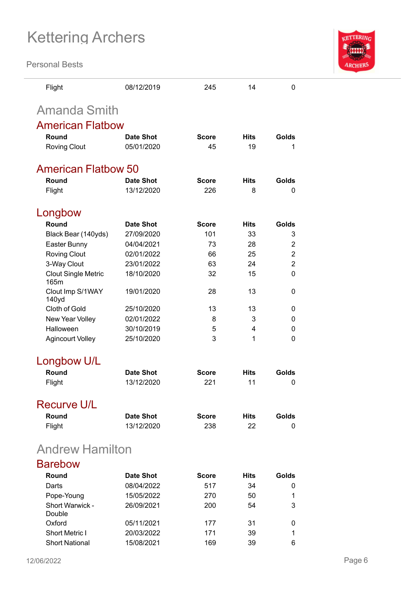

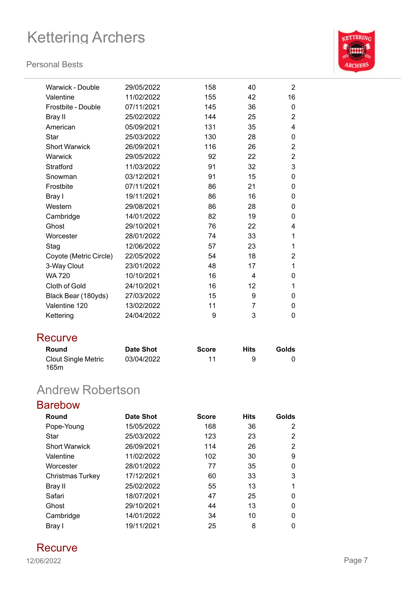#### **Personal Bests**



| Warwick - Double       | 29/05/2022 | 158 | 40 | $\overline{2}$ |
|------------------------|------------|-----|----|----------------|
| Valentine              | 11/02/2022 | 155 | 42 | 16             |
| Frostbite - Double     | 07/11/2021 | 145 | 36 | $\Omega$       |
| Bray II                | 25/02/2022 | 144 | 25 | $\overline{2}$ |
| American               | 05/09/2021 | 131 | 35 | 4              |
| Star                   | 25/03/2022 | 130 | 28 | 0              |
| <b>Short Warwick</b>   | 26/09/2021 | 116 | 26 | $\overline{2}$ |
| Warwick                | 29/05/2022 | 92  | 22 | $\overline{2}$ |
| Stratford              | 11/03/2022 | 91  | 32 | 3              |
| Snowman                | 03/12/2021 | 91  | 15 | 0              |
| Frostbite              | 07/11/2021 | 86  | 21 | 0              |
| Bray I                 | 19/11/2021 | 86  | 16 | 0              |
| Western                | 29/08/2021 | 86  | 28 | 0              |
| Cambridge              | 14/01/2022 | 82  | 19 | 0              |
| Ghost                  | 29/10/2021 | 76  | 22 | 4              |
| Worcester              | 28/01/2022 | 74  | 33 | 1              |
| Stag                   | 12/06/2022 | 57  | 23 | 1              |
| Coyote (Metric Circle) | 22/05/2022 | 54  | 18 | $\overline{2}$ |
| 3-Way Clout            | 23/01/2022 | 48  | 17 | 1              |
| <b>WA 720</b>          | 10/10/2021 | 16  | 4  | 0              |
| Cloth of Gold          | 24/10/2021 | 16  | 12 | 1              |
| Black Bear (180yds)    | 27/03/2022 | 15  | 9  | 0              |
| Valentine 120          | 13/02/2022 | 11  | 7  | 0              |
| Kettering              | 24/04/2022 | 9   | 3  | 0              |
|                        |            |     |    |                |

### **Recurve**

| Round                       | <b>Date Shot</b> | <b>Score</b> | Hits | <b>Golds</b> |
|-----------------------------|------------------|--------------|------|--------------|
| Clout Single Metric<br>165m | 03/04/2022       | 11           |      |              |

## Andrew Robertson

| <b>Barebow</b>       |            |              |             |       |
|----------------------|------------|--------------|-------------|-------|
| Round                | Date Shot  | <b>Score</b> | <b>Hits</b> | Golds |
| Pope-Young           | 15/05/2022 | 168          | 36          | 2     |
| Star                 | 25/03/2022 | 123          | 23          | 2     |
| <b>Short Warwick</b> | 26/09/2021 | 114          | 26          | 2     |
| Valentine            | 11/02/2022 | 102          | 30          | 9     |
| Worcester            | 28/01/2022 | 77           | 35          | 0     |
| Christmas Turkey     | 17/12/2021 | 60           | 33          | 3     |
| Bray II              | 25/02/2022 | 55           | 13          | 1     |
| Safari               | 18/07/2021 | 47           | 25          | 0     |
| Ghost                | 29/10/2021 | 44           | 13          | 0     |
| Cambridge            | 14/01/2022 | 34           | 10          | 0     |
| Bray I               | 19/11/2021 | 25           | 8           | 0     |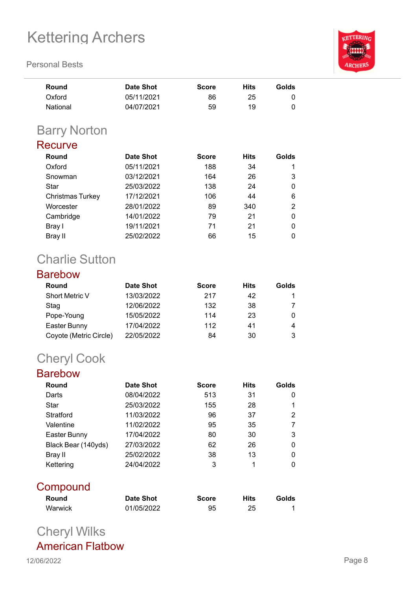**Personal Bests**

| <b>KETTERING</b> |
|------------------|
|                  |
|                  |
|                  |
|                  |
| <b>ARCHERS</b>   |
|                  |

| Round    | Date Shot  | <b>Score</b> | Hits | Golds |
|----------|------------|--------------|------|-------|
| Oxford   | 05/11/2021 | 86           | 25   | O     |
| National | 04/07/2021 | 59           | 19   | 0     |

## Barry Norton

### **Recurve**

| Round            | <b>Date Shot</b> | <b>Score</b> | <b>Hits</b> | Golds |
|------------------|------------------|--------------|-------------|-------|
| Oxford           | 05/11/2021       | 188          | 34          |       |
| Snowman          | 03/12/2021       | 164          | 26          | 3     |
| Star             | 25/03/2022       | 138          | 24          | 0     |
| Christmas Turkey | 17/12/2021       | 106          | 44          | 6     |
| Worcester        | 28/01/2022       | 89           | 340         | 2     |
| Cambridge        | 14/01/2022       | 79           | 21          | 0     |
| Bray I           | 19/11/2021       | 71           | 21          | 0     |
| Bray II          | 25/02/2022       | 66           | 15          |       |

## Charlie Sutton

### Barebow

| Round                  | Date Shot  | <b>Score</b> | <b>Hits</b> | Golds |
|------------------------|------------|--------------|-------------|-------|
| Short Metric V         | 13/03/2022 | 217          | 42          |       |
| Stag                   | 12/06/2022 | 132          | 38          |       |
| Pope-Young             | 15/05/2022 | 114          | 23          |       |
| Easter Bunny           | 17/04/2022 | 112          | 41          | 4     |
| Coyote (Metric Circle) | 22/05/2022 | 84           | 30          |       |

## Cheryl Cook

### Barebow

| Round               | <b>Date Shot</b> | <b>Score</b> | <b>Hits</b> | Golds |
|---------------------|------------------|--------------|-------------|-------|
| Darts               | 08/04/2022       | 513          | 31          | 0     |
| Star                | 25/03/2022       | 155          | 28          |       |
| Stratford           | 11/03/2022       | 96           | 37          | 2     |
| Valentine           | 11/02/2022       | 95           | 35          |       |
| Easter Bunny        | 17/04/2022       | 80           | 30          | 3     |
| Black Bear (140yds) | 27/03/2022       | 62           | 26          | 0     |
| Bray II             | 25/02/2022       | 38           | 13          | 0     |
| Kettering           | 24/04/2022       | 3            | 1           | 0     |

### **Compound**

| <b>Round</b> | <b>Date Shot</b> | <b>Score</b> | <b>Hits</b> | Golds |
|--------------|------------------|--------------|-------------|-------|
| Warwick      | 01/05/2022       | 95           | 25          |       |

## Cheryl Wilks American Flatbow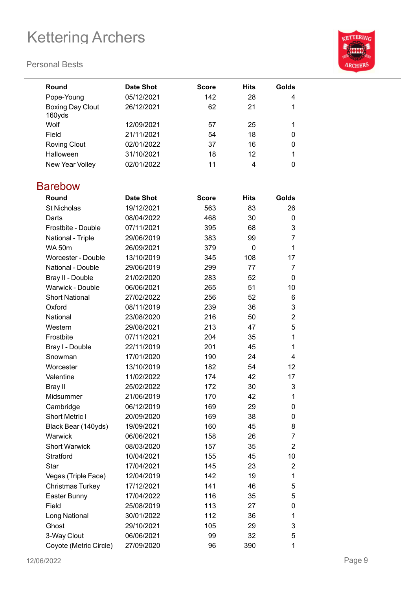#### **Personal Bests**



| Round                             | Date Shot  | <b>Score</b> | <b>Hits</b> | Golds |
|-----------------------------------|------------|--------------|-------------|-------|
| Pope-Young                        | 05/12/2021 | 142          | 28          | 4     |
| <b>Boxing Day Clout</b><br>160yds | 26/12/2021 | 62           | 21          |       |
| Wolf                              | 12/09/2021 | 57           | 25          |       |
| Field                             | 21/11/2021 | 54           | 18          |       |
| <b>Roving Clout</b>               | 02/01/2022 | 37           | 16          |       |
| Halloween                         | 31/10/2021 | 18           | 12          |       |
| New Year Volley                   | 02/01/2022 | 11           | 4           |       |

### Barebow

| Round                   | <b>Date Shot</b> | Score | <b>Hits</b> | Golds          |
|-------------------------|------------------|-------|-------------|----------------|
| <b>St Nicholas</b>      | 19/12/2021       | 563   | 83          | 26             |
| Darts                   | 08/04/2022       | 468   | 30          | 0              |
| Frostbite - Double      | 07/11/2021       | 395   | 68          | 3              |
| National - Triple       | 29/06/2019       | 383   | 99          | 7              |
| <b>WA 50m</b>           | 26/09/2021       | 379   | 0           | $\mathbf{1}$   |
| Worcester - Double      | 13/10/2019       | 345   | 108         | 17             |
| National - Double       | 29/06/2019       | 299   | 77          | $\overline{7}$ |
| Bray II - Double        | 21/02/2020       | 283   | 52          | 0              |
| Warwick - Double        | 06/06/2021       | 265   | 51          | 10             |
| <b>Short National</b>   | 27/02/2022       | 256   | 52          | 6              |
| Oxford                  | 08/11/2019       | 239   | 36          | 3              |
| National                | 23/08/2020       | 216   | 50          | $\overline{2}$ |
| Western                 | 29/08/2021       | 213   | 47          | 5              |
| Frostbite               | 07/11/2021       | 204   | 35          | $\mathbf{1}$   |
| Bray I - Double         | 22/11/2019       | 201   | 45          | $\mathbf{1}$   |
| Snowman                 | 17/01/2020       | 190   | 24          | $\overline{4}$ |
| Worcester               | 13/10/2019       | 182   | 54          | 12             |
| Valentine               | 11/02/2022       | 174   | 42          | 17             |
| Bray II                 | 25/02/2022       | 172   | 30          | 3              |
| Midsummer               | 21/06/2019       | 170   | 42          | $\mathbf{1}$   |
| Cambridge               | 06/12/2019       | 169   | 29          | 0              |
| Short Metric I          | 20/09/2020       | 169   | 38          | $\mathbf 0$    |
| Black Bear (140yds)     | 19/09/2021       | 160   | 45          | 8              |
| Warwick                 | 06/06/2021       | 158   | 26          | $\overline{7}$ |
| <b>Short Warwick</b>    | 08/03/2020       | 157   | 35          | $\overline{2}$ |
| Stratford               | 10/04/2021       | 155   | 45          | 10             |
| Star                    | 17/04/2021       | 145   | 23          | $\overline{2}$ |
| Vegas (Triple Face)     | 12/04/2019       | 142   | 19          | $\mathbf{1}$   |
| <b>Christmas Turkey</b> | 17/12/2021       | 141   | 46          | 5              |
| Easter Bunny            | 17/04/2022       | 116   | 35          | 5              |
| Field                   | 25/08/2019       | 113   | 27          | 0              |
| Long National           | 30/01/2022       | 112   | 36          | $\mathbf{1}$   |
| Ghost                   | 29/10/2021       | 105   | 29          | 3              |
| 3-Way Clout             | 06/06/2021       | 99    | 32          | 5              |
| Coyote (Metric Circle)  | 27/09/2020       | 96    | 390         | $\mathbf 1$    |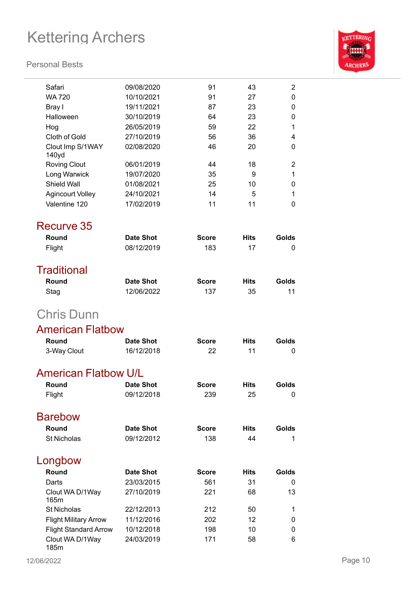

| Safari                       | 09/08/2020       | 91           | 43          | $\overline{2}$ |
|------------------------------|------------------|--------------|-------------|----------------|
| <b>WA 720</b>                | 10/10/2021       | 91           | 27          | 0              |
| Bray I                       | 19/11/2021       | 87           | 23          | 0              |
| Halloween                    | 30/10/2019       | 64           | 23          | 0              |
| Hog                          | 26/05/2019       | 59           | 22          | 1              |
| Cloth of Gold                | 27/10/2019       | 56           | 36          | 4              |
| Clout Imp S/1WAY<br>140yd    | 02/08/2020       | 46           | 20          | 0              |
| <b>Roving Clout</b>          | 06/01/2019       | 44           | 18          | 2              |
| Long Warwick                 | 19/07/2020       | 35           | 9           | 1              |
| Shield Wall                  | 01/08/2021       | 25           | 10          | 0              |
| <b>Agincourt Volley</b>      | 24/10/2021       | 14           | 5           | 1              |
| Valentine 120                | 17/02/2019       | 11           | 11          | 0              |
| Recurve 35                   |                  |              |             |                |
| Round                        | <b>Date Shot</b> | <b>Score</b> | <b>Hits</b> | Golds          |
| Flight                       | 08/12/2019       | 183          | 17          | 0              |
| <b>Traditional</b>           |                  |              |             |                |
| Round                        | <b>Date Shot</b> | <b>Score</b> | Hits        | Golds          |
| Stag                         | 12/06/2022       | 137          | 35          | 11             |
| <b>Chris Dunn</b>            |                  |              |             |                |
| <b>American Flatbow</b>      |                  |              |             |                |
| Round                        | Date Shot        | <b>Score</b> | <b>Hits</b> | Golds          |
| 3-Way Clout                  | 16/12/2018       | 22           | 11          | 0              |
| <b>American Flatbow U/L</b>  |                  |              |             |                |
| Round                        | <b>Date Shot</b> | <b>Score</b> | Hits        | Golds          |
| Flight                       | 09/12/2018       | 239          | 25          | 0              |
| <b>Barebow</b>               |                  |              |             |                |
| Round                        | <b>Date Shot</b> | <b>Score</b> | <b>Hits</b> | Golds          |
| <b>St Nicholas</b>           | 09/12/2012       | 138          | 44          | 1              |
|                              |                  |              |             |                |
| Longbow                      |                  |              |             |                |
| Round                        | <b>Date Shot</b> | <b>Score</b> | <b>Hits</b> | Golds          |
| Darts                        | 23/03/2015       | 561          | 31          | 0              |
| Clout WA D/1Way<br>165m      | 27/10/2019       | 221          | 68          | 13             |
| <b>St Nicholas</b>           | 22/12/2013       | 212          | 50          | 1              |
| <b>Flight Military Arrow</b> | 11/12/2016       | 202          | 12          | 0              |
| <b>Flight Standard Arrow</b> | 10/12/2018       | 198          | 10          | 0              |
| Clout WA D/1Way<br>185m      | 24/03/2019       | 171          | 58          | 6              |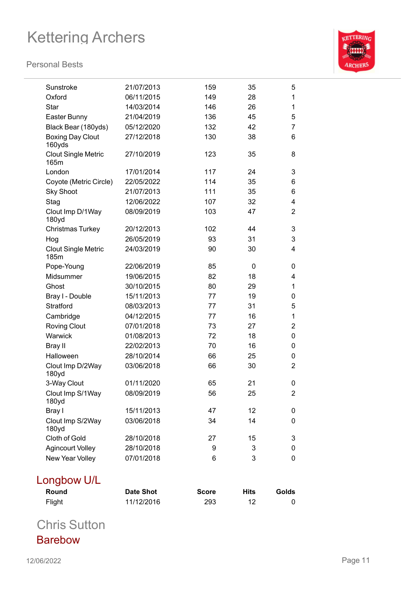#### **Personal Bests**



| $E$ liaht                          | 11/12/2016       | ממכ          | 10          |                |
|------------------------------------|------------------|--------------|-------------|----------------|
| Round                              | <b>Date Shot</b> | <b>Score</b> | <b>Hits</b> | Golds          |
| Longbow U/L                        |                  |              |             |                |
| New Year Volley                    | 07/01/2018       | 6            | 3           | 0              |
| <b>Agincourt Volley</b>            | 28/10/2018       | 9            | 3           | 0              |
| Cloth of Gold                      | 28/10/2018       | 27           | 15          | 3              |
| Clout Imp S/2Way<br>180yd          | 03/06/2018       | 34           | 14          | 0              |
| Bray I                             | 15/11/2013       | 47           | 12          | 0              |
| Clout Imp S/1Way<br>180yd          | 08/09/2019       | 56           | 25          | $\overline{2}$ |
| 3-Way Clout                        | 01/11/2020       | 65           | 21          | 0              |
| Clout Imp D/2Way<br>180yd          |                  |              |             |                |
|                                    | 03/06/2018       | 66           | 30          | $\overline{2}$ |
| <b>Bray II</b><br>Halloween        | 28/10/2014       | 66           | 25          | 0              |
|                                    | 22/02/2013       | 70           | 16          | 0              |
| Warwick                            | 01/08/2013       | 72           | 18          | 0              |
| <b>Roving Clout</b>                | 07/01/2018       | 73           | 27          | $\overline{2}$ |
| Cambridge                          | 04/12/2015       | 77           | 16          | 1              |
| Bray I - Double<br>Stratford       | 08/03/2013       | 77           | 31          | 5              |
|                                    | 15/11/2013       | 77           | 29<br>19    | 0              |
| Ghost                              | 30/10/2015       | 80           |             | 1              |
| Midsummer                          | 19/06/2015       | 82           | 18          | 4              |
| 185m<br>Pope-Young                 | 22/06/2019       | 85           | 0           | 0              |
| <b>Clout Single Metric</b>         | 24/03/2019       | 90           | 30          | $\overline{4}$ |
| Hog                                | 26/05/2019       | 93           | 31          | 3              |
| <b>Christmas Turkey</b>            | 20/12/2013       | 102          | 44          | 3              |
| Clout Imp D/1Way<br>180yd          | 08/09/2019       | 103          | 47          | $\overline{2}$ |
| Stag                               | 12/06/2022       | 107          | 32          | 4              |
| <b>Sky Shoot</b>                   | 21/07/2013       | 111          | 35          | 6              |
| Coyote (Metric Circle)             | 22/05/2022       | 114          | 35          | 6              |
| London                             | 17/01/2014       | 117          | 24          | 3              |
| <b>Clout Single Metric</b><br>165m | 27/10/2019       | 123          | 35          | 8              |
| <b>Boxing Day Clout</b><br>160yds  | 27/12/2018       | 130          | 38          | 6              |
| Black Bear (180yds)                | 05/12/2020       | 132          | 42          | 7              |
| Easter Bunny                       | 21/04/2019       | 136          | 45          | 5              |
| Star                               | 14/03/2014       | 146          | 26          | 1              |
| Oxford                             | 06/11/2015       | 149          | 28          | 1              |
| Sunstroke                          | 21/07/2013       | 159          | 35          | 5              |
|                                    |                  |              |             |                |

Flight 11/12/2016 293 12 0

Chris Sutton Barebow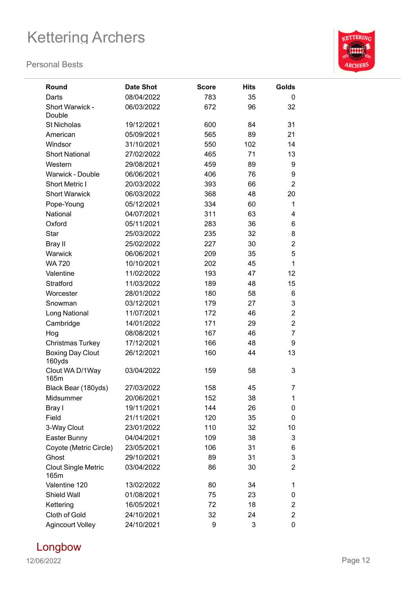

| Round                              | <b>Date Shot</b> | <b>Score</b> | <b>Hits</b> | Golds          |
|------------------------------------|------------------|--------------|-------------|----------------|
| Darts                              | 08/04/2022       | 783          | 35          | 0              |
| Short Warwick -<br>Double          | 06/03/2022       | 672          | 96          | 32             |
| <b>St Nicholas</b>                 | 19/12/2021       | 600          | 84          | 31             |
| American                           | 05/09/2021       | 565          | 89          | 21             |
| Windsor                            | 31/10/2021       | 550          | 102         | 14             |
| <b>Short National</b>              | 27/02/2022       | 465          | 71          | 13             |
| Western                            | 29/08/2021       | 459          | 89          | 9              |
| <b>Warwick - Double</b>            | 06/06/2021       | 406          | 76          | 9              |
| <b>Short Metric I</b>              | 20/03/2022       | 393          | 66          | $\overline{2}$ |
| <b>Short Warwick</b>               | 06/03/2022       | 368          | 48          | 20             |
| Pope-Young                         | 05/12/2021       | 334          | 60          | 1              |
| National                           | 04/07/2021       | 311          | 63          | 4              |
| Oxford                             | 05/11/2021       | 283          | 36          | 6              |
| <b>Star</b>                        | 25/03/2022       | 235          | 32          | 8              |
| Bray II                            | 25/02/2022       | 227          | 30          | $\overline{2}$ |
| Warwick                            | 06/06/2021       | 209          | 35          | 5              |
| <b>WA 720</b>                      | 10/10/2021       | 202          | 45          | 1              |
| Valentine                          | 11/02/2022       | 193          | 47          | 12             |
| Stratford                          | 11/03/2022       | 189          | 48          | 15             |
| Worcester                          | 28/01/2022       | 180          | 58          | 6              |
| Snowman                            | 03/12/2021       | 179          | 27          | 3              |
| Long National                      | 11/07/2021       | 172          | 46          | $\overline{2}$ |
| Cambridge                          | 14/01/2022       | 171          | 29          | $\overline{2}$ |
| Hog                                | 08/08/2021       | 167          | 46          | 7              |
| <b>Christmas Turkey</b>            | 17/12/2021       | 166          | 48          | 9              |
| <b>Boxing Day Clout</b><br>160yds  | 26/12/2021       | 160          | 44          | 13             |
| Clout WA D/1Way<br>165m            | 03/04/2022       | 159          | 58          | 3              |
| Black Bear (180yds)                | 27/03/2022       | 158          | 45          | $\overline{7}$ |
| Midsummer                          | 20/06/2021       | 152          | 38          | 1              |
| Bray I                             | 19/11/2021       | 144          | 26          | 0              |
| Field                              | 21/11/2021       | 120          | 35          | 0              |
| 3-Way Clout                        | 23/01/2022       | 110          | 32          | 10             |
| Easter Bunny                       | 04/04/2021       | 109          | 38          | 3              |
| Coyote (Metric Circle)             | 23/05/2021       | 106          | 31          | 6              |
| Ghost                              | 29/10/2021       | 89           | 31          | 3              |
| <b>Clout Single Metric</b><br>165m | 03/04/2022       | 86           | 30          | $\overline{2}$ |
| Valentine 120                      | 13/02/2022       | 80           | 34          | 1              |
| Shield Wall                        | 01/08/2021       | 75           | 23          | 0              |
| Kettering                          | 16/05/2021       | 72           | 18          | $\overline{2}$ |
| Cloth of Gold                      | 24/10/2021       | 32           | 24          | $\overline{2}$ |
| <b>Agincourt Volley</b>            | 24/10/2021       | 9            | 3           | 0              |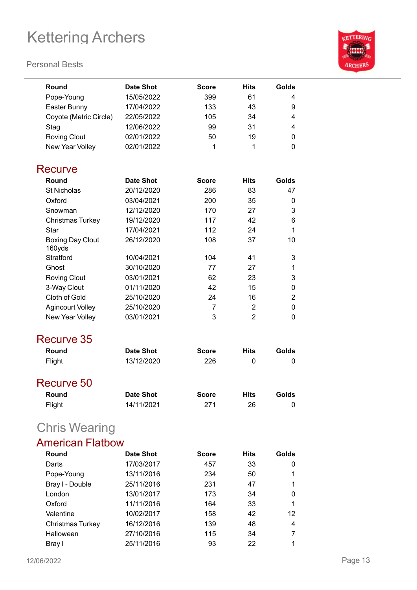| <b>KETTERING</b> |
|------------------|
|                  |
|                  |
|                  |
|                  |
| <b>ARCHERS</b>   |
|                  |
|                  |

| Round                             | <b>Date Shot</b> | <b>Score</b> | <b>Hits</b>    | Golds          |
|-----------------------------------|------------------|--------------|----------------|----------------|
| Pope-Young                        | 15/05/2022       | 399          | 61             | 4              |
| Easter Bunny                      | 17/04/2022       | 133          | 43             | 9              |
| Coyote (Metric Circle)            | 22/05/2022       | 105          | 34             | 4              |
| Stag                              | 12/06/2022       | 99           | 31             | 4              |
| <b>Roving Clout</b>               | 02/01/2022       | 50           | 19             | 0              |
| New Year Volley                   | 02/01/2022       | 1            | 1              | 0              |
| Recurve                           |                  |              |                |                |
| Round                             | <b>Date Shot</b> | <b>Score</b> | <b>Hits</b>    | Golds          |
| <b>St Nicholas</b>                | 20/12/2020       | 286          | 83             | 47             |
| Oxford                            | 03/04/2021       | 200          | 35             | 0              |
| Snowman                           | 12/12/2020       | 170          | 27             | 3              |
| Christmas Turkey                  | 19/12/2020       | 117          | 42             | 6              |
| Star                              | 17/04/2021       | 112          | 24             | 1              |
| <b>Boxing Day Clout</b><br>160yds | 26/12/2020       | 108          | 37             | 10             |
| Stratford                         | 10/04/2021       | 104          | 41             | 3              |
| Ghost                             | 30/10/2020       | 77           | 27             | 1              |
| <b>Roving Clout</b>               | 03/01/2021       | 62           | 23             | 3              |
| 3-Way Clout                       | 01/11/2020       | 42           | 15             | 0              |
| Cloth of Gold                     | 25/10/2020       | 24           | 16             | $\overline{2}$ |
| <b>Agincourt Volley</b>           | 25/10/2020       | 7            | $\overline{2}$ | 0              |
| New Year Volley                   | 03/01/2021       | 3            | $\overline{2}$ | 0              |
| Recurve 35                        |                  |              |                |                |
| Round                             | <b>Date Shot</b> | <b>Score</b> | <b>Hits</b>    | Golds          |
| Flight                            | 13/12/2020       | 226          | 0              | 0              |
| Recurve 50                        |                  |              |                |                |
| Round                             | <b>Date Shot</b> | <b>Score</b> | <b>Hits</b>    | Golds          |
| Flight                            | 14/11/2021       | 271          | 26             | 0              |
| <b>Chris Wearing</b>              |                  |              |                |                |
| <b>American Flatbow</b>           |                  |              |                |                |
| Round                             | <b>Date Shot</b> | <b>Score</b> | Hits           | Golds          |
| Darts                             | 17/03/2017       | 457          | 33             | 0              |
| Pope-Young                        | 13/11/2016       | 234          | 50             | 1              |
| Bray I - Double                   | 25/11/2016       | 231          | 47             | 1              |
| London                            | 13/01/2017       | 173          | 34             | 0              |
| Oxford                            | 11/11/2016       | 164          | 33             | 1              |
| Valentine                         | 10/02/2017       | 158          | 42             | 12             |
| Christmas Turkey                  | 16/12/2016       | 139          | 48             | 4              |
| Halloween                         | 27/10/2016       | 115          | 34             | 7              |
| Bray I                            | 25/11/2016       | 93           | 22             | 1              |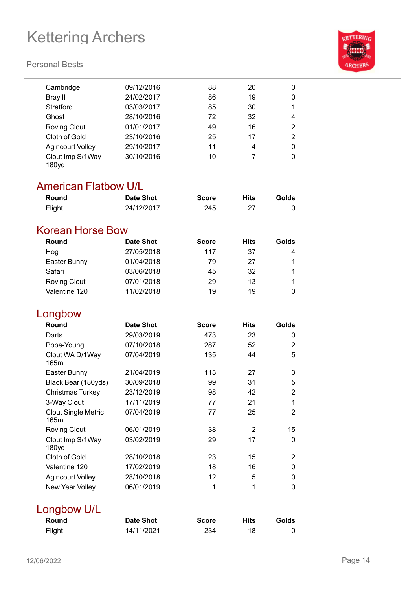#### **Personal Bests**



### American Flatbow U/L

| Round  | Date Shot  | <b>Score</b> | Hits | Golds |
|--------|------------|--------------|------|-------|
| Flight | 24/12/2017 | 245          |      |       |

### Korean Horse Bow

| Round               | Date Shot  | <b>Score</b> | <b>Hits</b> | Golds |
|---------------------|------------|--------------|-------------|-------|
| Hog                 | 27/05/2018 | 117          | 37          | 4     |
| Easter Bunny        | 01/04/2018 | 79           | 27          |       |
| Safari              | 03/06/2018 | 45           | 32          |       |
| <b>Roving Clout</b> | 07/01/2018 | 29           | 13          |       |
| Valentine 120       | 11/02/2018 | 19           | 19          |       |

### Longbow

| Round                              | <b>Date Shot</b> | <b>Score</b> | <b>Hits</b> | Golds |
|------------------------------------|------------------|--------------|-------------|-------|
| Darts                              | 29/03/2019       | 473          | 23          | 0     |
| Pope-Young                         | 07/10/2018       | 287          | 52          | 2     |
| Clout WA D/1Way<br>165m            | 07/04/2019       | 135          | 44          | 5     |
| Easter Bunny                       | 21/04/2019       | 113          | 27          | 3     |
| Black Bear (180yds)                | 30/09/2018       | 99           | 31          | 5     |
| <b>Christmas Turkey</b>            | 23/12/2019       | 98           | 42          | 2     |
| 3-Way Clout                        | 17/11/2019       | 77           | 21          | 1     |
| <b>Clout Single Metric</b><br>165m | 07/04/2019       | 77           | 25          | 2     |
| <b>Roving Clout</b>                | 06/01/2019       | 38           | 2           | 15    |
| Clout Imp S/1Way<br>180yd          | 03/02/2019       | 29           | 17          | 0     |
| Cloth of Gold                      | 28/10/2018       | 23           | 15          | 2     |
| Valentine 120                      | 17/02/2019       | 18           | 16          | 0     |
| <b>Agincourt Volley</b>            | 28/10/2018       | 12           | 5           | 0     |
| New Year Volley                    | 06/01/2019       | 1            | 1           | 0     |

### Longbow U/L

| Round  | <b>Date Shot</b> | <b>Score</b> | <b>Hits</b> | Golds |
|--------|------------------|--------------|-------------|-------|
| Flight | 14/11/2021       | 234          |             |       |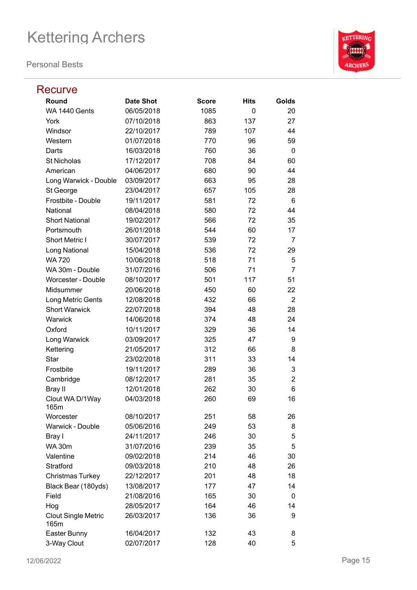| <b>Recurve</b>                     |                  |              |             |                |
|------------------------------------|------------------|--------------|-------------|----------------|
| Round                              | <b>Date Shot</b> | <b>Score</b> | <b>Hits</b> | Golds          |
| WA 1440 Gents                      | 06/05/2018       | 1085         | 0           | 20             |
| York                               | 07/10/2018       | 863          | 137         | 27             |
| Windsor                            | 22/10/2017       | 789          | 107         | 44             |
| Western                            | 01/07/2018       | 770          | 96          | 59             |
| Darts                              | 16/03/2018       | 760          | 36          | 0              |
| <b>St Nicholas</b>                 | 17/12/2017       | 708          | 84          | 60             |
| American                           | 04/06/2017       | 680          | 90          | 44             |
| Long Warwick - Double              | 03/09/2017       | 663          | 95          | 28             |
| St George                          | 23/04/2017       | 657          | 105         | 28             |
| Frostbite - Double                 | 19/11/2017       | 581          | 72          | 6              |
| National                           | 08/04/2018       | 580          | 72          | 44             |
| <b>Short National</b>              | 19/02/2017       | 566          | 72          | 35             |
| Portsmouth                         | 26/01/2018       | 544          | 60          | 17             |
| <b>Short Metric I</b>              | 30/07/2017       | 539          | 72          | 7              |
| Long National                      | 15/04/2018       | 536          | 72          | 29             |
| <b>WA 720</b>                      | 10/06/2018       | 518          | 71          | 5              |
| WA 30m - Double                    | 31/07/2016       | 506          | 71          | 7              |
| Worcester - Double                 | 08/10/2017       | 501          | 117         | 51             |
| Midsummer                          | 20/06/2018       | 450          | 60          | 22             |
| Long Metric Gents                  | 12/08/2018       | 432          | 66          | $\overline{2}$ |
| <b>Short Warwick</b>               | 22/07/2018       | 394          | 48          | 28             |
| Warwick                            | 14/06/2018       | 374          | 48          | 24             |
| Oxford                             | 10/11/2017       | 329          | 36          | 14             |
| Long Warwick                       | 03/09/2017       | 325          | 47          | 9              |
| Kettering                          | 21/05/2017       | 312          | 66          | 8              |
| <b>Star</b>                        | 23/02/2018       | 311          | 33          | 14             |
| Frostbite                          | 19/11/2017       | 289          | 36          | 3              |
| Cambridge                          | 08/12/2017       | 281          | 35          | $\overline{2}$ |
| Bray II                            | 12/01/2018       | 262          | 30          | 6              |
| Clout WA D/1Way<br>165m            | 04/03/2018       | 260          | 69          | 16             |
| Worcester                          | 08/10/2017       | 251          | 58          | 26             |
| Warwick - Double                   | 05/06/2016       | 249          | 53          | 8              |
| Bray I                             | 24/11/2017       | 246          | 30          | 5              |
| <b>WA 30m</b>                      | 31/07/2016       | 239          | 35          | 5              |
| Valentine                          | 09/02/2018       | 214          | 46          | 30             |
| Stratford                          | 09/03/2018       | 210          | 48          | 26             |
| Christmas Turkey                   | 22/12/2017       | 201          | 48          | 18             |
| Black Bear (180yds)                | 13/08/2017       | 177          | 47          | 14             |
| Field                              | 21/08/2016       | 165          | 30          | 0              |
| Hog                                | 28/05/2017       | 164          | 46          | 14             |
| <b>Clout Single Metric</b><br>165m | 26/03/2017       | 136          | 36          | 9              |
| Easter Bunny                       | 16/04/2017       | 132          | 43          | 8              |
| 3-Way Clout                        | 02/07/2017       | 128          | 40          | 5              |

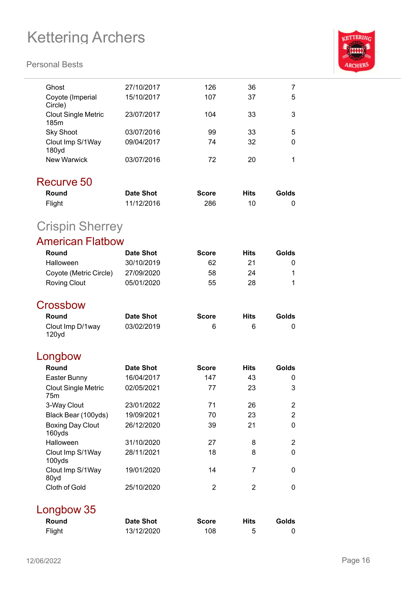

| Ghost                              | 27/10/2017       | 126            | 36             | 7              |  |
|------------------------------------|------------------|----------------|----------------|----------------|--|
| Coyote (Imperial<br>Circle)        | 15/10/2017       | 107            | 37             | 5              |  |
| <b>Clout Single Metric</b><br>185m | 23/07/2017       | 104            | 33             | 3              |  |
| <b>Sky Shoot</b>                   | 03/07/2016       | 99             | 33             | 5              |  |
| Clout Imp S/1Way<br>180yd          | 09/04/2017       | 74             | 32             | 0              |  |
| <b>New Warwick</b>                 | 03/07/2016       | 72             | 20             | 1              |  |
| Recurve 50                         |                  |                |                |                |  |
| Round                              | <b>Date Shot</b> | <b>Score</b>   | <b>Hits</b>    | Golds          |  |
| Flight                             | 11/12/2016       | 286            | 10             | 0              |  |
| <b>Crispin Sherrey</b>             |                  |                |                |                |  |
| <b>American Flatbow</b>            |                  |                |                |                |  |
| Round                              | <b>Date Shot</b> | <b>Score</b>   | <b>Hits</b>    | Golds          |  |
| Halloween                          | 30/10/2019       | 62             | 21             | 0              |  |
| Coyote (Metric Circle)             | 27/09/2020       | 58             | 24             | 1              |  |
| <b>Roving Clout</b>                | 05/01/2020       | 55             | 28             | 1              |  |
|                                    |                  |                |                |                |  |
| Crossbow                           |                  |                |                |                |  |
| Round                              | <b>Date Shot</b> | <b>Score</b>   | <b>Hits</b>    | Golds          |  |
| Clout Imp D/1way<br>120yd          | 03/02/2019       | 6              | 6              | 0              |  |
| Longbow                            |                  |                |                |                |  |
| Round                              | <b>Date Shot</b> | <b>Score</b>   | <b>Hits</b>    | Golds          |  |
| Easter Bunny                       | 16/04/2017       | 147            | 43             | 0              |  |
| <b>Clout Single Metric</b><br>75m  | 02/05/2021       | 77             | 23             | 3              |  |
| 3-Way Clout                        | 23/01/2022       | 71             | 26             | $\overline{2}$ |  |
| Black Bear (100yds)                | 19/09/2021       | 70             | 23             | $\overline{2}$ |  |
| <b>Boxing Day Clout</b><br>160yds  | 26/12/2020       | 39             | 21             | 0              |  |
| Halloween                          | 31/10/2020       | 27             | 8              | $\overline{2}$ |  |
| Clout Imp S/1Way<br>100yds         | 28/11/2021       | 18             | 8              | 0              |  |
| Clout Imp S/1Way<br>80yd           | 19/01/2020       | 14             | $\overline{7}$ | 0              |  |
| Cloth of Gold                      | 25/10/2020       | $\overline{2}$ | $\overline{2}$ | 0              |  |
| Longbow 35                         |                  |                |                |                |  |
| Round                              | <b>Date Shot</b> | <b>Score</b>   | <b>Hits</b>    | Golds          |  |
| Flight                             | 13/12/2020       | 108            | 5              | 0              |  |
|                                    |                  |                |                |                |  |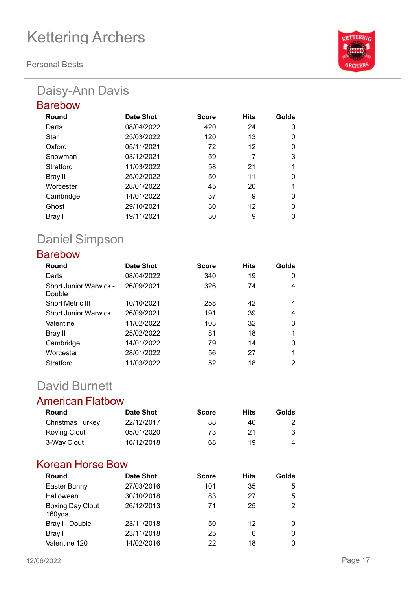**Personal Bests**

## Daisy-Ann Davis

| <b>Barebow</b> |            |              |             |          |
|----------------|------------|--------------|-------------|----------|
| Round          | Date Shot  | <b>Score</b> | <b>Hits</b> | Golds    |
| Darts          | 08/04/2022 | 420          | 24          | 0        |
| Star           | 25/03/2022 | 120          | 13          | 0        |
| Oxford         | 05/11/2021 | 72           | 12          | 0        |
| Snowman        | 03/12/2021 | 59           | 7           | 3        |
| Stratford      | 11/03/2022 | 58           | 21          | 1        |
| Bray II        | 25/02/2022 | 50           | 11          | $\Omega$ |
| Worcester      | 28/01/2022 | 45           | 20          | 1        |
| Cambridge      | 14/01/2022 | 37           | 9           | $\Omega$ |
| Ghost          | 29/10/2021 | 30           | 12          | $\Omega$ |
| Bray I         | 19/11/2021 | 30           | 9           | 0        |

## Daniel Simpson

### Barebow

| Round                            | Date Shot  | <b>Score</b> | <b>Hits</b> | Golds |
|----------------------------------|------------|--------------|-------------|-------|
| Darts                            | 08/04/2022 | 340          | 19          | 0     |
| Short Junior Warwick -<br>Double | 26/09/2021 | 326          | 74          | 4     |
| <b>Short Metric III</b>          | 10/10/2021 | 258          | 42          | 4     |
| <b>Short Junior Warwick</b>      | 26/09/2021 | 191          | 39          | 4     |
| Valentine                        | 11/02/2022 | 103          | 32          | 3     |
| Bray II                          | 25/02/2022 | 81           | 18          |       |
| Cambridge                        | 14/01/2022 | 79           | 14          | 0     |
| Worcester                        | 28/01/2022 | 56           | 27          |       |
| Stratford                        | 11/03/2022 | 52           | 18          | 2     |

## David Burnett

### American Flatbow

| Round            | Date Shot  | <b>Score</b> | Hits | Golds |
|------------------|------------|--------------|------|-------|
| Christmas Turkey | 22/12/2017 | 88           | 40   |       |
| Roving Clout     | 05/01/2020 | 73           | 21   | 3     |
| 3-Way Clout      | 16/12/2018 | 68           | 19   | 4     |

### Korean Horse Bow

| Round                      | Date Shot  | <b>Score</b> | <b>Hits</b> | Golds |
|----------------------------|------------|--------------|-------------|-------|
| Easter Bunny               | 27/03/2016 | 101          | 35          | 5     |
| Halloween                  | 30/10/2018 | 83           | 27          | 5     |
| Boxing Day Clout<br>160yds | 26/12/2013 | 71           | 25          | 2     |
| Bray I - Double            | 23/11/2018 | 50           | 12          | 0     |
| Bray I                     | 23/11/2018 | 25           | 6           | 0     |
| Valentine 120              | 14/02/2016 | 22           | 18          | 0     |

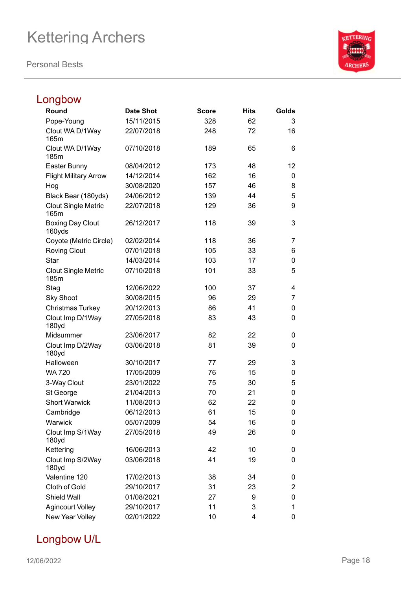**Personal Bests**



## Longbow

| Round                              | <b>Date Shot</b> | <b>Score</b> | <b>Hits</b> | Golds |
|------------------------------------|------------------|--------------|-------------|-------|
| Pope-Young                         | 15/11/2015       | 328          | 62          | 3     |
| Clout WA D/1Way<br>165m            | 22/07/2018       | 248          | 72          | 16    |
| Clout WA D/1Way<br>185m            | 07/10/2018       | 189          | 65          | 6     |
| Easter Bunny                       | 08/04/2012       | 173          | 48          | 12    |
| <b>Flight Military Arrow</b>       | 14/12/2014       | 162          | 16          | 0     |
| Hog                                | 30/08/2020       | 157          | 46          | 8     |
| Black Bear (180yds)                | 24/06/2012       | 139          | 44          | 5     |
| <b>Clout Single Metric</b><br>165m | 22/07/2018       | 129          | 36          | 9     |
| <b>Boxing Day Clout</b><br>160yds  | 26/12/2017       | 118          | 39          | 3     |
| Coyote (Metric Circle)             | 02/02/2014       | 118          | 36          | 7     |
| <b>Roving Clout</b>                | 07/01/2018       | 105          | 33          | 6     |
| <b>Star</b>                        | 14/03/2014       | 103          | 17          | 0     |
| <b>Clout Single Metric</b><br>185m | 07/10/2018       | 101          | 33          | 5     |
| Stag                               | 12/06/2022       | 100          | 37          | 4     |
| <b>Sky Shoot</b>                   | 30/08/2015       | 96           | 29          | 7     |
| Christmas Turkey                   | 20/12/2013       | 86           | 41          | 0     |
| Clout Imp D/1Way<br>180yd          | 27/05/2018       | 83           | 43          | 0     |
| Midsummer                          | 23/06/2017       | 82           | 22          | 0     |
| Clout Imp D/2Way<br>180yd          | 03/06/2018       | 81           | 39          | 0     |
| Halloween                          | 30/10/2017       | 77           | 29          | 3     |
| <b>WA 720</b>                      | 17/05/2009       | 76           | 15          | 0     |
| 3-Way Clout                        | 23/01/2022       | 75           | 30          | 5     |
| St George                          | 21/04/2013       | 70           | 21          | 0     |
| <b>Short Warwick</b>               | 11/08/2013       | 62           | 22          | 0     |
| Cambridge                          | 06/12/2013       | 61           | 15          | 0     |
| Warwick                            | 05/07/2009       | 54           | 16          | 0     |
| Clout Imp S/1Way<br>180yd          | 27/05/2018       | 49           | 26          | 0     |
| Kettering                          | 16/06/2013       | 42           | 10          | 0     |
| Clout Imp S/2Way<br>180yd          | 03/06/2018       | 41           | 19          | 0     |
| Valentine 120                      | 17/02/2013       | 38           | 34          | 0     |
| Cloth of Gold                      | 29/10/2017       | 31           | 23          | 2     |
| Shield Wall                        | 01/08/2021       | 27           | 9           | 0     |
| <b>Agincourt Volley</b>            | 29/10/2017       | 11           | 3           | 1     |
| New Year Volley                    | 02/01/2022       | 10           | 4           | 0     |

### Longbow U/L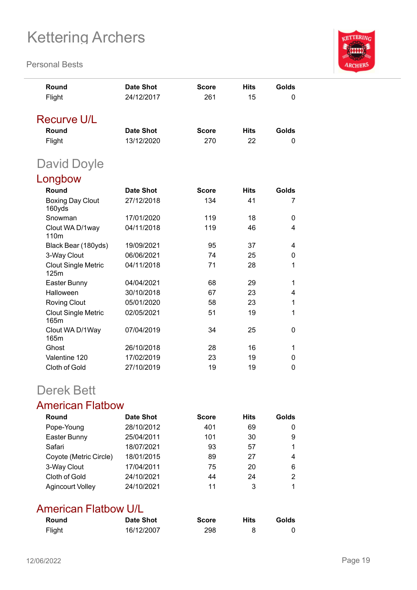**Personal Bests**



### Derek Bett

### American Flatbow

| Round                   | <b>Date Shot</b> | <b>Score</b> | <b>Hits</b> | Golds |
|-------------------------|------------------|--------------|-------------|-------|
| Pope-Young              | 28/10/2012       | 401          | 69          |       |
| Easter Bunny            | 25/04/2011       | 101          | 30          | 9     |
| Safari                  | 18/07/2021       | 93           | 57          |       |
| Coyote (Metric Circle)  | 18/01/2015       | 89           | 27          | 4     |
| 3-Way Clout             | 17/04/2011       | 75           | 20          | 6     |
| Cloth of Gold           | 24/10/2021       | 44           | 24          | 2     |
| <b>Agincourt Volley</b> | 24/10/2021       | 11           | 3           |       |

### American Flatbow U/L

| Round  | Date Shot  | <b>Score</b> | Hits | Golds |
|--------|------------|--------------|------|-------|
| Flight | 16/12/2007 | 298          |      |       |

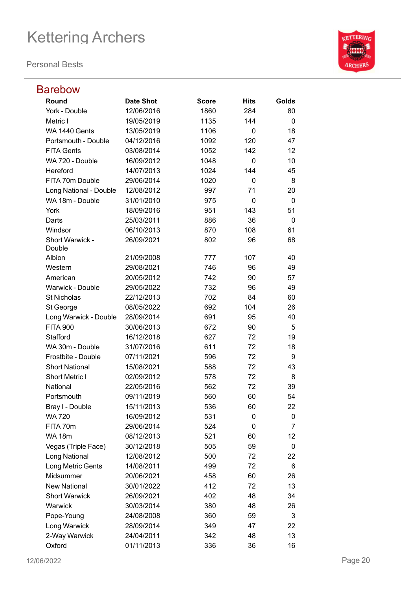

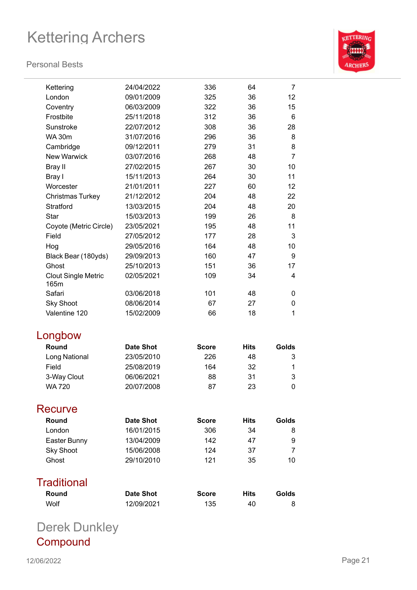#### **Personal Bests**



| Kettering                          | 24/04/2022       | 336          | 64          | 7     |
|------------------------------------|------------------|--------------|-------------|-------|
| London                             | 09/01/2009       | 325          | 36          | 12    |
| Coventry                           | 06/03/2009       | 322          | 36          | 15    |
| Frostbite                          | 25/11/2018       | 312          | 36          | 6     |
| Sunstroke                          | 22/07/2012       | 308          | 36          | 28    |
| <b>WA 30m</b>                      | 31/07/2016       | 296          | 36          | 8     |
| Cambridge                          | 09/12/2011       | 279          | 31          | 8     |
| <b>New Warwick</b>                 | 03/07/2016       | 268          | 48          | 7     |
| Bray II                            | 27/02/2015       | 267          | 30          | 10    |
| Bray I                             | 15/11/2013       | 264          | 30          | 11    |
| Worcester                          | 21/01/2011       | 227          | 60          | 12    |
| <b>Christmas Turkey</b>            | 21/12/2012       | 204          | 48          | 22    |
| <b>Stratford</b>                   | 13/03/2015       | 204          | 48          | 20    |
| Star                               | 15/03/2013       | 199          | 26          | 8     |
| Coyote (Metric Circle)             | 23/05/2021       | 195          | 48          | 11    |
| Field                              | 27/05/2012       | 177          | 28          | 3     |
| Hog                                | 29/05/2016       | 164          | 48          | 10    |
| Black Bear (180yds)                | 29/09/2013       | 160          | 47          | 9     |
| Ghost                              | 25/10/2013       | 151          | 36          | 17    |
| <b>Clout Single Metric</b><br>165m | 02/05/2021       | 109          | 34          | 4     |
| Safari                             | 03/06/2018       | 101          | 48          | 0     |
| <b>Sky Shoot</b>                   | 08/06/2014       | 67           | 27          | 0     |
| Valentine 120                      | 15/02/2009       | 66           | 18          | 1     |
| Longbow                            |                  |              |             |       |
| Round                              | <b>Date Shot</b> | <b>Score</b> | <b>Hits</b> | Golds |
| Long National                      | 23/05/2010       | 226          | 48          | 3     |
| Field                              | 25/08/2019       | 164          | 32          | 1     |
| 3-Way Clout                        | 06/06/2021       | 88           | 31          | 3     |
| <b>WA 720</b>                      | 20/07/2008       | 87           | 23          | 0     |
| Recurve                            |                  |              |             |       |
| Round                              | <b>Date Shot</b> | <b>Score</b> | Hits        | Golds |
| London                             | 16/01/2015       | 306          | 34          | 8     |
| Easter Bunny                       | 13/04/2009       | 142          | 47          | 9     |
| <b>Sky Shoot</b>                   | 15/06/2008       | 124          | 37          | 7     |
| Ghost                              | 29/10/2010       | 121          | 35          | 10    |
| <b>Traditional</b>                 |                  |              |             |       |
| Round                              | <b>Date Shot</b> | <b>Score</b> | Hits        | Golds |
| Wolf                               | 12/09/2021       | 135          | 40          | 8     |
| Derek Dunkley                      |                  |              |             |       |

**Compound**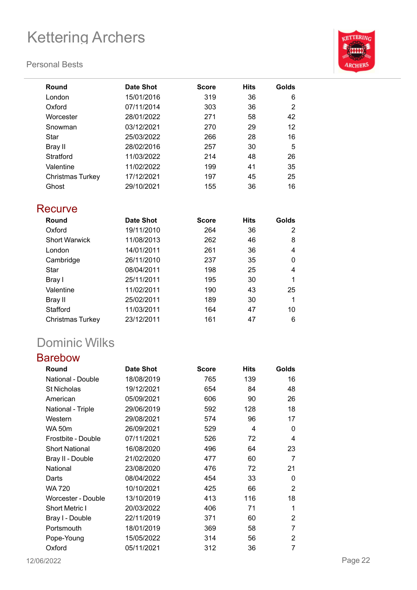#### **Personal Bests**



| Round                   | <b>Date Shot</b> | <b>Score</b> | <b>Hits</b> | Golds |
|-------------------------|------------------|--------------|-------------|-------|
| London                  | 15/01/2016       | 319          | 36          | 6     |
| Oxford                  | 07/11/2014       | 303          | 36          | 2     |
| Worcester               | 28/01/2022       | 271          | 58          | 42    |
| Snowman                 | 03/12/2021       | 270          | 29          | 12    |
| Star                    | 25/03/2022       | 266          | 28          | 16    |
| <b>Bray II</b>          | 28/02/2016       | 257          | 30          | 5     |
| Stratford               | 11/03/2022       | 214          | 48          | 26    |
| Valentine               | 11/02/2022       | 199          | 41          | 35    |
| <b>Christmas Turkey</b> | 17/12/2021       | 197          | 45          | 25    |
| Ghost                   | 29/10/2021       | 155          | 36          | 16    |
| Recurve                 |                  |              |             |       |
| Round                   | <b>Date Shot</b> | <b>Score</b> | <b>Hits</b> | Golds |
| Oxford                  | 19/11/2010       | 264          | 36          | 2     |
| <b>Short Warwick</b>    | 11/08/2013       | 262          | 46          | 8     |
| London                  | 14/01/2011       | 261          | 36          | 4     |
| Cambridge               | 26/11/2010       | 237          | 35          | 0     |
| Star                    | 08/04/2011       | 198          | 25          | 4     |
| Bray I                  | 25/11/2011       | 195          | 30          | 1     |
| Valentine               | 11/02/2011       | 190          | 43          | 25    |
| Bray II                 | 25/02/2011       | 189          | 30          | 1     |
| Stafford                | 11/03/2011       | 164          | 47          | 10    |
| Christmas Turkey        | 23/12/2011       | 161          | 47          | 6     |

## Dominic Wilks

### Barebow

| Round                 | <b>Date Shot</b> | <b>Score</b> | <b>Hits</b> | Golds |
|-----------------------|------------------|--------------|-------------|-------|
| National - Double     | 18/08/2019       | 765          | 139         | 16    |
| <b>St Nicholas</b>    | 19/12/2021       | 654          | 84          | 48    |
| American              | 05/09/2021       | 606          | 90          | 26    |
| National - Triple     | 29/06/2019       | 592          | 128         | 18    |
| Western               | 29/08/2021       | 574          | 96          | 17    |
| <b>WA 50m</b>         | 26/09/2021       | 529          | 4           | 0     |
| Frostbite - Double    | 07/11/2021       | 526          | 72          | 4     |
| <b>Short National</b> | 16/08/2020       | 496          | 64          | 23    |
| Bray II - Double      | 21/02/2020       | 477          | 60          | 7     |
| National              | 23/08/2020       | 476          | 72          | 21    |
| Darts                 | 08/04/2022       | 454          | 33          | 0     |
| WA 720                | 10/10/2021       | 425          | 66          | 2     |
| Worcester - Double    | 13/10/2019       | 413          | 116         | 18    |
| Short Metric I        | 20/03/2022       | 406          | 71          | 1     |
| Bray I - Double       | 22/11/2019       | 371          | 60          | 2     |
| Portsmouth            | 18/01/2019       | 369          | 58          | 7     |
| Pope-Young            | 15/05/2022       | 314          | 56          | 2     |
| Oxford                | 05/11/2021       | 312          | 36          | 7     |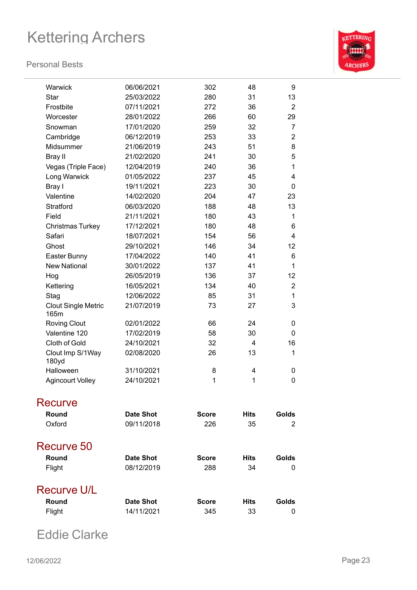#### **Personal Bests**



| Warwick                            | 06/06/2021       | 302          | 48          | 9              |
|------------------------------------|------------------|--------------|-------------|----------------|
| Star                               | 25/03/2022       | 280          | 31          | 13             |
| Frostbite                          | 07/11/2021       | 272          | 36          | $\overline{2}$ |
| Worcester                          | 28/01/2022       | 266          | 60          | 29             |
| Snowman                            | 17/01/2020       | 259          | 32          | 7              |
| Cambridge                          | 06/12/2019       | 253          | 33          | 2              |
| Midsummer                          | 21/06/2019       | 243          | 51          | 8              |
| Bray II                            | 21/02/2020       | 241          | 30          | 5              |
| Vegas (Triple Face)                | 12/04/2019       | 240          | 36          | 1              |
| Long Warwick                       | 01/05/2022       | 237          | 45          | 4              |
| Bray I                             | 19/11/2021       | 223          | 30          | 0              |
| Valentine                          | 14/02/2020       | 204          | 47          | 23             |
| Stratford                          | 06/03/2020       | 188          | 48          | 13             |
| Field                              | 21/11/2021       | 180          | 43          | 1              |
| Christmas Turkey                   | 17/12/2021       | 180          | 48          | 6              |
| Safari                             | 18/07/2021       | 154          | 56          | $\overline{4}$ |
| Ghost                              | 29/10/2021       | 146          | 34          | 12             |
| Easter Bunny                       | 17/04/2022       | 140          | 41          | 6              |
| <b>New National</b>                | 30/01/2022       | 137          | 41          | 1              |
| Hog                                | 26/05/2019       | 136          | 37          | 12             |
| Kettering                          | 16/05/2021       | 134          | 40          | 2              |
| Stag                               | 12/06/2022       | 85           | 31          | 1              |
| <b>Clout Single Metric</b><br>165m | 21/07/2019       | 73           | 27          | 3              |
| <b>Roving Clout</b>                | 02/01/2022       | 66           | 24          | 0              |
| Valentine 120                      | 17/02/2019       | 58           | 30          | 0              |
| Cloth of Gold                      | 24/10/2021       | 32           | 4           | 16             |
| Clout Imp S/1Way<br>180yd          | 02/08/2020       | 26           | 13          | 1              |
| Halloween                          | 31/10/2021       | 8            | 4           | 0              |
| <b>Agincourt Volley</b>            | 24/10/2021       | 1            | 1           | 0              |
| <b>Recurve</b>                     |                  |              |             |                |
| Round                              | <b>Date Shot</b> | <b>Score</b> | <b>Hits</b> | Golds          |
| Oxford                             | 09/11/2018       | 226          | 35          | 2              |
| Recurve 50                         |                  |              |             |                |
| Round                              | <b>Date Shot</b> | <b>Score</b> | <b>Hits</b> | Golds          |
| Flight                             | 08/12/2019       | 288          | 34          | 0              |
| <b>Recurve U/L</b>                 |                  |              |             |                |
| Round                              | <b>Date Shot</b> | <b>Score</b> | <b>Hits</b> | Golds          |
| Flight                             | 14/11/2021       | 345          | 33          | 0              |
|                                    |                  |              |             |                |

Eddie Clarke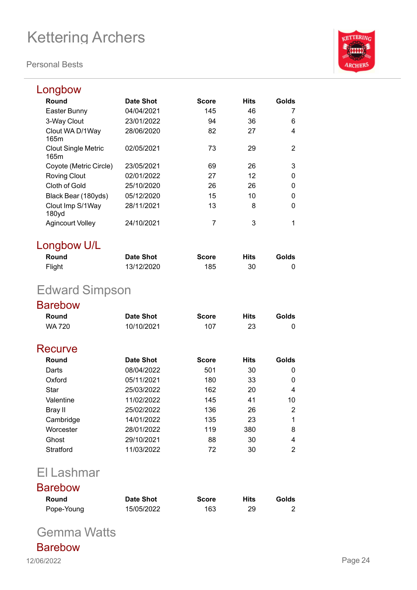**Personal Bests**



| Longbow                               |            |              |             |       |
|---------------------------------------|------------|--------------|-------------|-------|
| Round                                 | Date Shot  | <b>Score</b> | <b>Hits</b> | Golds |
| Easter Bunny                          | 04/04/2021 | 145          | 46          |       |
| 3-Way Clout                           | 23/01/2022 | 94           | 36          | 6     |
| Clout WA D/1Way<br>165m               | 28/06/2020 | 82           | 27          | 4     |
| <b>Clout Single Metric</b><br>165m    | 02/05/2021 | 73           | 29          | 2     |
| Coyote (Metric Circle)                | 23/05/2021 | 69           | 26          | 3     |
| <b>Roving Clout</b>                   | 02/01/2022 | 27           | 12          | 0     |
| Cloth of Gold                         | 25/10/2020 | 26           | 26          | 0     |
| Black Bear (180yds)                   | 05/12/2020 | 15           | 10          | 0     |
| Clout Imp S/1Way<br>180 <sub>yd</sub> | 28/11/2021 | 13           | 8           | O     |
| Agincourt Volley                      | 24/10/2021 | 7            | 3           | 1     |

## Longbow U/L

| Round  | <b>Date Shot</b> | <b>Score</b> | <b>Hits</b> | Golds |
|--------|------------------|--------------|-------------|-------|
| Flight | 13/12/2020       | 185          | 30          |       |

## Edward Simpson

### Barebow

| Round         | Date Shot  | <b>Score</b> | <b>Hits</b> | Golds    |
|---------------|------------|--------------|-------------|----------|
| <b>WA 720</b> | 10/10/2021 | 107          | 23          | 0        |
| Recurve       |            |              |             |          |
| Round         | Date Shot  | <b>Score</b> | <b>Hits</b> | Golds    |
| Darts         | 08/04/2022 | 501          | 30          | 0        |
| Oxford        | 05/11/2021 | 180          | 33          | $\Omega$ |
| Star          | 25/03/2022 | 162          | 20          | 4        |
| Valentine     | 11/02/2022 | 145          | 41          | 10       |
| Bray II       | 25/02/2022 | 136          | 26          | 2        |
| Cambridge     | 14/01/2022 | 135          | 23          | 1        |
| Worcester     | 28/01/2022 | 119          | 380         | 8        |
| Ghost         | 29/10/2021 | 88           | 30          | 4        |
| Stratford     | 11/03/2022 | 72           | 30          | 2        |
|               |            |              |             |          |

## El Lashmar

### Barebow

| Round      | <b>Date Shot</b> | <b>Score</b> | <b>Hits</b> | Golds |
|------------|------------------|--------------|-------------|-------|
| Pope-Young | 15/05/2022       | 163          |             |       |

Gemma Watts

Barebow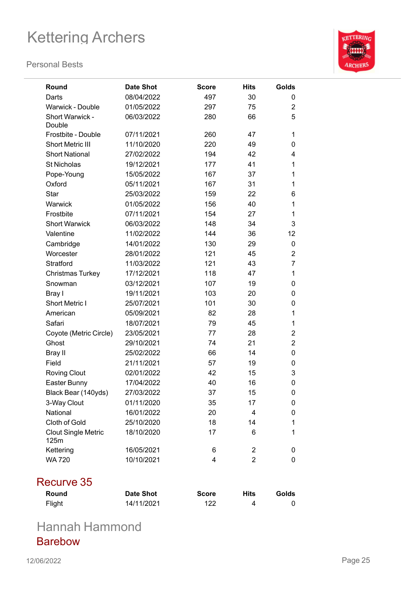#### **Personal Bests**



| Round                              | <b>Date Shot</b> | <b>Score</b> | <b>Hits</b>    | Golds          |
|------------------------------------|------------------|--------------|----------------|----------------|
| Darts                              | 08/04/2022       | 497          | 30             | 0              |
| <b>Warwick - Double</b>            | 01/05/2022       | 297          | 75             | $\overline{2}$ |
| Short Warwick -<br>Double          | 06/03/2022       | 280          | 66             | 5              |
| Frostbite - Double                 | 07/11/2021       | 260          | 47             | 1              |
| Short Metric III                   | 11/10/2020       | 220          | 49             | 0              |
| <b>Short National</b>              | 27/02/2022       | 194          | 42             | 4              |
| <b>St Nicholas</b>                 | 19/12/2021       | 177          | 41             | 1              |
| Pope-Young                         | 15/05/2022       | 167          | 37             | 1              |
| Oxford                             | 05/11/2021       | 167          | 31             | 1              |
| <b>Star</b>                        | 25/03/2022       | 159          | 22             | 6              |
| Warwick                            | 01/05/2022       | 156          | 40             | $\mathbf{1}$   |
| Frostbite                          | 07/11/2021       | 154          | 27             | 1              |
| <b>Short Warwick</b>               | 06/03/2022       | 148          | 34             | 3              |
| Valentine                          | 11/02/2022       | 144          | 36             | 12             |
| Cambridge                          | 14/01/2022       | 130          | 29             | 0              |
| Worcester                          | 28/01/2022       | 121          | 45             | $\overline{2}$ |
| Stratford                          | 11/03/2022       | 121          | 43             | 7              |
| <b>Christmas Turkey</b>            | 17/12/2021       | 118          | 47             | 1              |
| Snowman                            | 03/12/2021       | 107          | 19             | 0              |
| Bray I                             | 19/11/2021       | 103          | 20             | 0              |
| <b>Short Metric I</b>              | 25/07/2021       | 101          | 30             | 0              |
| American                           | 05/09/2021       | 82           | 28             | 1              |
| Safari                             | 18/07/2021       | 79           | 45             | 1              |
| Coyote (Metric Circle)             | 23/05/2021       | 77           | 28             | $\overline{2}$ |
| Ghost                              | 29/10/2021       | 74           | 21             | $\overline{2}$ |
| Bray II                            | 25/02/2022       | 66           | 14             | 0              |
| Field                              | 21/11/2021       | 57           | 19             | 0              |
| <b>Roving Clout</b>                | 02/01/2022       | 42           | 15             | 3              |
| Easter Bunny                       | 17/04/2022       | 40           | 16             | 0              |
| Black Bear (140yds)                | 27/03/2022       | 37           | 15             | 0              |
| 3-Way Clout                        | 01/11/2020       | 35           | 17             | 0              |
| National                           | 16/01/2022       | 20           | 4              | 0              |
| Cloth of Gold                      | 25/10/2020       | 18           | 14             | 1              |
| <b>Clout Single Metric</b><br>125m | 18/10/2020       | 17           | 6              | 1              |
| Kettering                          | 16/05/2021       | 6            | $\overline{2}$ | 0              |
| <b>WA 720</b>                      | 10/10/2021       | 4            | $\overline{2}$ | 0              |

### Recurve 35

| Round  | <b>Date Shot</b> | <b>Score</b> | Hits | Golds |
|--------|------------------|--------------|------|-------|
| Flight | 14/11/2021       | 122          | 4    |       |

Hannah Hammond Barebow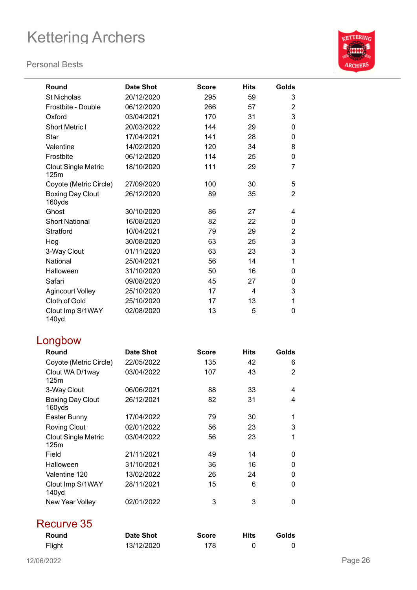#### **Personal Bests**



| Round                                 | <b>Date Shot</b> | <b>Score</b> | <b>Hits</b> | Golds          |
|---------------------------------------|------------------|--------------|-------------|----------------|
| <b>St Nicholas</b>                    | 20/12/2020       | 295          | 59          | 3              |
| Frostbite - Double                    | 06/12/2020       | 266          | 57          | $\overline{c}$ |
| Oxford                                | 03/04/2021       | 170          | 31          | 3              |
| <b>Short Metric I</b>                 | 20/03/2022       | 144          | 29          | 0              |
| Star                                  | 17/04/2021       | 141          | 28          | 0              |
| Valentine                             | 14/02/2020       | 120          | 34          | 8              |
| Frostbite                             | 06/12/2020       | 114          | 25          | 0              |
| <b>Clout Single Metric</b><br>125m    | 18/10/2020       | 111          | 29          | $\overline{7}$ |
| Coyote (Metric Circle)                | 27/09/2020       | 100          | 30          | 5              |
| <b>Boxing Day Clout</b><br>160yds     | 26/12/2020       | 89           | 35          | $\overline{2}$ |
| Ghost                                 | 30/10/2020       | 86           | 27          | 4              |
| <b>Short National</b>                 | 16/08/2020       | 82           | 22          | 0              |
| Stratford                             | 10/04/2021       | 79           | 29          | $\overline{2}$ |
| Hog                                   | 30/08/2020       | 63           | 25          | 3              |
| 3-Way Clout                           | 01/11/2020       | 63           | 23          | 3              |
| National                              | 25/04/2021       | 56           | 14          | 1              |
| Halloween                             | 31/10/2020       | 50           | 16          | 0              |
| Safari                                | 09/08/2020       | 45           | 27          | 0              |
| <b>Agincourt Volley</b>               | 25/10/2020       | 17           | 4           | 3              |
| Cloth of Gold                         | 25/10/2020       | 17           | 13          | 1              |
| Clout Imp S/1WAY<br>140y <sub>d</sub> | 02/08/2020       | 13           | 5           | 0              |
| Longbow                               |                  |              |             |                |
| Round                                 | <b>Date Shot</b> | <b>Score</b> | <b>Hits</b> | Golds          |
| Coyote (Metric Circle)                | 22/05/2022       | 135          | 42          | 6              |
| Clout WA D/1way<br>125m               | 03/04/2022       | 107          | 43          | 2              |
| 3-Way Clout                           | 06/06/2021       | 88           | 33          | 4              |
| <b>Boxing Day Clout</b><br>160yds     | 26/12/2021       | 82           | 31          | 4              |
| Easter Bunny                          | 17/04/2022       | 79           | 30          | 1              |
| <b>Roving Clout</b>                   | 02/01/2022       | 56           | 23          | 3              |
| <b>Clout Single Metric</b><br>125m    | 03/04/2022       | 56           | 23          | 1              |
| Field                                 | 21/11/2021       | 49           | 14          | 0              |
| Halloween                             | 31/10/2021       | 36           | 16          | 0              |
| Valentine 120                         | 13/02/2022       | 26           | 24          | 0              |
| Clout Imp S/1WAY<br>140yd             | 28/11/2021       | 15           | 6           | 0              |
| New Year Volley                       | 02/01/2022       | 3            | 3           | 0              |

### Recurve 35

| <b>Round</b> | <b>Date Shot</b> | <b>Score</b> | Hits | <b>Golds</b> |
|--------------|------------------|--------------|------|--------------|
| Flight       | 13/12/2020       | 178          |      |              |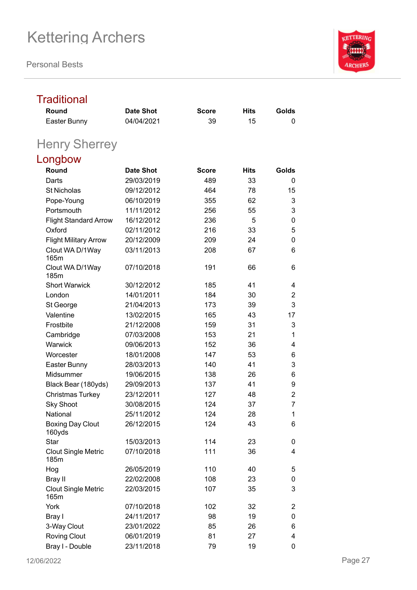**Personal Bests**



#### **Traditional Round Date Shot Score Hits Golds** Easter Bunny 04/04/2021 39 15 0 Henry Sherrey Longbow **Round Date Shot Score Hits Golds** Darts 29/03/2019 489 33 0 St Nicholas 09/12/2012 464 78 15 Pope-Young 06/10/2019 355 62 3 Portsmouth 11/11/2012 256 55 3 Flight Standard Arrow 16/12/2012 236 5 0 Oxford 02/11/2012 216 33 5 Flight Military Arrow 20/12/2009 209 24 0 Clout WA D/1Way 165m 03/11/2013 208 67 6 Clout WA D/1Way 185m 07/10/2018 191 66 6 Short Warwick 30/12/2012 185 41 4 London 14/01/2011 184 30 2 St George 21/04/2013 173 39 3 Valentine 13/02/2015 165 43 17 Frostbite 21/12/2008 159 31 3 Cambridge 07/03/2008 153 21 1 Warwick 09/06/2013 152 36 4 Worcester 18/01/2008 147 53 6 Easter Bunny 28/03/2013 140 41 3 Midsummer 19/06/2015 138 26 6 Black Bear (180yds) 29/09/2013 137 41 9 Christmas Turkey 23/12/2011 127 48 2 Sky Shoot 30/08/2015 124 37 7 National 25/11/2012 124 28 1 Boxing Day Clout 160yds 26/12/2015 124 43 6 Star 15/03/2013 114 23 0 Clout Single Metric 185m 07/10/2018 111 36 4 Hog 26/05/2019 110 40 5 Bray II 22/02/2008 108 23 0 Clout Single Metric 165m 22/03/2015 107 35 3 York 07/10/2018 102 32 2 Bray I 24/11/2017 98 19 0 3-Way Clout 23/01/2022 85 26 6 Roving Clout 06/01/2019 81 27 4 Bray I - Double 23/11/2018 79 19 0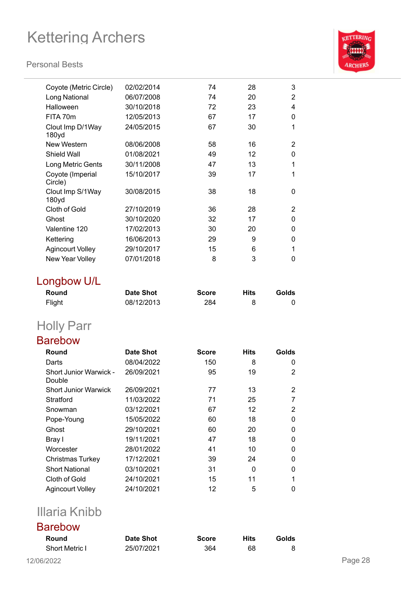#### **Personal Bests**



| Coyote (Metric Circle)           | 02/02/2014       | 74           | 28          | 3              |
|----------------------------------|------------------|--------------|-------------|----------------|
| Long National                    | 06/07/2008       | 74           | 20          | 2              |
| Halloween                        | 30/10/2018       | 72           | 23          | 4              |
| FITA 70m                         | 12/05/2013       | 67           | 17          | 0              |
| Clout Imp D/1Way<br>180yd        | 24/05/2015       | 67           | 30          | 1              |
| New Western                      | 08/06/2008       | 58           | 16          | 2              |
| Shield Wall                      | 01/08/2021       | 49           | 12          | 0              |
| Long Metric Gents                | 30/11/2008       | 47           | 13          | 1              |
| Coyote (Imperial<br>Circle)      | 15/10/2017       | 39           | 17          | 1              |
| Clout Imp S/1Way<br>180yd        | 30/08/2015       | 38           | 18          | 0              |
| Cloth of Gold                    | 27/10/2019       | 36           | 28          | 2              |
| Ghost                            | 30/10/2020       | 32           | 17          | 0              |
| Valentine 120                    | 17/02/2013       | 30           | 20          | 0              |
| Kettering                        | 16/06/2013       | 29           | 9           | 0              |
| <b>Agincourt Volley</b>          | 29/10/2017       | 15           | 6           | 1              |
| New Year Volley                  | 07/01/2018       | 8            | 3           | 0              |
| Longbow U/L                      |                  |              |             |                |
| Round                            | <b>Date Shot</b> | <b>Score</b> | <b>Hits</b> | Golds          |
| Flight                           | 08/12/2013       | 284          | 8           | 0              |
| <b>Holly Parr</b>                |                  |              |             |                |
| <b>Barebow</b>                   |                  |              |             |                |
| Round                            | <b>Date Shot</b> | <b>Score</b> | <b>Hits</b> | Golds          |
| Darts                            | 08/04/2022       | 150          | 8           | 0              |
| Short Junior Warwick -<br>Double | 26/09/2021       | 95           | 19          | 2              |
| <b>Short Junior Warwick</b>      | 26/09/2021       | 77           | 13          | 2              |
| Stratford                        | 11/03/2022       | 71           | 25          | $\overline{7}$ |
| Snowman                          | 03/12/2021       | 67           | 12          | 2              |
| Pope-Young                       | 15/05/2022       | 60           | 18          | 0              |
| Ghost                            | 29/10/2021       | 60           | 20          | 0              |
| Bray I                           | 19/11/2021       | 47           | 18          | 0              |
| Worcester                        | 28/01/2022       | 41           | 10          | 0              |
| Christmas Turkey                 | 17/12/2021       | 39           | 24          | 0              |
| <b>Short National</b>            | 03/10/2021       | 31           | 0           | 0              |
| Cloth of Gold                    | 24/10/2021       | 15           | 11          | 1              |
|                                  |                  |              |             |                |

## Illaria Knibb

#### Barebow

| Round                 | Date Shot  | <b>Score</b> | <b>Hits</b> | Golds |
|-----------------------|------------|--------------|-------------|-------|
| <b>Short Metric I</b> | 25/07/2021 | 364          | 68          |       |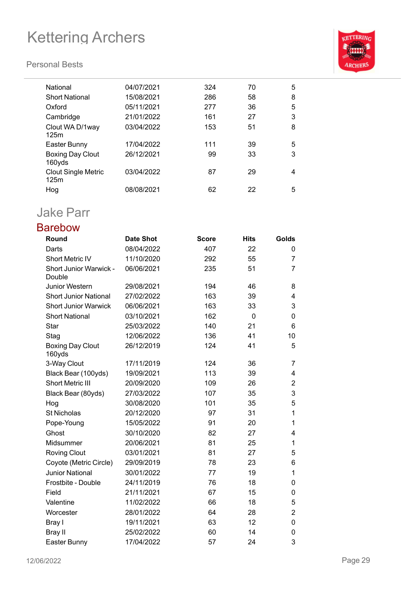#### **Personal Bests**



| National                           | 04/07/2021 | 324 | 70 | 5 |
|------------------------------------|------------|-----|----|---|
| <b>Short National</b>              | 15/08/2021 | 286 | 58 | 8 |
| Oxford                             | 05/11/2021 | 277 | 36 | 5 |
| Cambridge                          | 21/01/2022 | 161 | 27 | 3 |
| Clout WA D/1way<br>125m            | 03/04/2022 | 153 | 51 | 8 |
| Easter Bunny                       | 17/04/2022 | 111 | 39 | 5 |
| <b>Boxing Day Clout</b><br>160yds  | 26/12/2021 | 99  | 33 | 3 |
| <b>Clout Single Metric</b><br>125m | 03/04/2022 | 87  | 29 | 4 |
| Hog                                | 08/08/2021 | 62  | 22 | 5 |
|                                    |            |     |    |   |

## Jake Parr

### Barebow

| Round                                   | <b>Date Shot</b> | <b>Score</b> | <b>Hits</b> | Golds          |
|-----------------------------------------|------------------|--------------|-------------|----------------|
| Darts                                   | 08/04/2022       | 407          | 22          | 0              |
| <b>Short Metric IV</b>                  | 11/10/2020       | 292          | 55          | 7              |
| <b>Short Junior Warwick -</b><br>Double | 06/06/2021       | 235          | 51          | 7              |
| Junior Western                          | 29/08/2021       | 194          | 46          | 8              |
| <b>Short Junior National</b>            | 27/02/2022       | 163          | 39          | 4              |
| <b>Short Junior Warwick</b>             | 06/06/2021       | 163          | 33          | 3              |
| <b>Short National</b>                   | 03/10/2021       | 162          | $\mathbf 0$ | 0              |
| Star                                    | 25/03/2022       | 140          | 21          | 6              |
| Stag                                    | 12/06/2022       | 136          | 41          | 10             |
| <b>Boxing Day Clout</b><br>160yds       | 26/12/2019       | 124          | 41          | 5              |
| 3-Way Clout                             | 17/11/2019       | 124          | 36          | 7              |
| Black Bear (100yds)                     | 19/09/2021       | 113          | 39          | 4              |
| <b>Short Metric III</b>                 | 20/09/2020       | 109          | 26          | 2              |
| Black Bear (80yds)                      | 27/03/2022       | 107          | 35          | 3              |
| Hog                                     | 30/08/2020       | 101          | 35          | 5              |
| <b>St Nicholas</b>                      | 20/12/2020       | 97           | 31          | 1              |
| Pope-Young                              | 15/05/2022       | 91           | 20          | 1              |
| Ghost                                   | 30/10/2020       | 82           | 27          | 4              |
| Midsummer                               | 20/06/2021       | 81           | 25          | 1              |
| <b>Roving Clout</b>                     | 03/01/2021       | 81           | 27          | 5              |
| Coyote (Metric Circle)                  | 29/09/2019       | 78           | 23          | 6              |
| <b>Junior National</b>                  | 30/01/2022       | 77           | 19          | 1              |
| Frostbite - Double                      | 24/11/2019       | 76           | 18          | 0              |
| Field                                   | 21/11/2021       | 67           | 15          | 0              |
| Valentine                               | 11/02/2022       | 66           | 18          | 5              |
| Worcester                               | 28/01/2022       | 64           | 28          | $\overline{2}$ |
| Bray I                                  | 19/11/2021       | 63           | 12          | 0              |
| <b>Bray II</b>                          | 25/02/2022       | 60           | 14          | 0              |
| Easter Bunny                            | 17/04/2022       | 57           | 24          | 3              |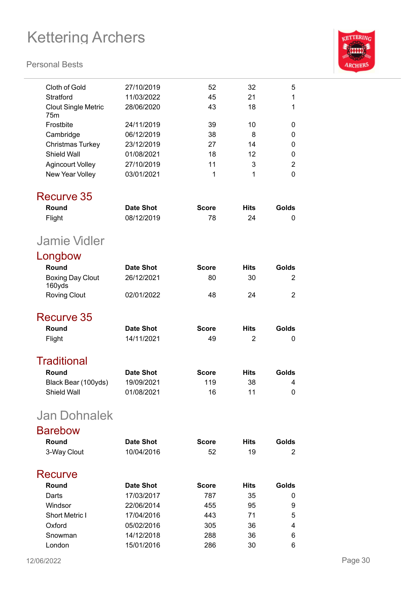

| Cloth of Gold                     | 27/10/2019       | 52           | 32             | 5              |
|-----------------------------------|------------------|--------------|----------------|----------------|
| Stratford                         | 11/03/2022       | 45           | 21             | 1              |
| <b>Clout Single Metric</b><br>75m | 28/06/2020       | 43           | 18             | 1              |
| Frostbite                         | 24/11/2019       | 39           | 10             | 0              |
| Cambridge                         | 06/12/2019       | 38           | 8              | 0              |
| <b>Christmas Turkey</b>           | 23/12/2019       | 27           | 14             | 0              |
| Shield Wall                       | 01/08/2021       | 18           | 12             | 0              |
| <b>Agincourt Volley</b>           | 27/10/2019       | 11           | 3              | $\overline{2}$ |
| New Year Volley                   | 03/01/2021       | 1            | 1              | 0              |
| <b>Recurve 35</b>                 |                  |              |                |                |
| Round                             | <b>Date Shot</b> | <b>Score</b> | <b>Hits</b>    | Golds          |
| Flight                            | 08/12/2019       | 78           | 24             | 0              |
| <b>Jamie Vidler</b>               |                  |              |                |                |
| Longbow                           |                  |              |                |                |
| Round                             | <b>Date Shot</b> | <b>Score</b> | <b>Hits</b>    | Golds          |
| <b>Boxing Day Clout</b><br>160yds | 26/12/2021       | 80           | 30             | 2              |
| <b>Roving Clout</b>               | 02/01/2022       | 48           | 24             | $\overline{2}$ |
| Recurve 35                        |                  |              |                |                |
| Round                             | <b>Date Shot</b> | <b>Score</b> | <b>Hits</b>    | Golds          |
| Flight                            | 14/11/2021       | 49           | $\overline{2}$ | 0              |
| <b>Traditional</b>                |                  |              |                |                |
| Round                             | <b>Date Shot</b> | <b>Score</b> | <b>Hits</b>    | Golds          |
| Black Bear (100yds)               | 19/09/2021       | 119          | 38             | 4              |
| Shield Wall                       | 01/08/2021       | 16           | 11             | 0              |
| <b>Jan Dohnalek</b>               |                  |              |                |                |
| <b>Barebow</b>                    |                  |              |                |                |
| Round                             | <b>Date Shot</b> | <b>Score</b> | <b>Hits</b>    | Golds          |
| 3-Way Clout                       | 10/04/2016       | 52           | 19             | 2              |
|                                   |                  |              |                |                |
| Recurve                           |                  |              |                |                |
| Round                             | <b>Date Shot</b> | <b>Score</b> | <b>Hits</b>    | Golds          |
| Darts                             | 17/03/2017       | 787          | 35             | 0              |
| Windsor                           | 22/06/2014       | 455          | 95             | 9              |
| <b>Short Metric I</b>             | 17/04/2016       | 443          | 71             | 5              |
| Oxford                            | 05/02/2016       | 305          | 36             | 4              |
| Snowman                           | 14/12/2018       | 288          | 36             | 6              |
| London                            | 15/01/2016       | 286          | 30             | 6              |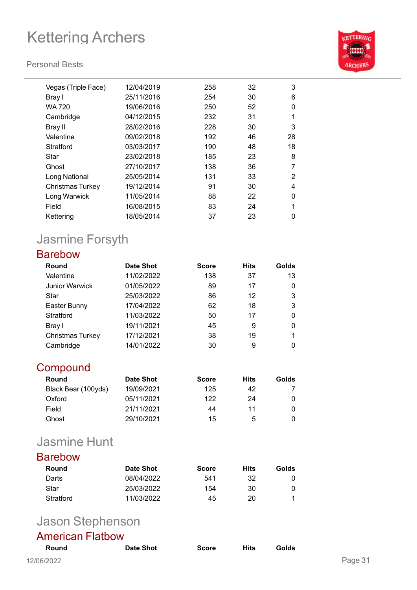#### **Personal Bests**



| Vegas (Triple Face) | 12/04/2019 | 258 | 32 | 3        |
|---------------------|------------|-----|----|----------|
| Bray I              | 25/11/2016 | 254 | 30 | 6        |
| WA 720              | 19/06/2016 | 250 | 52 | 0        |
| Cambridge           | 04/12/2015 | 232 | 31 | 1        |
| Bray II             | 28/02/2016 | 228 | 30 | 3        |
| Valentine           | 09/02/2018 | 192 | 46 | 28       |
| Stratford           | 03/03/2017 | 190 | 48 | 18       |
| Star                | 23/02/2018 | 185 | 23 | 8        |
| Ghost               | 27/10/2017 | 138 | 36 | 7        |
| Long National       | 25/05/2014 | 131 | 33 | 2        |
| Christmas Turkey    | 19/12/2014 | 91  | 30 | 4        |
| Long Warwick        | 11/05/2014 | 88  | 22 | $\Omega$ |
| Field               | 16/08/2015 | 83  | 24 | 1        |
| Kettering           | 18/05/2014 | 37  | 23 | 0        |
|                     |            |     |    |          |

## Jasmine Forsyth

### Barebow

| Round                   | <b>Date Shot</b> | <b>Score</b> | <b>Hits</b> | Golds |
|-------------------------|------------------|--------------|-------------|-------|
| Valentine               | 11/02/2022       | 138          | 37          | 13    |
| <b>Junior Warwick</b>   | 01/05/2022       | 89           | 17          | 0     |
| Star                    | 25/03/2022       | 86           | 12          | 3     |
| Easter Bunny            | 17/04/2022       | 62           | 18          | 3     |
| Stratford               | 11/03/2022       | 50           | 17          | 0     |
| Bray I                  | 19/11/2021       | 45           | 9           | 0     |
| <b>Christmas Turkey</b> | 17/12/2021       | 38           | 19          |       |
| Cambridge               | 14/01/2022       | 30           | 9           | 0     |

### **Compound**

| Round               | <b>Date Shot</b> | <b>Score</b> | Hits | Golds |
|---------------------|------------------|--------------|------|-------|
| Black Bear (100yds) | 19/09/2021       | 125          | 42   |       |
| Oxford              | 05/11/2021       | 122          | 24   |       |
| Field               | 21/11/2021       | 44           | 11   |       |
| Ghost               | 29/10/2021       | 15           | 5    |       |

### Jasmine Hunt

### Barebow

| Round     | Date Shot  | <b>Score</b> | Hits | Golds |
|-----------|------------|--------------|------|-------|
| Darts     | 08/04/2022 | 541          | 32   |       |
| Star      | 25/03/2022 | 154          | 30   | 0     |
| Stratford | 11/03/2022 | 45           | 20   |       |

## Jason Stephenson

### American Flatbow

| <b>Round</b> | Date Shot | <b>Score</b> | Hits | Golds |         |
|--------------|-----------|--------------|------|-------|---------|
| 12/06/2022   |           |              |      |       | Page 31 |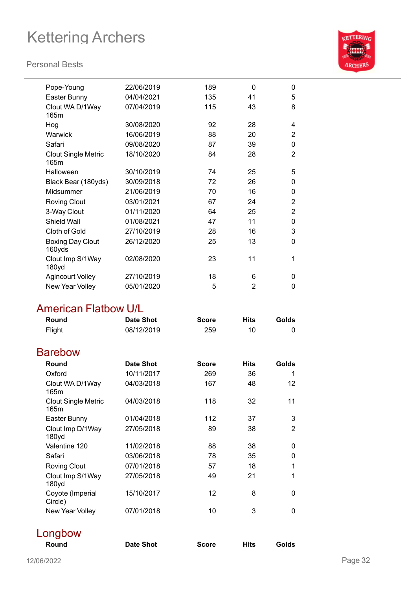Clout WA D/1Way

Clout Single Metric

#### **Personal Bests**

165m

165m



| Midsummer                         | 21/06/2019 | 70 | 16 | 0            |
|-----------------------------------|------------|----|----|--------------|
| <b>Roving Clout</b>               | 03/01/2021 | 67 | 24 | 2            |
| 3-Way Clout                       | 01/11/2020 | 64 | 25 | 2            |
| <b>Shield Wall</b>                | 01/08/2021 | 47 | 11 | $\mathbf{0}$ |
| Cloth of Gold                     | 27/10/2019 | 28 | 16 | 3            |
| <b>Boxing Day Clout</b><br>160yds | 26/12/2020 | 25 | 13 | $\mathbf{0}$ |
| Clout Imp S/1Way<br>180yd         | 02/08/2020 | 23 | 11 | 1            |
| <b>Agincourt Volley</b>           | 27/10/2019 | 18 | 6  | 0            |
| New Year Volley                   | 05/01/2020 | 5  | 2  | 0            |

### American Flatbow U/L

| Round                              | <b>Date Shot</b> | <b>Score</b>    | <b>Hits</b> | Golds          |
|------------------------------------|------------------|-----------------|-------------|----------------|
| Flight                             | 08/12/2019       | 259             | 10          | 0              |
| <b>Barebow</b>                     |                  |                 |             |                |
| Round                              | Date Shot        | <b>Score</b>    | <b>Hits</b> | Golds          |
| Oxford                             | 10/11/2017       | 269             | 36          | 1              |
| Clout WA D/1Way<br>165m            | 04/03/2018       | 167             | 48          | 12             |
| <b>Clout Single Metric</b><br>165m | 04/03/2018       | 118             | 32          | 11             |
| Easter Bunny                       | 01/04/2018       | 112             | 37          | 3              |
| Clout Imp D/1Way<br>180yd          | 27/05/2018       | 89              | 38          | $\overline{2}$ |
| Valentine 120                      | 11/02/2018       | 88              | 38          | 0              |
| Safari                             | 03/06/2018       | 78              | 35          | 0              |
| <b>Roving Clout</b>                | 07/01/2018       | 57              | 18          | 1              |
| Clout Imp S/1Way<br>180yd          | 27/05/2018       | 49              | 21          | 1              |
| Coyote (Imperial<br>Circle)        | 15/10/2017       | 12 <sup>2</sup> | 8           | 0              |
| New Year Volley                    | 07/01/2018       | 10              | 3           | 0              |

**Round Date Shot Score Hits Golds**

| Longbow |  |
|---------|--|
| Round   |  |

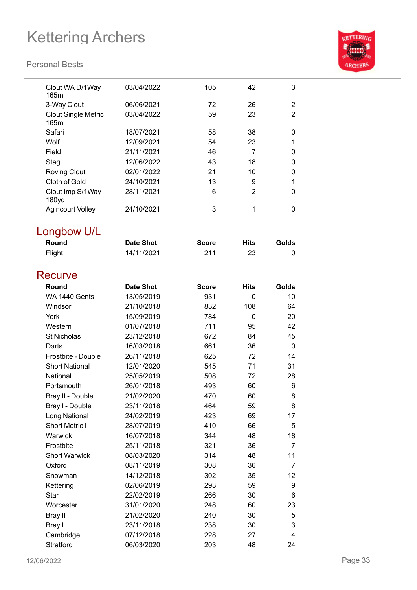

| Clout WA D/1Way<br>165m            | 03/04/2022       | 105          | 42             | 3              |
|------------------------------------|------------------|--------------|----------------|----------------|
| 3-Way Clout                        | 06/06/2021       | 72           | 26             | $\overline{2}$ |
| <b>Clout Single Metric</b><br>165m | 03/04/2022       | 59           | 23             | $\overline{2}$ |
| Safari                             | 18/07/2021       | 58           | 38             | 0              |
| Wolf                               | 12/09/2021       | 54           | 23             | 1              |
| Field                              | 21/11/2021       | 46           | 7              | 0              |
| Stag                               | 12/06/2022       | 43           | 18             | 0              |
| <b>Roving Clout</b>                | 02/01/2022       | 21           | 10             | 0              |
| Cloth of Gold                      | 24/10/2021       | 13           | 9              | 1              |
| Clout Imp S/1Way<br>180yd          | 28/11/2021       | 6            | $\overline{2}$ | 0              |
| <b>Agincourt Volley</b>            | 24/10/2021       | 3            | 1              | 0              |
| Longbow U/L                        |                  |              |                |                |
| Round                              | <b>Date Shot</b> | <b>Score</b> | <b>Hits</b>    | Golds          |
| Flight                             | 14/11/2021       | 211          | 23             | 0              |
| Recurve                            |                  |              |                |                |
| Round                              | <b>Date Shot</b> | <b>Score</b> | <b>Hits</b>    | Golds          |
| WA 1440 Gents                      | 13/05/2019       | 931          | 0              | 10             |
| Windsor                            | 21/10/2018       | 832          | 108            | 64             |
| York                               | 15/09/2019       | 784          | $\overline{0}$ | 20             |
| Western                            | 01/07/2018       | 711          | 95             | 42             |
| <b>St Nicholas</b>                 | 23/12/2018       | 672          | 84             | 45             |
| Darts                              | 16/03/2018       | 661          | 36             | $\mathbf 0$    |
| Frostbite - Double                 | 26/11/2018       | 625          | 72             | 14             |
| <b>Short National</b>              | 12/01/2020       | 545          | 71             | 31             |
| National                           | 25/05/2019       | 508          | 72             | 28             |
| Portsmouth                         | 26/01/2018       | 493          | 60             | 6              |
| Bray II - Double                   | 21/02/2020       | 470          | 60             | 8              |
| Bray I - Double                    | 23/11/2018       | 464          | 59             | 8              |
| Long National                      | 24/02/2019       | 423          | 69             | 17             |
| Short Metric I                     | 28/07/2019       | 410          | 66             | 5              |
| Warwick                            | 16/07/2018       | 344          | 48             | 18             |
| Frostbite                          | 25/11/2018       | 321          | 36             | 7              |
| <b>Short Warwick</b>               | 08/03/2020       | 314          | 48             | 11             |
| Oxford                             | 08/11/2019       | 308          | 36             | 7              |
| Snowman                            | 14/12/2018       | 302          | 35             | 12             |
| Kettering                          | 02/06/2019       | 293          | 59             | 9              |
| <b>Star</b>                        | 22/02/2019       | 266          | 30             | 6              |
| Worcester                          | 31/01/2020       | 248          | 60             | 23             |
| <b>Bray II</b>                     | 21/02/2020       | 240          | 30             | 5              |
| Bray I                             | 23/11/2018       | 238          | 30             | 3              |
| Cambridge                          | 07/12/2018       | 228          | 27             | 4              |
| Stratford                          | 06/03/2020       | 203          | 48             | 24             |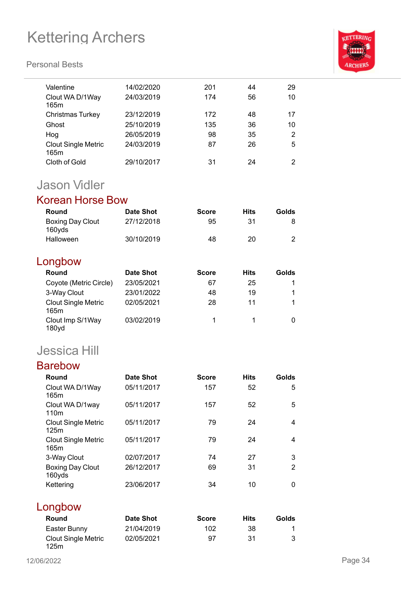#### **Personal Bests**



| Valentine                          | 14/02/2020 | 201 | 44 | 29             |
|------------------------------------|------------|-----|----|----------------|
| Clout WA D/1Way<br>165m            | 24/03/2019 | 174 | 56 | 10             |
| Christmas Turkey                   | 23/12/2019 | 172 | 48 | 17             |
| Ghost                              | 25/10/2019 | 135 | 36 | 10             |
| Hog                                | 26/05/2019 | 98  | 35 | 2              |
| <b>Clout Single Metric</b><br>165m | 24/03/2019 | 87  | 26 | 5              |
| Cloth of Gold                      | 29/10/2017 | 31  | 24 | $\overline{2}$ |
|                                    |            |     |    |                |

### Jason Vidler

### Korean Horse Bow

| Round                             | <b>Date Shot</b> | <b>Score</b> | Hits | Golds |
|-----------------------------------|------------------|--------------|------|-------|
| <b>Boxing Day Clout</b><br>160yds | 27/12/2018       | 95           | 31   |       |
| <b>Halloween</b>                  | 30/10/2019       | 48           | 20   |       |

### Longbow

| Round                                 | <b>Date Shot</b> | <b>Score</b> | <b>Hits</b> | Golds |
|---------------------------------------|------------------|--------------|-------------|-------|
| Coyote (Metric Circle)                | 23/05/2021       | 67           | 25          |       |
| 3-Way Clout                           | 23/01/2022       | 48           | 19          |       |
| <b>Clout Single Metric</b><br>165m    | 02/05/2021       | 28           | 11          |       |
| Clout Imp S/1Way<br>180 <sub>yd</sub> | 03/02/2019       |              |             |       |

## Jessica Hill

| <b>Barebow</b>                     |            |              |             |                |
|------------------------------------|------------|--------------|-------------|----------------|
| Round                              | Date Shot  | <b>Score</b> | <b>Hits</b> | Golds          |
| Clout WA D/1Way<br>165m            | 05/11/2017 | 157          | 52          | 5              |
| Clout WA D/1way<br>110m            | 05/11/2017 | 157          | 52          | 5              |
| <b>Clout Single Metric</b><br>125m | 05/11/2017 | 79           | 24          | 4              |
| <b>Clout Single Metric</b><br>165m | 05/11/2017 | 79           | 24          | $\overline{4}$ |
| 3-Way Clout                        | 02/07/2017 | 74           | 27          | 3              |
| <b>Boxing Day Clout</b><br>160yds  | 26/12/2017 | 69           | 31          | $\overline{2}$ |
| Kettering                          | 23/06/2017 | 34           | 10          | 0              |
| Longbow                            |            |              |             |                |

#### **Round Date Shot Score Hits Golds** Easter Bunny 21/04/2019 102 38 1 Clout Single Metric 125m 02/05/2021 97 31 3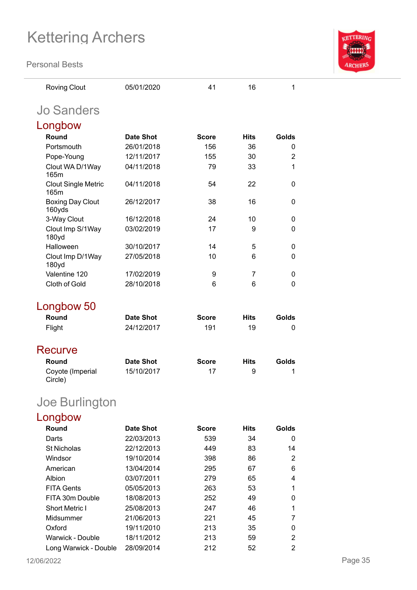**Personal Bests**



| <b>Roving Clout</b>                | 05/01/2020       | 41           | 16          | 1              |
|------------------------------------|------------------|--------------|-------------|----------------|
| <b>Jo Sanders</b>                  |                  |              |             |                |
| Longbow                            |                  |              |             |                |
| Round                              | <b>Date Shot</b> | <b>Score</b> | <b>Hits</b> | Golds          |
| Portsmouth                         | 26/01/2018       | 156          | 36          | 0              |
| Pope-Young                         | 12/11/2017       | 155          | 30          | $\overline{2}$ |
| Clout WA D/1Way<br>165m            | 04/11/2018       | 79           | 33          | 1              |
| <b>Clout Single Metric</b><br>165m | 04/11/2018       | 54           | 22          | 0              |
| <b>Boxing Day Clout</b><br>160yds  | 26/12/2017       | 38           | 16          | 0              |
| 3-Way Clout                        | 16/12/2018       | 24           | 10          | 0              |
| Clout Imp S/1Way<br>180yd          | 03/02/2019       | 17           | 9           | 0              |
| Halloween                          | 30/10/2017       | 14           | 5           | 0              |
| Clout Imp D/1Way<br>180yd          | 27/05/2018       | 10           | 6           | 0              |
| Valentine 120                      | 17/02/2019       | 9            | 7           | 0              |
| Cloth of Gold                      | 28/10/2018       | 6            | 6           | 0              |
| Longbow 50<br>Round                | <b>Date Shot</b> | <b>Score</b> | <b>Hits</b> | Golds          |
| Flight                             | 24/12/2017       | 191          | 19          | 0              |
|                                    |                  |              |             |                |
| Recurve                            |                  |              |             |                |
| Round                              | <b>Date Shot</b> | <b>Score</b> | <b>Hits</b> | Golds          |
| Coyote (Imperial<br>Circle)        | 15/10/2017       | 17           | 9           | 1              |
| Joe Burlington                     |                  |              |             |                |
| Longbow                            |                  |              |             |                |
| Round                              | <b>Date Shot</b> | <b>Score</b> | <b>Hits</b> | Golds          |
| Darts                              | 22/03/2013       | 539          | 34          | 0              |
| <b>St Nicholas</b>                 | 22/12/2013       | 449          | 83          | 14             |
| Windsor                            | 19/10/2014       | 398          | 86          | 2              |
| American                           | 13/04/2014       | 295          | 67          | 6              |
| Albion                             | 03/07/2011       | 279          | 65          | 4              |
| <b>FITA Gents</b>                  | 05/05/2013       | 263          | 53          | 1              |
| FITA 30m Double                    | 18/08/2013       | 252          | 49          | 0              |
| <b>Short Metric I</b>              | 25/08/2013       | 247          | 46          | 1              |
| Midsummer                          | 21/06/2013       | 221          | 45          | 7              |
| Oxford                             | 19/11/2010       | 213          | 35          | 0              |
| Warwick - Double                   | 18/11/2012       | 213          | 59          | $\overline{2}$ |

Long Warwick - Double 28/09/2014 212 52 2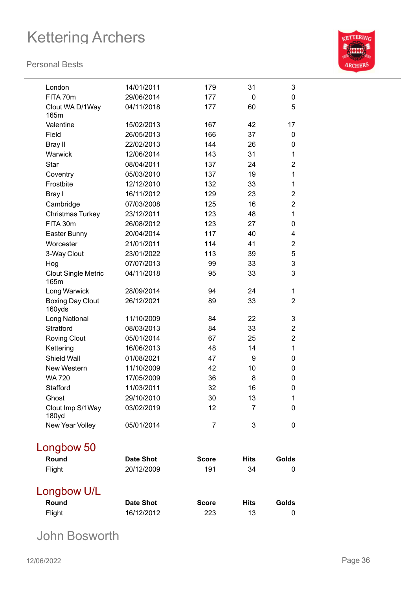#### **Personal Bests**



| London                             | 14/01/2011       | 179          | 31           | 3              |
|------------------------------------|------------------|--------------|--------------|----------------|
| FITA 70m                           | 29/06/2014       | 177          | $\mathbf{0}$ | 0              |
| Clout WA D/1Way<br>165m            | 04/11/2018       | 177          | 60           | 5              |
| Valentine                          | 15/02/2013       | 167          | 42           | 17             |
| Field                              | 26/05/2013       | 166          | 37           | 0              |
| <b>Bray II</b>                     | 22/02/2013       | 144          | 26           | 0              |
| Warwick                            | 12/06/2014       | 143          | 31           | 1              |
| <b>Star</b>                        | 08/04/2011       | 137          | 24           | $\overline{2}$ |
| Coventry                           | 05/03/2010       | 137          | 19           | 1              |
| Frostbite                          | 12/12/2010       | 132          | 33           | 1              |
| Bray I                             | 16/11/2012       | 129          | 23           | $\overline{2}$ |
| Cambridge                          | 07/03/2008       | 125          | 16           | 2              |
| Christmas Turkey                   | 23/12/2011       | 123          | 48           | 1              |
| FITA 30m                           | 26/08/2012       | 123          | 27           | 0              |
| Easter Bunny                       | 20/04/2014       | 117          | 40           | 4              |
| Worcester                          | 21/01/2011       | 114          | 41           | 2              |
| 3-Way Clout                        | 23/01/2022       | 113          | 39           | 5              |
| Hog                                | 07/07/2013       | 99           | 33           | 3              |
| <b>Clout Single Metric</b><br>165m | 04/11/2018       | 95           | 33           | 3              |
| Long Warwick                       | 28/09/2014       | 94           | 24           | 1              |
| <b>Boxing Day Clout</b><br>160yds  | 26/12/2021       | 89           | 33           | $\overline{2}$ |
| Long National                      | 11/10/2009       | 84           | 22           | 3              |
| <b>Stratford</b>                   | 08/03/2013       | 84           | 33           | $\overline{2}$ |
| <b>Roving Clout</b>                | 05/01/2014       | 67           | 25           | 2              |
| Kettering                          | 16/06/2013       | 48           | 14           | 1              |
| <b>Shield Wall</b>                 | 01/08/2021       | 47           | 9            | 0              |
| New Western                        | 11/10/2009       | 42           | 10           | 0              |
| <b>WA 720</b>                      | 17/05/2009       | 36           | 8            | 0              |
| Stafford                           | 11/03/2011       | 32           | 16           | 0              |
| Ghost                              | 29/10/2010       | 30           | 13           | 1              |
| Clout Imp S/1Way<br>180yd          | 03/02/2019       | 12           | 7            | 0              |
| New Year Volley                    | 05/01/2014       | 7            | 3            | 0              |
| Longbow 50                         |                  |              |              |                |
| Round                              | <b>Date Shot</b> | <b>Score</b> | <b>Hits</b>  | Golds          |
| Flight                             | 20/12/2009       | 191          | 34           | 0              |
| Longbow U/L                        |                  |              |              |                |
| Round                              | <b>Date Shot</b> | <b>Score</b> | <b>Hits</b>  | Golds          |
| Flight                             | 16/12/2012       | 223          | 13           | 0              |

John Bosworth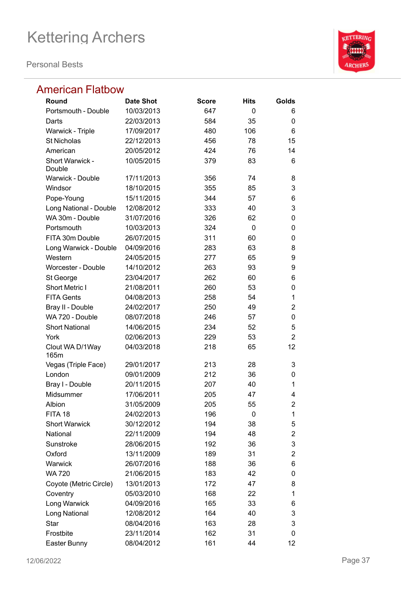**Personal Bests**



### American Flatbow

| Round                   | <b>Date Shot</b> | <b>Score</b> | <b>Hits</b> | Golds          |
|-------------------------|------------------|--------------|-------------|----------------|
| Portsmouth - Double     | 10/03/2013       | 647          | 0           | 6              |
| Darts                   | 22/03/2013       | 584          | 35          | 0              |
| Warwick - Triple        | 17/09/2017       | 480          | 106         | 6              |
| <b>St Nicholas</b>      | 22/12/2013       | 456          | 78          | 15             |
| American                | 20/05/2012       | 424          | 76          | 14             |
| Short Warwick -         | 10/05/2015       | 379          | 83          | 6              |
| Double                  |                  |              |             |                |
| Warwick - Double        | 17/11/2013       | 356          | 74          | 8              |
| Windsor                 | 18/10/2015       | 355          | 85          | 3              |
| Pope-Young              | 15/11/2015       | 344          | 57          | 6              |
| Long National - Double  | 12/08/2012       | 333          | 40          | 3              |
| WA 30m - Double         | 31/07/2016       | 326          | 62          | 0              |
| Portsmouth              | 10/03/2013       | 324          | 0           | 0              |
| FITA 30m Double         | 26/07/2015       | 311          | 60          | 0              |
| Long Warwick - Double   | 04/09/2016       | 283          | 63          | 8              |
| Western                 | 24/05/2015       | 277          | 65          | 9              |
| Worcester - Double      | 14/10/2012       | 263          | 93          | 9              |
| St George               | 23/04/2017       | 262          | 60          | 6              |
| <b>Short Metric I</b>   | 21/08/2011       | 260          | 53          | 0              |
| <b>FITA Gents</b>       | 04/08/2013       | 258          | 54          | 1              |
| Bray II - Double        | 24/02/2017       | 250          | 49          | $\overline{2}$ |
| WA 720 - Double         | 08/07/2018       | 246          | 57          | 0              |
| <b>Short National</b>   | 14/06/2015       | 234          | 52          | 5              |
| York                    | 02/06/2013       | 229          | 53          | $\overline{2}$ |
| Clout WA D/1Way<br>165m | 04/03/2018       | 218          | 65          | 12             |
| Vegas (Triple Face)     | 29/01/2017       | 213          | 28          | 3              |
| London                  | 09/01/2009       | 212          | 36          | 0              |
| Bray I - Double         | 20/11/2015       | 207          | 40          | 1              |
| Midsummer               | 17/06/2011       | 205          | 47          | 4              |
| Albion                  | 31/05/2009       | 205          | 55          | $\overline{2}$ |
| FITA 18                 | 24/02/2013       | 196          | 0           | 1              |
| <b>Short Warwick</b>    | 30/12/2012       | 194          | 38          | 5              |
| National                | 22/11/2009       | 194          | 48          | $\overline{2}$ |
| Sunstroke               | 28/06/2015       | 192          | 36          | 3              |
| Oxford                  | 13/11/2009       | 189          | 31          | 2              |
| Warwick                 | 26/07/2016       | 188          | 36          | 6              |
| <b>WA 720</b>           | 21/06/2015       | 183          | 42          | 0              |
| Coyote (Metric Circle)  | 13/01/2013       | 172          | 47          | 8              |
| Coventry                | 05/03/2010       | 168          | 22          | 1              |
| Long Warwick            | 04/09/2016       | 165          | 33          | 6              |
| Long National           | 12/08/2012       | 164          | 40          | 3              |
| Star                    | 08/04/2016       | 163          | 28          | 3              |
| Frostbite               | 23/11/2014       | 162          | 31          | 0              |
| Easter Bunny            | 08/04/2012       | 161          | 44          | 12             |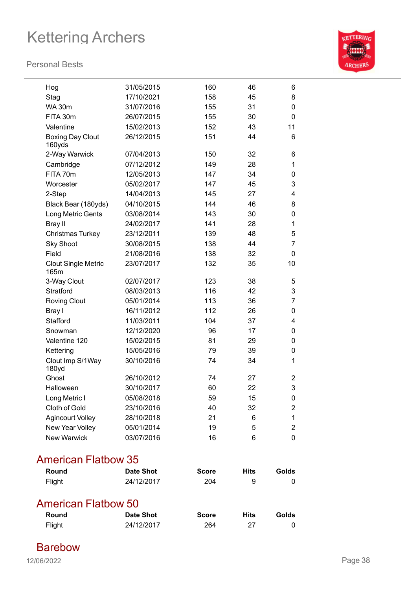#### **Personal Bests**



| Hog                                | 31/05/2015 | 160 | 46 | 6              |
|------------------------------------|------------|-----|----|----------------|
| Stag                               | 17/10/2021 | 158 | 45 | 8              |
| <b>WA 30m</b>                      | 31/07/2016 | 155 | 31 | 0              |
| FITA 30m                           | 26/07/2015 | 155 | 30 | 0              |
| Valentine                          | 15/02/2013 | 152 | 43 | 11             |
| <b>Boxing Day Clout</b><br>160yds  | 26/12/2015 | 151 | 44 | 6              |
| 2-Way Warwick                      | 07/04/2013 | 150 | 32 | 6              |
| Cambridge                          | 07/12/2012 | 149 | 28 | 1              |
| FITA 70m                           | 12/05/2013 | 147 | 34 | 0              |
| Worcester                          | 05/02/2017 | 147 | 45 | 3              |
| 2-Step                             | 14/04/2013 | 145 | 27 | 4              |
| Black Bear (180yds)                | 04/10/2015 | 144 | 46 | 8              |
| Long Metric Gents                  | 03/08/2014 | 143 | 30 | $\mathbf 0$    |
| <b>Bray II</b>                     | 24/02/2017 | 141 | 28 | 1              |
| Christmas Turkey                   | 23/12/2011 | 139 | 48 | 5              |
| <b>Sky Shoot</b>                   | 30/08/2015 | 138 | 44 | $\overline{7}$ |
| Field                              | 21/08/2016 | 138 | 32 | $\mathbf 0$    |
| <b>Clout Single Metric</b><br>165m | 23/07/2017 | 132 | 35 | 10             |
| 3-Way Clout                        | 02/07/2017 | 123 | 38 | 5              |
| Stratford                          | 08/03/2013 | 116 | 42 | 3              |
| <b>Roving Clout</b>                | 05/01/2014 | 113 | 36 | 7              |
| Bray I                             | 16/11/2012 | 112 | 26 | 0              |
| Stafford                           | 11/03/2011 | 104 | 37 | 4              |
| Snowman                            | 12/12/2020 | 96  | 17 | 0              |
| Valentine 120                      | 15/02/2015 | 81  | 29 | 0              |
| Kettering                          | 15/05/2016 | 79  | 39 | 0              |
| Clout Imp S/1Way<br>180yd          | 30/10/2016 | 74  | 34 | $\mathbf 1$    |
| Ghost                              | 26/10/2012 | 74  | 27 | $\overline{2}$ |
| Halloween                          | 30/10/2017 | 60  | 22 | 3              |
| Long Metric I                      | 05/08/2018 | 59  | 15 | $\mathbf 0$    |
| Cloth of Gold                      | 23/10/2016 | 40  | 32 | $\overline{2}$ |
| <b>Agincourt Volley</b>            | 28/10/2018 | 21  | 6  | $\mathbf{1}$   |
| New Year Volley                    | 05/01/2014 | 19  | 5  | $\overline{2}$ |
| <b>New Warwick</b>                 | 03/07/2016 | 16  | 6  | $\overline{0}$ |
|                                    |            |     |    |                |

### American Flatbow 35

| Round               | <b>Date Shot</b> | <b>Score</b> | <b>Hits</b> | Golds |
|---------------------|------------------|--------------|-------------|-------|
| Flight              | 24/12/2017       | 204          | 9           | O     |
|                     |                  |              |             |       |
| American Flatbow 50 |                  |              |             |       |
| Round               | <b>Date Shot</b> | <b>Score</b> | <b>Hits</b> | Golds |

Barebow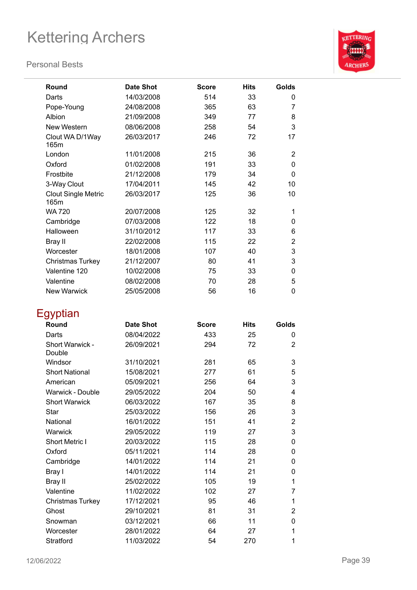#### **Personal Bests**



| Round                              | <b>Date Shot</b> | <b>Score</b> | <b>Hits</b> | Golds          |
|------------------------------------|------------------|--------------|-------------|----------------|
| Darts                              | 14/03/2008       | 514          | 33          | 0              |
| Pope-Young                         | 24/08/2008       | 365          | 63          | 7              |
| Albion                             | 21/09/2008       | 349          | 77          | 8              |
| New Western                        | 08/06/2008       | 258          | 54          | 3              |
| Clout WA D/1Way<br>165m            | 26/03/2017       | 246          | 72          | 17             |
| London                             | 11/01/2008       | 215          | 36          | 2              |
| Oxford                             | 01/02/2008       | 191          | 33          | 0              |
| Frostbite                          | 21/12/2008       | 179          | 34          | 0              |
| 3-Way Clout                        | 17/04/2011       | 145          | 42          | 10             |
| <b>Clout Single Metric</b><br>165m | 26/03/2017       | 125          | 36          | 10             |
| <b>WA 720</b>                      | 20/07/2008       | 125          | 32          | 1              |
| Cambridge                          | 07/03/2008       | 122          | 18          | 0              |
| Halloween                          | 31/10/2012       | 117          | 33          | 6              |
| Bray II                            | 22/02/2008       | 115          | 22          | $\overline{2}$ |
| Worcester                          | 18/01/2008       | 107          | 40          | 3              |
| Christmas Turkey                   | 21/12/2007       | 80           | 41          | 3              |
| Valentine 120                      | 10/02/2008       | 75           | 33          | 0              |
| Valentine                          | 08/02/2008       | 70           | 28          | 5              |
| <b>New Warwick</b>                 | 25/05/2008       | 56           | 16          | 0              |
| Egyptian                           |                  |              |             |                |
| Round                              | <b>Date Shot</b> | <b>Score</b> | <b>Hits</b> | Golds          |
| Darts                              | 08/04/2022       | 433          | 25          | 0              |
| Short Warwick -<br>Double          | 26/09/2021       | 294          | 72          | $\overline{2}$ |
| Windsor                            | 31/10/2021       | 281          | 65          | 3              |
| <b>Short National</b>              | 15/08/2021       | 277          | 61          | 5              |
| American                           | 05/09/2021       | 256          | 64          | 3              |
| Warwick - Double                   | 29/05/2022       | 204          | 50          | 4              |
| <b>Short Warwick</b>               | 06/03/2022       | 167          | 35          | 8              |
| <b>Star</b>                        | 25/03/2022       | 156          | 26          | 3              |
| National                           | 16/01/2022       | 151          | 41          | 2              |
| Warwick                            | 29/05/2022       | 119          | 27          | 3              |
| Short Metric I                     | 20/03/2022       | 115          | 28          | 0              |
| Oxford                             | 05/11/2021       | 114          | 28          | 0              |
| Cambridge                          | 14/01/2022       | 114          | 21          | 0              |
| Bray I                             | 14/01/2022       | 114          | 21          | 0              |
| <b>Bray II</b>                     | 25/02/2022       | 105          | 19          | 1              |
| Valentine                          | 11/02/2022       | 102          | 27          | 7              |
| <b>Christmas Turkey</b>            | 17/12/2021       | 95           | 46          | 1              |
| Ghost                              | 29/10/2021       | 81           | 31          | $\overline{c}$ |
| Snowman                            | 03/12/2021       | 66           | 11          | 0              |

Worcester 28/01/2022 64 27 1 Stratford 11/03/2022 54 270 1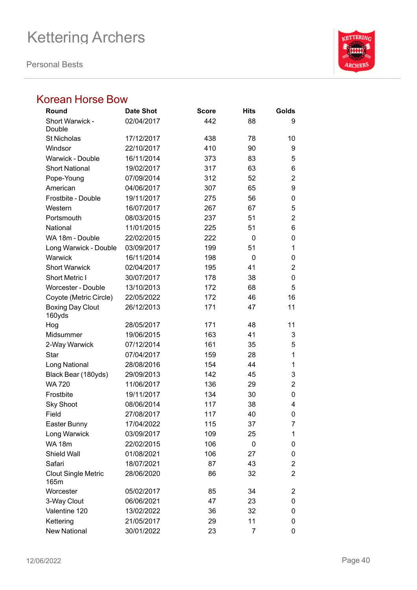**Personal Bests**



### Korean Horse Bow

| Round                              | <b>Date Shot</b> | <b>Score</b> | <b>Hits</b> | Golds          |
|------------------------------------|------------------|--------------|-------------|----------------|
| Short Warwick -                    | 02/04/2017       | 442          | 88          | 9              |
| Double                             |                  |              |             |                |
| <b>St Nicholas</b>                 | 17/12/2017       | 438          | 78          | 10             |
| Windsor                            | 22/10/2017       | 410          | 90          | 9              |
| <b>Warwick - Double</b>            | 16/11/2014       | 373          | 83          | 5              |
| <b>Short National</b>              | 19/02/2017       | 317          | 63          | 6              |
| Pope-Young                         | 07/09/2014       | 312          | 52          | $\overline{2}$ |
| American                           | 04/06/2017       | 307          | 65          | 9              |
| Frostbite - Double                 | 19/11/2017       | 275          | 56          | 0              |
| Western                            | 16/07/2017       | 267          | 67          | 5              |
| Portsmouth                         | 08/03/2015       | 237          | 51          | $\overline{2}$ |
| National                           | 11/01/2015       | 225          | 51          | 6              |
| WA 18m - Double                    | 22/02/2015       | 222          | 0           | 0              |
| Long Warwick - Double              | 03/09/2017       | 199          | 51          | 1              |
| Warwick                            | 16/11/2014       | 198          | 0           | 0              |
| <b>Short Warwick</b>               | 02/04/2017       | 195          | 41          | 2              |
| <b>Short Metric I</b>              | 30/07/2017       | 178          | 38          | 0              |
| Worcester - Double                 | 13/10/2013       | 172          | 68          | 5              |
| Coyote (Metric Circle)             | 22/05/2022       | 172          | 46          | 16             |
| <b>Boxing Day Clout</b><br>160yds  | 26/12/2013       | 171          | 47          | 11             |
| Hog                                | 28/05/2017       | 171          | 48          | 11             |
| Midsummer                          | 19/06/2015       | 163          | 41          | 3              |
| 2-Way Warwick                      | 07/12/2014       | 161          | 35          | 5              |
| Star                               | 07/04/2017       | 159          | 28          | 1              |
| Long National                      | 28/08/2016       | 154          | 44          | 1              |
| Black Bear (180yds)                | 29/09/2013       | 142          | 45          | 3              |
| <b>WA 720</b>                      | 11/06/2017       | 136          | 29          | $\overline{2}$ |
| Frostbite                          | 19/11/2017       | 134          | 30          | 0              |
| <b>Sky Shoot</b>                   | 08/06/2014       | 117          | 38          | 4              |
| Field                              | 27/08/2017       | 117          | 40          | 0              |
| Easter Bunny                       | 17/04/2022       | 115          | 37          | 7              |
| Long Warwick                       | 03/09/2017       | 109          | 25          | 1              |
| <b>WA 18m</b>                      | 22/02/2015       | 106          | 0           | 0              |
| Shield Wall                        | 01/08/2021       | 106          | 27          | 0              |
| Safari                             | 18/07/2021       | 87           | 43          | $\overline{2}$ |
| <b>Clout Single Metric</b><br>165m | 28/06/2020       | 86           | 32          | $\overline{2}$ |
| Worcester                          | 05/02/2017       | 85           | 34          | 2              |
| 3-Way Clout                        | 06/06/2021       | 47           | 23          | 0              |
| Valentine 120                      | 13/02/2022       | 36           | 32          | 0              |
| Kettering                          | 21/05/2017       | 29           | 11          | 0              |
| <b>New National</b>                | 30/01/2022       | 23           | 7           | 0              |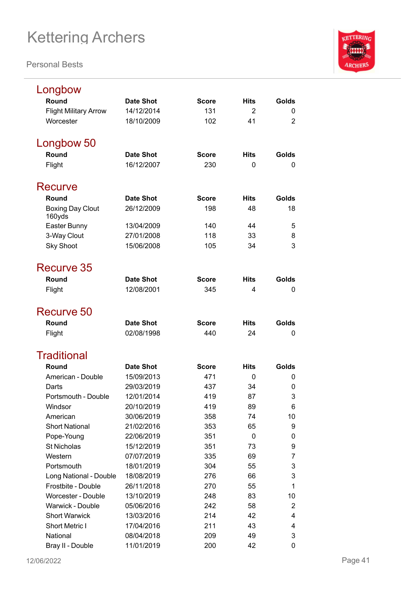

| Longbow                           |                  |              |                |                |
|-----------------------------------|------------------|--------------|----------------|----------------|
| Round                             | <b>Date Shot</b> | <b>Score</b> | <b>Hits</b>    | Golds          |
| <b>Flight Military Arrow</b>      | 14/12/2014       | 131          | $\overline{2}$ | 0              |
| Worcester                         | 18/10/2009       | 102          | 41             | $\overline{2}$ |
| Longbow 50                        |                  |              |                |                |
| Round                             | <b>Date Shot</b> | <b>Score</b> | <b>Hits</b>    | Golds          |
| Flight                            | 16/12/2007       | 230          | 0              | 0              |
| Recurve                           |                  |              |                |                |
| Round                             | <b>Date Shot</b> | <b>Score</b> | <b>Hits</b>    | Golds          |
| <b>Boxing Day Clout</b><br>160yds | 26/12/2009       | 198          | 48             | 18             |
| Easter Bunny                      | 13/04/2009       | 140          | 44             | 5              |
| 3-Way Clout                       | 27/01/2008       | 118          | 33             | 8              |
| <b>Sky Shoot</b>                  | 15/06/2008       | 105          | 34             | 3              |
| Recurve 35                        |                  |              |                |                |
| Round                             | <b>Date Shot</b> | <b>Score</b> | <b>Hits</b>    | Golds          |
| Flight                            | 12/08/2001       | 345          | 4              | 0              |
| Recurve 50                        |                  |              |                |                |
| Round                             | <b>Date Shot</b> | <b>Score</b> | <b>Hits</b>    | Golds          |
| Flight                            | 02/08/1998       | 440          | 24             | 0              |
| <b>Traditional</b>                |                  |              |                |                |
| Round                             | <b>Date Shot</b> | <b>Score</b> | <b>Hits</b>    | Golds          |
| American - Double                 | 15/09/2013       | 471          | 0              | 0              |
| Darts                             | 29/03/2019       | 437          | 34             | 0              |
| Portsmouth - Double               | 12/01/2014       | 419          | 87             | 3              |
| Windsor                           | 20/10/2019       | 419          | 89             | 6              |
| American                          | 30/06/2019       | 358          | 74             | 10             |
| <b>Short National</b>             | 21/02/2016       | 353          | 65             | 9              |
| Pope-Young                        | 22/06/2019       | 351          | 0              | 0              |
| <b>St Nicholas</b>                | 15/12/2019       | 351          | 73             | 9              |
| Western                           | 07/07/2019       | 335          | 69             | 7              |
| Portsmouth                        | 18/01/2019       | 304          | 55             | 3              |
| Long National - Double            | 18/08/2019       | 276          | 66             | 3              |
| Frostbite - Double                | 26/11/2018       | 270          | 55             | 1              |
| <b>Worcester - Double</b>         | 13/10/2019       | 248          | 83             | 10             |
| <b>Warwick - Double</b>           | 05/06/2016       | 242          | 58             | $\overline{2}$ |
| <b>Short Warwick</b>              | 13/03/2016       | 214          | 42             | 4              |
| Short Metric I                    | 17/04/2016       | 211          | 43             | 4              |
| National                          | 08/04/2018       | 209          | 49             | 3              |
| Bray II - Double                  | 11/01/2019       | 200          | 42             | 0              |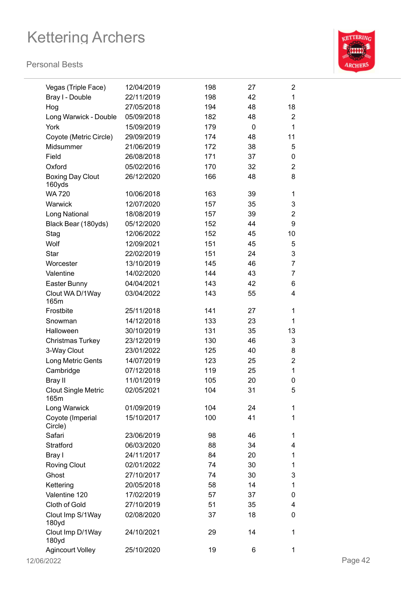

| Vegas (Triple Face)                | 12/04/2019 | 198 | 27              | $\overline{2}$            |         |
|------------------------------------|------------|-----|-----------------|---------------------------|---------|
| Bray I - Double                    | 22/11/2019 | 198 | 42              | 1                         |         |
| Hog                                | 27/05/2018 | 194 | 48              | 18                        |         |
| Long Warwick - Double              | 05/09/2018 | 182 | 48              | $\overline{2}$            |         |
| York                               | 15/09/2019 | 179 | $\mathbf 0$     | 1                         |         |
| Coyote (Metric Circle)             | 29/09/2019 | 174 | 48              | 11                        |         |
| Midsummer                          | 21/06/2019 | 172 | 38              | 5                         |         |
| Field                              | 26/08/2018 | 171 | 37              | $\pmb{0}$                 |         |
| Oxford                             | 05/02/2016 | 170 | 32              | $\overline{2}$            |         |
| <b>Boxing Day Clout</b><br>160yds  | 26/12/2020 | 166 | 48              | 8                         |         |
| <b>WA 720</b>                      | 10/06/2018 | 163 | 39              | 1                         |         |
| Warwick                            | 12/07/2020 | 157 | 35              | $\ensuremath{\mathsf{3}}$ |         |
| Long National                      | 18/08/2019 | 157 | 39              | $\overline{2}$            |         |
| Black Bear (180yds)                | 05/12/2020 | 152 | 44              | $\boldsymbol{9}$          |         |
| Stag                               | 12/06/2022 | 152 | 45              | 10                        |         |
| Wolf                               | 12/09/2021 | 151 | 45              | 5                         |         |
| Star                               | 22/02/2019 | 151 | 24              | 3                         |         |
| Worcester                          | 13/10/2019 | 145 | 46              | $\overline{7}$            |         |
| Valentine                          | 14/02/2020 | 144 | 43              | $\overline{7}$            |         |
| Easter Bunny                       | 04/04/2021 | 143 | 42              | 6                         |         |
| Clout WA D/1Way<br>165m            | 03/04/2022 | 143 | 55              | 4                         |         |
| Frostbite                          | 25/11/2018 | 141 | 27              | 1                         |         |
| Snowman                            | 14/12/2018 | 133 | 23              | 1                         |         |
| Halloween                          | 30/10/2019 | 131 | 35              | 13                        |         |
| <b>Christmas Turkey</b>            | 23/12/2019 | 130 | 46              | 3                         |         |
| 3-Way Clout                        | 23/01/2022 | 125 | 40              | 8                         |         |
| Long Metric Gents                  | 14/07/2019 | 123 | 25              | $\overline{c}$            |         |
| Cambridge                          | 07/12/2018 | 119 | 25              | 1                         |         |
| Bray II                            | 11/01/2019 | 105 | 20              | $\pmb{0}$                 |         |
| <b>Clout Single Metric</b><br>165m | 02/05/2021 | 104 | 31              | 5                         |         |
| Long Warwick                       | 01/09/2019 | 104 | 24              | 1                         |         |
| Coyote (Imperial<br>Circle)        | 15/10/2017 | 100 | 41              | 1                         |         |
| Safari                             | 23/06/2019 | 98  | 46              | 1                         |         |
| Stratford                          | 06/03/2020 | 88  | 34              | 4                         |         |
| Bray I                             | 24/11/2017 | 84  | 20              | 1                         |         |
| <b>Roving Clout</b>                | 02/01/2022 | 74  | 30              | 1                         |         |
| Ghost                              | 27/10/2017 | 74  | 30              | 3                         |         |
| Kettering                          | 20/05/2018 | 58  | 14              | 1                         |         |
| Valentine 120                      | 17/02/2019 | 57  | 37              | 0                         |         |
| Cloth of Gold                      | 27/10/2019 | 51  | 35              | 4                         |         |
| Clout Imp S/1Way<br>180yd          | 02/08/2020 | 37  | 18              | 0                         |         |
| Clout Imp D/1Way<br>180yd          | 24/10/2021 | 29  | 14              | 1                         |         |
| <b>Agincourt Volley</b>            | 25/10/2020 | 19  | $6\phantom{1}6$ | 1                         |         |
| 12/06/2022                         |            |     |                 |                           | Page 42 |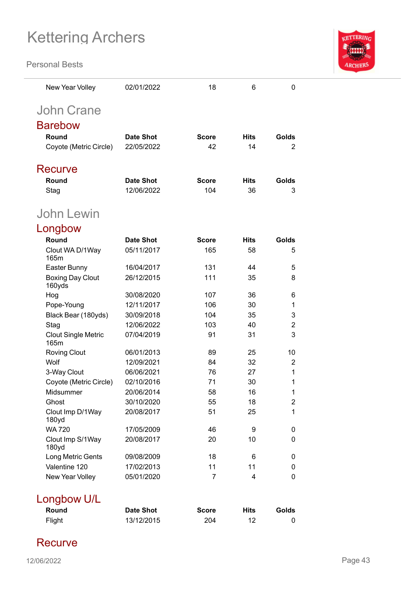**Personal Bests**



| New Year Volley                    | 02/01/2022       | 18           | 6           | $\Omega$       |
|------------------------------------|------------------|--------------|-------------|----------------|
| <b>John Crane</b>                  |                  |              |             |                |
| <b>Barebow</b>                     |                  |              |             |                |
|                                    |                  |              |             |                |
| Round                              | <b>Date Shot</b> | <b>Score</b> | <b>Hits</b> | Golds          |
| Coyote (Metric Circle)             | 22/05/2022       | 42           | 14          | 2              |
| Recurve                            |                  |              |             |                |
| Round                              | <b>Date Shot</b> | <b>Score</b> | <b>Hits</b> | Golds          |
| Stag                               | 12/06/2022       | 104          | 36          | 3              |
|                                    |                  |              |             |                |
| John Lewin                         |                  |              |             |                |
| Longbow                            |                  |              |             |                |
| Round                              | <b>Date Shot</b> | <b>Score</b> | <b>Hits</b> | Golds          |
| Clout WA D/1Way                    | 05/11/2017       | 165          | 58          | 5              |
| 165m                               |                  |              |             |                |
| Easter Bunny                       | 16/04/2017       | 131          | 44          | 5              |
| <b>Boxing Day Clout</b><br>160yds  | 26/12/2015       | 111          | 35          | 8              |
| Hog                                | 30/08/2020       | 107          | 36          | 6              |
| Pope-Young                         | 12/11/2017       | 106          | 30          | 1              |
| Black Bear (180yds)                | 30/09/2018       | 104          | 35          | 3              |
| Stag                               | 12/06/2022       | 103          | 40          | 2              |
| <b>Clout Single Metric</b><br>165m | 07/04/2019       | 91           | 31          | 3              |
| <b>Roving Clout</b>                | 06/01/2013       | 89           | 25          | 10             |
| Wolf                               | 12/09/2021       | 84           | 32          | $\overline{2}$ |
| 3-Way Clout                        | 06/06/2021       | 76           | 27          | 1              |
| Coyote (Metric Circle)             | 02/10/2016       | 71           | 30          | 1              |
| Midsummer                          | 20/06/2014       | 58           | 16          | 1              |
| Ghost                              | 30/10/2020       | 55           | 18          | 2              |
| Clout Imp D/1Way<br>180yd          | 20/08/2017       | 51           | 25          | 1              |
| <b>WA 720</b>                      | 17/05/2009       | 46           | 9           | 0              |
| Clout Imp S/1Way<br>180yd          | 20/08/2017       | 20           | 10          | 0              |
| Long Metric Gents                  | 09/08/2009       | 18           | 6           | 0              |
| Valentine 120                      | 17/02/2013       | 11           | 11          | 0              |
| New Year Volley                    | 05/01/2020       | 7            | 4           | 0              |
|                                    |                  |              |             |                |
| Longbow U/L<br>Round               |                  |              |             |                |
|                                    | <b>Date Shot</b> | <b>Score</b> | <b>Hits</b> | Golds          |

Flight 13/12/2015 204 12 0

## **Recurve**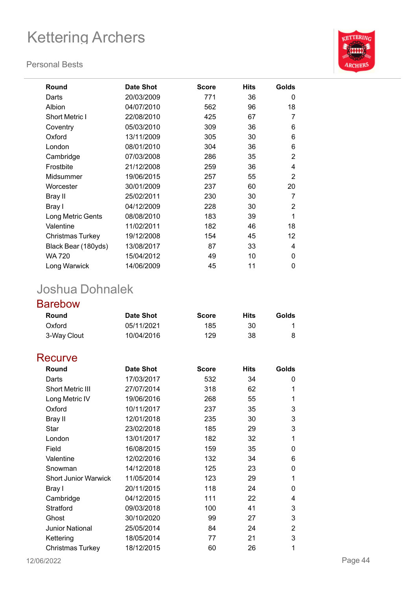#### **Personal Bests**



| <b>Round</b>            | <b>Date Shot</b> | <b>Score</b> | <b>Hits</b> | Golds          |
|-------------------------|------------------|--------------|-------------|----------------|
| Darts                   | 20/03/2009       | 771          | 36          | 0              |
| Albion                  | 04/07/2010       | 562          | 96          | 18             |
| <b>Short Metric I</b>   | 22/08/2010       | 425          | 67          | 7              |
| Coventry                | 05/03/2010       | 309          | 36          | 6              |
| Oxford                  | 13/11/2009       | 305          | 30          | 6              |
| London                  | 08/01/2010       | 304          | 36          | 6              |
| Cambridge               | 07/03/2008       | 286          | 35          | $\overline{2}$ |
| Frostbite               | 21/12/2008       | 259          | 36          | 4              |
| Midsummer               | 19/06/2015       | 257          | 55          | $\overline{2}$ |
| Worcester               | 30/01/2009       | 237          | 60          | 20             |
| Bray II                 | 25/02/2011       | 230          | 30          | 7              |
| Bray I                  | 04/12/2009       | 228          | 30          | 2              |
| Long Metric Gents       | 08/08/2010       | 183          | 39          | 1              |
| Valentine               | 11/02/2011       | 182          | 46          | 18             |
| <b>Christmas Turkey</b> | 19/12/2008       | 154          | 45          | 12             |
| Black Bear (180yds)     | 13/08/2017       | 87           | 33          | 4              |
| WA 720                  | 15/04/2012       | 49           | 10          | $\Omega$       |
| Long Warwick            | 14/06/2009       | 45           | 11          | 0              |

## Joshua Dohnalek

### Barebow

| Round       | <b>Date Shot</b> | <b>Score</b> | Hits | Golds |
|-------------|------------------|--------------|------|-------|
| Oxford      | 05/11/2021       | 185          | 30   |       |
| 3-Way Clout | 10/04/2016       | 129          | 38   |       |
|             |                  |              |      |       |

### **Recurve**

| Round                       | <b>Date Shot</b> | <b>Score</b> | <b>Hits</b> | Golds |
|-----------------------------|------------------|--------------|-------------|-------|
| Darts                       | 17/03/2017       | 532          | 34          | 0     |
| <b>Short Metric III</b>     | 27/07/2014       | 318          | 62          | 1     |
| Long Metric IV              | 19/06/2016       | 268          | 55          | 1     |
| Oxford                      | 10/11/2017       | 237          | 35          | 3     |
| Bray II                     | 12/01/2018       | 235          | 30          | 3     |
| Star                        | 23/02/2018       | 185          | 29          | 3     |
| London                      | 13/01/2017       | 182          | 32          | 1     |
| Field                       | 16/08/2015       | 159          | 35          | 0     |
| Valentine                   | 12/02/2016       | 132          | 34          | 6     |
| Snowman                     | 14/12/2018       | 125          | 23          | 0     |
| <b>Short Junior Warwick</b> | 11/05/2014       | 123          | 29          | 1     |
| Bray I                      | 20/11/2015       | 118          | 24          | 0     |
| Cambridge                   | 04/12/2015       | 111          | 22          | 4     |
| Stratford                   | 09/03/2018       | 100          | 41          | 3     |
| Ghost                       | 30/10/2020       | 99           | 27          | 3     |
| <b>Junior National</b>      | 25/05/2014       | 84           | 24          | 2     |
| Kettering                   | 18/05/2014       | 77           | 21          | 3     |
| <b>Christmas Turkey</b>     | 18/12/2015       | 60           | 26          | 1     |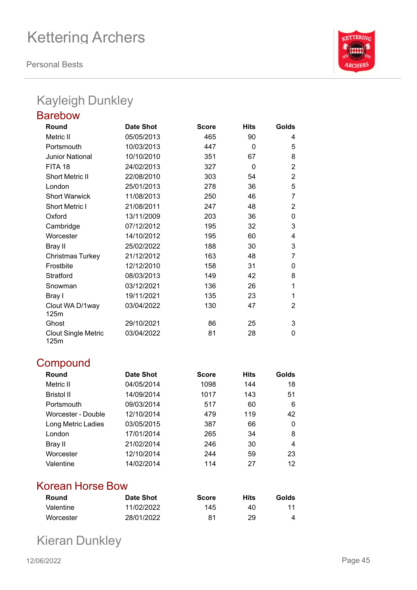**Personal Bests**



## Kayleigh Dunkley

| <b>Barebow</b>                     |                  |              |             |                |
|------------------------------------|------------------|--------------|-------------|----------------|
| Round                              | <b>Date Shot</b> | <b>Score</b> | <b>Hits</b> | Golds          |
| Metric II                          | 05/05/2013       | 465          | 90          | 4              |
| Portsmouth                         | 10/03/2013       | 447          | $\Omega$    | 5              |
| <b>Junior National</b>             | 10/10/2010       | 351          | 67          | 8              |
| FITA 18                            | 24/02/2013       | 327          | 0           | $\overline{2}$ |
| <b>Short Metric II</b>             | 22/08/2010       | 303          | 54          | 2              |
| London                             | 25/01/2013       | 278          | 36          | 5              |
| <b>Short Warwick</b>               | 11/08/2013       | 250          | 46          | 7              |
| <b>Short Metric I</b>              | 21/08/2011       | 247          | 48          | $\overline{2}$ |
| Oxford                             | 13/11/2009       | 203          | 36          | 0              |
| Cambridge                          | 07/12/2012       | 195          | 32          | 3              |
| Worcester                          | 14/10/2012       | 195          | 60          | 4              |
| <b>Bray II</b>                     | 25/02/2022       | 188          | 30          | 3              |
| <b>Christmas Turkey</b>            | 21/12/2012       | 163          | 48          | 7              |
| Frostbite                          | 12/12/2010       | 158          | 31          | 0              |
| Stratford                          | 08/03/2013       | 149          | 42          | 8              |
| Snowman                            | 03/12/2021       | 136          | 26          | 1              |
| Bray I                             | 19/11/2021       | 135          | 23          | 1              |
| Clout WA D/1way<br>125m            | 03/04/2022       | 130          | 47          | 2              |
| Ghost                              | 29/10/2021       | 86           | 25          | 3              |
| <b>Clout Single Metric</b><br>125m | 03/04/2022       | 81           | 28          | 0              |

### **Compound**

| Round              | <b>Date Shot</b> | <b>Score</b> | <b>Hits</b> | Golds |
|--------------------|------------------|--------------|-------------|-------|
| Metric II          | 04/05/2014       | 1098         | 144         | 18    |
| <b>Bristol II</b>  | 14/09/2014       | 1017         | 143         | 51    |
| Portsmouth         | 09/03/2014       | 517          | 60          | 6     |
| Worcester - Double | 12/10/2014       | 479          | 119         | 42    |
| Long Metric Ladies | 03/05/2015       | 387          | 66          | 0     |
| London             | 17/01/2014       | 265          | 34          | 8     |
| Bray II            | 21/02/2014       | 246          | 30          | 4     |
| Worcester          | 12/10/2014       | 244          | 59          | 23    |
| Valentine          | 14/02/2014       | 114          | 27          | 12    |

### Korean Horse Bow

| Round     | Date Shot  | <b>Score</b> | Hits | Golds |
|-----------|------------|--------------|------|-------|
| Valentine | 11/02/2022 | 145          | 40   | 11    |
| Worcester | 28/01/2022 | 81           | 29   |       |

Kieran Dunkley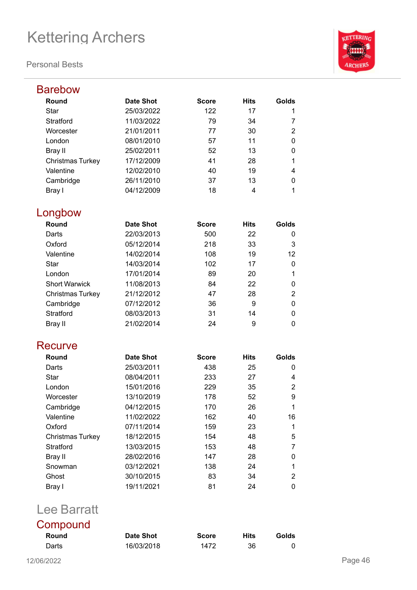#### **Personal Bests**



| <b>Barebow</b>          |                  |              |             |                |
|-------------------------|------------------|--------------|-------------|----------------|
| Round                   | <b>Date Shot</b> | <b>Score</b> | <b>Hits</b> | Golds          |
| <b>Star</b>             | 25/03/2022       | 122          | 17          | 1              |
| Stratford               | 11/03/2022       | 79           | 34          | 7              |
| Worcester               | 21/01/2011       | 77           | 30          | 2              |
| London                  | 08/01/2010       | 57           | 11          | 0              |
| Bray II                 | 25/02/2011       | 52           | 13          | 0              |
| <b>Christmas Turkey</b> | 17/12/2009       | 41           | 28          | 1              |
| Valentine               | 12/02/2010       | 40           | 19          | 4              |
| Cambridge               | 26/11/2010       | 37           | 13          | 0              |
| Bray I                  | 04/12/2009       | 18           | 4           | 1              |
| Longbow                 |                  |              |             |                |
| Round                   | <b>Date Shot</b> | <b>Score</b> | <b>Hits</b> | Golds          |
| Darts                   | 22/03/2013       | 500          | 22          | 0              |
| Oxford                  | 05/12/2014       | 218          | 33          | 3              |
| Valentine               | 14/02/2014       | 108          | 19          | 12             |
| <b>Star</b>             | 14/03/2014       | 102          | 17          | 0              |
| London                  | 17/01/2014       | 89           | 20          | 1              |
| <b>Short Warwick</b>    | 11/08/2013       | 84           | 22          | 0              |
| <b>Christmas Turkey</b> | 21/12/2012       | 47           | 28          | $\overline{2}$ |
| Cambridge               | 07/12/2012       | 36           | 9           | 0              |
| Stratford               | 08/03/2013       | 31           | 14          | 0              |
| <b>Bray II</b>          | 21/02/2014       | 24           | 9           | 0              |
| Recurve                 |                  |              |             |                |
| Round                   | <b>Date Shot</b> | <b>Score</b> | <b>Hits</b> | Golds          |
| Darts                   | 25/03/2011       | 438          | 25          | 0              |
| <b>Star</b>             | 08/04/2011       | 233          | 27          | 4              |
| London                  | 15/01/2016       | 229          | 35          | $\overline{2}$ |
| Worcester               | 13/10/2019       | 178          | 52          | 9              |
| Cambridge               | 04/12/2015       | 170          | 26          | 1              |
| Valentine               | 11/02/2022       | 162          | 40          | 16             |
| Oxford                  | 07/11/2014       | 159          | 23          | 1              |
| Christmas Turkey        | 18/12/2015       | 154          | 48          | 5              |
| Stratford               | 13/03/2015       | 153          | 48          | 7              |
| <b>Bray II</b>          | 28/02/2016       | 147          | 28          | 0              |
| Snowman                 | 03/12/2021       | 138          | 24          | 1              |
| Ghost                   | 30/10/2015       | 83           | 34          | 2              |
| Bray I                  | 19/11/2021       | 81           | 24          | 0              |
|                         |                  |              |             |                |

## Lee Barratt

| Compound |            |              |             |       |
|----------|------------|--------------|-------------|-------|
| Round    | Date Shot  | <b>Score</b> | <b>Hits</b> | Golds |
| Darts    | 16/03/2018 | 1472         | 36          |       |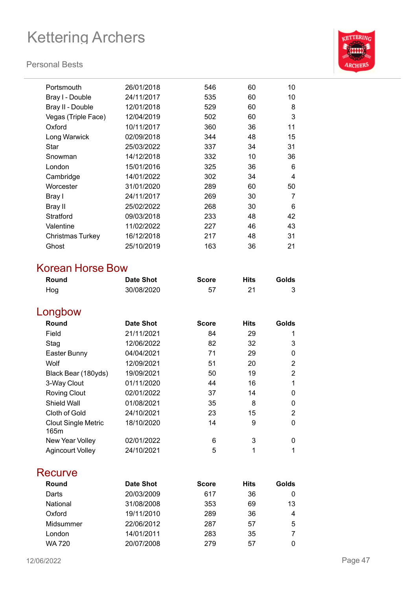#### **Personal Bests**



| Portsmouth          | 26/01/2018 | 546 | 60 | 10 |
|---------------------|------------|-----|----|----|
| Bray I - Double     | 24/11/2017 | 535 | 60 | 10 |
| Bray II - Double    | 12/01/2018 | 529 | 60 | 8  |
| Vegas (Triple Face) | 12/04/2019 | 502 | 60 | 3  |
| Oxford              | 10/11/2017 | 360 | 36 | 11 |
| Long Warwick        | 02/09/2018 | 344 | 48 | 15 |
| Star                | 25/03/2022 | 337 | 34 | 31 |
| Snowman             | 14/12/2018 | 332 | 10 | 36 |
| London              | 15/01/2016 | 325 | 36 | 6  |
| Cambridge           | 14/01/2022 | 302 | 34 | 4  |
| Worcester           | 31/01/2020 | 289 | 60 | 50 |
| Bray I              | 24/11/2017 | 269 | 30 | 7  |
| Bray II             | 25/02/2022 | 268 | 30 | 6  |
| Stratford           | 09/03/2018 | 233 | 48 | 42 |
| Valentine           | 11/02/2022 | 227 | 46 | 43 |
| Christmas Turkey    | 16/12/2018 | 217 | 48 | 31 |
| Ghost               | 25/10/2019 | 163 | 36 | 21 |
|                     |            |     |    |    |

### Korean Horse Bow

| Round | <b>Date Shot</b> | <b>Score</b> | <b>Hits</b> | Golds |
|-------|------------------|--------------|-------------|-------|
| Hog   | 30/08/2020       |              |             |       |

## Longbow

| Round                              | <b>Date Shot</b> | <b>Score</b> | <b>Hits</b> | Golds |
|------------------------------------|------------------|--------------|-------------|-------|
| Field                              | 21/11/2021       | 84           | 29          |       |
| Stag                               | 12/06/2022       | 82           | 32          | 3     |
| Easter Bunny                       | 04/04/2021       | 71           | 29          | 0     |
| Wolf                               | 12/09/2021       | 51           | 20          | 2     |
| Black Bear (180yds)                | 19/09/2021       | 50           | 19          | 2     |
| 3-Way Clout                        | 01/11/2020       | 44           | 16          |       |
| <b>Roving Clout</b>                | 02/01/2022       | 37           | 14          | 0     |
| Shield Wall                        | 01/08/2021       | 35           | 8           | 0     |
| Cloth of Gold                      | 24/10/2021       | 23           | 15          | 2     |
| <b>Clout Single Metric</b><br>165m | 18/10/2020       | 14           | 9           | 0     |
| New Year Volley                    | 02/01/2022       | 6            | 3           | 0     |
| <b>Agincourt Volley</b>            | 24/10/2021       | 5            | 1           |       |

### **Recurve**

| Round     | Date Shot  | <b>Score</b> | <b>Hits</b> | Golds |
|-----------|------------|--------------|-------------|-------|
| Darts     | 20/03/2009 | 617          | 36          |       |
| National  | 31/08/2008 | 353          | 69          | 13    |
| Oxford    | 19/11/2010 | 289          | 36          | 4     |
| Midsummer | 22/06/2012 | 287          | 57          | 5     |
| London    | 14/01/2011 | 283          | 35          |       |
| WA 720    | 20/07/2008 | 279          | 57          |       |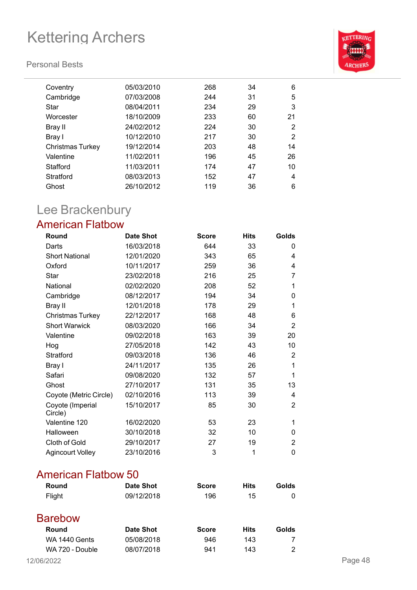#### **Personal Bests**



| Coventry         | 05/03/2010 | 268 | 34 | 6              |
|------------------|------------|-----|----|----------------|
| Cambridge        | 07/03/2008 | 244 | 31 | 5              |
| Star             | 08/04/2011 | 234 | 29 | 3              |
| Worcester        | 18/10/2009 | 233 | 60 | 21             |
| Bray II          | 24/02/2012 | 224 | 30 | 2              |
| Bray I           | 10/12/2010 | 217 | 30 | $\overline{2}$ |
| Christmas Turkey | 19/12/2014 | 203 | 48 | 14             |
| Valentine        | 11/02/2011 | 196 | 45 | 26             |
| Stafford         | 11/03/2011 | 174 | 47 | 10             |
| Stratford        | 08/03/2013 | 152 | 47 | 4              |
| Ghost            | 26/10/2012 | 119 | 36 | 6              |
|                  |            |     |    |                |

## Lee Brackenbury

### American Flatbow

| Round                       | <b>Date Shot</b> | <b>Score</b> | <b>Hits</b> | Golds |
|-----------------------------|------------------|--------------|-------------|-------|
| Darts                       | 16/03/2018       | 644          | 33          | 0     |
| <b>Short National</b>       | 12/01/2020       | 343          | 65          | 4     |
| Oxford                      | 10/11/2017       | 259          | 36          | 4     |
| <b>Star</b>                 | 23/02/2018       | 216          | 25          | 7     |
| National                    | 02/02/2020       | 208          | 52          | 1     |
| Cambridge                   | 08/12/2017       | 194          | 34          | 0     |
| Bray II                     | 12/01/2018       | 178          | 29          | 1     |
| <b>Christmas Turkey</b>     | 22/12/2017       | 168          | 48          | 6     |
| <b>Short Warwick</b>        | 08/03/2020       | 166          | 34          | 2     |
| Valentine                   | 09/02/2018       | 163          | 39          | 20    |
| Hog                         | 27/05/2018       | 142          | 43          | 10    |
| Stratford                   | 09/03/2018       | 136          | 46          | 2     |
| Bray I                      | 24/11/2017       | 135          | 26          | 1     |
| Safari                      | 09/08/2020       | 132          | 57          | 1     |
| Ghost                       | 27/10/2017       | 131          | 35          | 13    |
| Coyote (Metric Circle)      | 02/10/2016       | 113          | 39          | 4     |
| Coyote (Imperial<br>Circle) | 15/10/2017       | 85           | 30          | 2     |
| Valentine 120               | 16/02/2020       | 53           | 23          | 1     |
| Halloween                   | 30/10/2018       | 32           | 10          | 0     |
| Cloth of Gold               | 29/10/2017       | 27           | 19          | 2     |
| <b>Agincourt Volley</b>     | 23/10/2016       | 3            | 1           | 0     |

### American Flatbow 50

| Round  | <b>Date Shot</b> | <b>Score</b> | <b>Hits</b> | Golds |
|--------|------------------|--------------|-------------|-------|
| Flight | 09/12/2018       | 196          | 15          |       |
|        |                  |              |             |       |

### Barebow

| Round           | Date Shot  | <b>Score</b> | Hits | <b>Golds</b> |
|-----------------|------------|--------------|------|--------------|
| WA 1440 Gents   | 05/08/2018 | 946.         | 143  |              |
| WA 720 - Double | 08/07/2018 | 941          | 143  |              |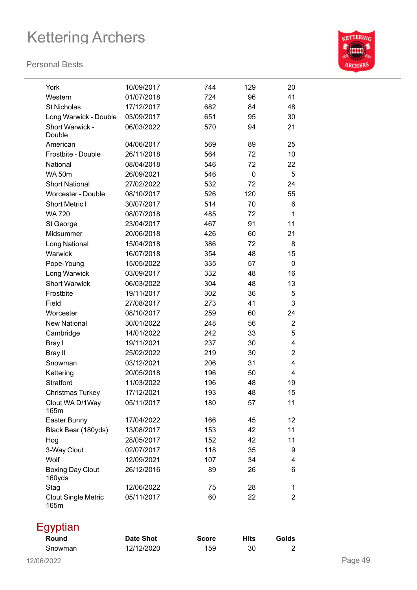

| York                               | 10/09/2017               | 744        | 129      | 20             |
|------------------------------------|--------------------------|------------|----------|----------------|
| Western                            | 01/07/2018               | 724        | 96       | 41             |
| <b>St Nicholas</b>                 | 17/12/2017               | 682        | 84       | 48             |
| Long Warwick - Double              | 03/09/2017               | 651        | 95       | 30             |
| Short Warwick -                    | 06/03/2022               | 570        | 94       | 21             |
| Double                             |                          |            |          |                |
| American                           | 04/06/2017               | 569        | 89       | 25             |
| Frostbite - Double                 | 26/11/2018               | 564        | 72       | 10             |
| National                           | 08/04/2018               | 546        | 72       | 22             |
| <b>WA 50m</b>                      | 26/09/2021               | 546        | 0        | 5              |
| <b>Short National</b>              | 27/02/2022               | 532        | 72       | 24             |
| <b>Worcester - Double</b>          | 08/10/2017               | 526        | 120      | 55             |
| <b>Short Metric I</b>              | 30/07/2017               | 514        | 70       | 6              |
| <b>WA 720</b>                      | 08/07/2018               | 485        | 72       | $\mathbf 1$    |
| St George                          | 23/04/2017               | 467        | 91       | 11             |
| Midsummer                          | 20/06/2018               | 426        | 60       | 21             |
| Long National                      | 15/04/2018               | 386        | 72       | 8              |
| Warwick                            | 16/07/2018               | 354        | 48       | 15             |
| Pope-Young                         | 15/05/2022               | 335        | 57       | $\mathbf 0$    |
| Long Warwick                       | 03/09/2017               | 332        | 48       | 16             |
| <b>Short Warwick</b>               | 06/03/2022               | 304        | 48       | 13             |
| Frostbite                          | 19/11/2017               | 302        | 36       | 5              |
| Field                              | 27/08/2017               | 273        | 41       | 3              |
| Worcester                          | 08/10/2017               | 259        | 60       | 24             |
| <b>New National</b>                | 30/01/2022               | 248        | 56       | $\overline{2}$ |
| Cambridge                          | 14/01/2022               | 242        | 33       | 5              |
| Bray I                             | 19/11/2021               | 237        | 30       | 4              |
| <b>Bray II</b>                     | 25/02/2022               | 219        | 30       | $\overline{2}$ |
| Snowman                            | 03/12/2021               | 206        | 31       | 4              |
| Kettering                          | 20/05/2018               | 196        | 50       | 4              |
| <b>Stratford</b>                   | 11/03/2022               | 196        | 48       | 19             |
| <b>Christmas Turkey</b>            | 17/12/2021               | 193        | 48       | 15             |
| Clout WA D/1Way                    | 05/11/2017               | 180        | 57       | 11             |
| 165m                               |                          |            |          |                |
| Easter Bunny                       | 17/04/2022               | 166        | 45       | 12             |
| Black Bear (180yds)                | 13/08/2017<br>28/05/2017 | 153        | 42       | 11             |
| Hog                                |                          | 152        | 42       | 11             |
| 3-Way Clout<br>Wolf                | 02/07/2017               | 118<br>107 | 35<br>34 | 9              |
|                                    | 12/09/2021<br>26/12/2016 |            |          | 4              |
| <b>Boxing Day Clout</b><br>160yds  |                          | 89         | 26       | 6              |
| Stag                               | 12/06/2022               | 75         | 28       | 1              |
| <b>Clout Single Metric</b><br>165m | 05/11/2017               | 60         | 22       | $\overline{2}$ |
| Egyptian                           |                          |            |          |                |

| <u>UJI</u><br>Round | Date Shot  | <b>Score</b> | Hits | Golds |         |
|---------------------|------------|--------------|------|-------|---------|
| Snowman             | 12/12/2020 | 159          | 30   |       |         |
| 12/06/2022          |            |              |      |       | Page 49 |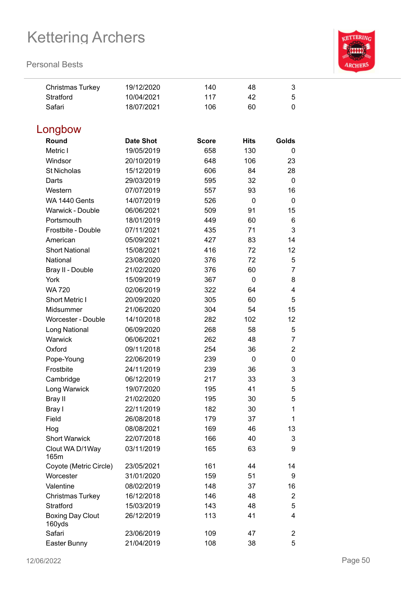

| <b>Christmas Turkey</b>           | 19/12/2020       | 140          | 48          | 3              |
|-----------------------------------|------------------|--------------|-------------|----------------|
| Stratford                         | 10/04/2021       | 117          | 42          | 5              |
| Safari                            | 18/07/2021       | 106          | 60          | $\mathbf 0$    |
|                                   |                  |              |             |                |
| Longbow                           |                  |              |             |                |
| Round                             | <b>Date Shot</b> | <b>Score</b> | <b>Hits</b> | Golds          |
| Metric I                          | 19/05/2019       | 658          | 130         | 0              |
| Windsor                           | 20/10/2019       | 648          | 106         | 23             |
| <b>St Nicholas</b>                | 15/12/2019       | 606          | 84          | 28             |
| Darts                             | 29/03/2019       | 595          | 32          | 0              |
| Western                           | 07/07/2019       | 557          | 93          | 16             |
| WA 1440 Gents                     | 14/07/2019       | 526          | 0           | $\mathbf 0$    |
| Warwick - Double                  | 06/06/2021       | 509          | 91          | 15             |
| Portsmouth                        | 18/01/2019       | 449          | 60          | 6              |
| Frostbite - Double                | 07/11/2021       | 435          | 71          | 3              |
| American                          | 05/09/2021       | 427          | 83          | 14             |
| <b>Short National</b>             | 15/08/2021       | 416          | 72          | 12             |
| National                          | 23/08/2020       | 376          | 72          | 5              |
| Bray II - Double                  | 21/02/2020       | 376          | 60          | $\overline{7}$ |
| York                              | 15/09/2019       | 367          | 0           | 8              |
| <b>WA 720</b>                     | 02/06/2019       | 322          | 64          | 4              |
| <b>Short Metric I</b>             | 20/09/2020       | 305          | 60          | 5              |
| Midsummer                         | 21/06/2020       | 304          | 54          | 15             |
| Worcester - Double                | 14/10/2018       | 282          | 102         | 12             |
| Long National                     | 06/09/2020       | 268          | 58          | 5              |
| Warwick                           | 06/06/2021       | 262          | 48          | $\overline{7}$ |
| Oxford                            | 09/11/2018       | 254          | 36          | $\overline{2}$ |
| Pope-Young                        | 22/06/2019       | 239          | 0           | 0              |
| Frostbite                         | 24/11/2019       | 239          | 36          | 3              |
| Cambridge                         | 06/12/2019       | 217          | 33          | 3              |
| Long Warwick                      | 19/07/2020       | 195          | 41          | 5              |
| Bray II                           | 21/02/2020       | 195          | 30          | 5              |
| Bray I                            | 22/11/2019       | 182          | 30          | 1              |
| Field                             | 26/08/2018       | 179          | 37          | 1              |
| Hog                               | 08/08/2021       | 169          | 46          | 13             |
| <b>Short Warwick</b>              | 22/07/2018       | 166          | 40          | 3              |
| Clout WA D/1Way<br>165m           | 03/11/2019       | 165          | 63          | 9              |
| Coyote (Metric Circle)            | 23/05/2021       | 161          | 44          | 14             |
| Worcester                         | 31/01/2020       | 159          | 51          | 9              |
| Valentine                         | 08/02/2019       | 148          | 37          | 16             |
| <b>Christmas Turkey</b>           | 16/12/2018       | 146          | 48          | $\overline{2}$ |
| Stratford                         | 15/03/2019       | 143          | 48          | 5              |
| <b>Boxing Day Clout</b><br>160yds | 26/12/2019       | 113          | 41          | 4              |
| Safari                            | 23/06/2019       | 109          | 47          | $\overline{2}$ |
| Easter Bunny                      | 21/04/2019       | 108          | 38          | 5              |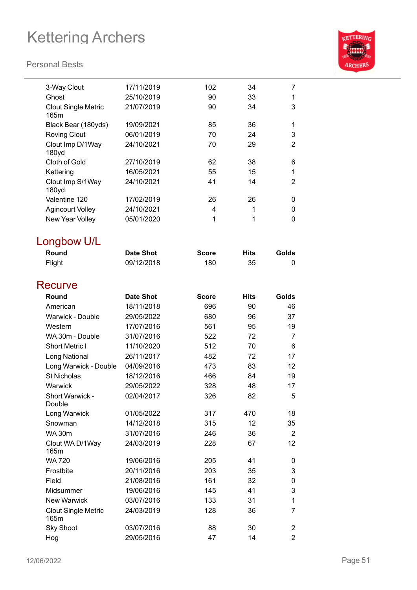

| 3-Way Clout                        | 17/11/2019       | 102          | 34          | 7              |
|------------------------------------|------------------|--------------|-------------|----------------|
| Ghost                              | 25/10/2019       | 90           | 33          | 1              |
| <b>Clout Single Metric</b><br>165m | 21/07/2019       | 90           | 34          | 3              |
| Black Bear (180yds)                | 19/09/2021       | 85           | 36          | 1              |
| <b>Roving Clout</b>                | 06/01/2019       | 70           | 24          | 3              |
| Clout Imp D/1Way<br>180yd          | 24/10/2021       | 70           | 29          | $\overline{2}$ |
| Cloth of Gold                      | 27/10/2019       | 62           | 38          | 6              |
| Kettering                          | 16/05/2021       | 55           | 15          | 1              |
| Clout Imp S/1Way<br>180yd          | 24/10/2021       | 41           | 14          | 2              |
| Valentine 120                      | 17/02/2019       | 26           | 26          | 0              |
| <b>Agincourt Volley</b>            | 24/10/2021       | 4            | 1           | 0              |
| New Year Volley                    | 05/01/2020       | 1            | 1           | 0              |
| Longbow U/L                        |                  |              |             |                |
| Round                              | <b>Date Shot</b> | <b>Score</b> | <b>Hits</b> | Golds          |
| Flight                             | 09/12/2018       | 180          | 35          | 0              |
| Recurve                            |                  |              |             |                |
| Round                              | <b>Date Shot</b> | <b>Score</b> | <b>Hits</b> | Golds          |
| American                           | 18/11/2018       | 696          | 90          | 46             |
| <b>Warwick - Double</b>            | 29/05/2022       | 680          | 96          | 37             |
| Western                            | 17/07/2016       | 561          | 95          | 19             |
| WA 30m - Double                    | 31/07/2016       | 522          | 72          | 7              |
| <b>Short Metric I</b>              | 11/10/2020       | 512          | 70          | 6              |
| Long National                      | 26/11/2017       | 482          | 72          | 17             |
| Long Warwick - Double              | 04/09/2016       | 473          | 83          | 12             |
| <b>St Nicholas</b>                 | 18/12/2016       | 466          | 84          | 19             |
| Warwick                            | 29/05/2022       | 328          | 48          | 17             |
| Short Warwick -<br>Double          | 02/04/2017       | 326          | 82          | 5              |
| Long Warwick                       | 01/05/2022       | 317          | 470         | 18             |
| Snowman                            | 14/12/2018       | 315          | 12          | 35             |
| <b>WA 30m</b>                      | 31/07/2016       | 246          | 36          | $\overline{2}$ |
| Clout WA D/1Way<br>165m            | 24/03/2019       | 228          | 67          | 12             |
| <b>WA 720</b>                      | 19/06/2016       | 205          | 41          | 0              |
| Frostbite                          | 20/11/2016       | 203          | 35          | 3              |
| Field                              | 21/08/2016       | 161          | 32          | 0              |
| Midsummer                          | 19/06/2016       | 145          | 41          | 3              |
| <b>New Warwick</b>                 | 03/07/2016       | 133          | 31          | 1              |
| <b>Clout Single Metric</b><br>165m | 24/03/2019       | 128          | 36          | 7              |
| <b>Sky Shoot</b>                   | 03/07/2016       | 88           | 30          | 2              |
| Hog                                | 29/05/2016       | 47           | 14          | $\overline{2}$ |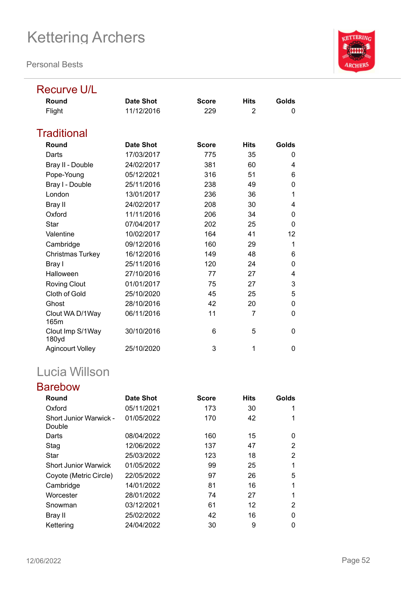**Personal Bests**



# Recurve U/L

| Round                     | <b>Date Shot</b> | <b>Score</b> | <b>Hits</b>    | Golds |
|---------------------------|------------------|--------------|----------------|-------|
| Flight                    | 11/12/2016       | 229          | $\overline{2}$ | 0     |
| Traditional               |                  |              |                |       |
| Round                     | <b>Date Shot</b> | <b>Score</b> | <b>Hits</b>    | Golds |
| Darts                     | 17/03/2017       | 775          | 35             | 0     |
| Bray II - Double          | 24/02/2017       | 381          | 60             | 4     |
| Pope-Young                | 05/12/2021       | 316          | 51             | 6     |
| Bray I - Double           | 25/11/2016       | 238          | 49             | 0     |
| London                    | 13/01/2017       | 236          | 36             | 1     |
| <b>Bray II</b>            | 24/02/2017       | 208          | 30             | 4     |
| Oxford                    | 11/11/2016       | 206          | 34             | 0     |
| Star                      | 07/04/2017       | 202          | 25             | 0     |
| Valentine                 | 10/02/2017       | 164          | 41             | 12    |
| Cambridge                 | 09/12/2016       | 160          | 29             | 1     |
| Christmas Turkey          | 16/12/2016       | 149          | 48             | 6     |
| Bray I                    | 25/11/2016       | 120          | 24             | 0     |
| Halloween                 | 27/10/2016       | 77           | 27             | 4     |
| <b>Roving Clout</b>       | 01/01/2017       | 75           | 27             | 3     |
| Cloth of Gold             | 25/10/2020       | 45           | 25             | 5     |
| Ghost                     | 28/10/2016       | 42           | 20             | 0     |
| Clout WA D/1Way<br>165m   | 06/11/2016       | 11           | 7              | 0     |
| Clout Imp S/1Way<br>180yd | 30/10/2016       | 6            | 5              | 0     |
| <b>Agincourt Volley</b>   | 25/10/2020       | 3            | 1              | 0     |

## Lucia Willson

### Barebow

| Round                            | Date Shot  | <b>Score</b> | <b>Hits</b> | Golds |
|----------------------------------|------------|--------------|-------------|-------|
| Oxford                           | 05/11/2021 | 173          | 30          |       |
| Short Junior Warwick -<br>Double | 01/05/2022 | 170          | 42          |       |
| Darts                            | 08/04/2022 | 160          | 15          | 0     |
| Stag                             | 12/06/2022 | 137          | 47          | 2     |
| Star                             | 25/03/2022 | 123          | 18          | 2     |
| <b>Short Junior Warwick</b>      | 01/05/2022 | 99           | 25          |       |
| Coyote (Metric Circle)           | 22/05/2022 | 97           | 26          | 5     |
| Cambridge                        | 14/01/2022 | 81           | 16          |       |
| Worcester                        | 28/01/2022 | 74           | 27          | 1     |
| Snowman                          | 03/12/2021 | 61           | 12          | 2     |
| Bray II                          | 25/02/2022 | 42           | 16          | O     |
| Kettering                        | 24/04/2022 | 30           | 9           | 0     |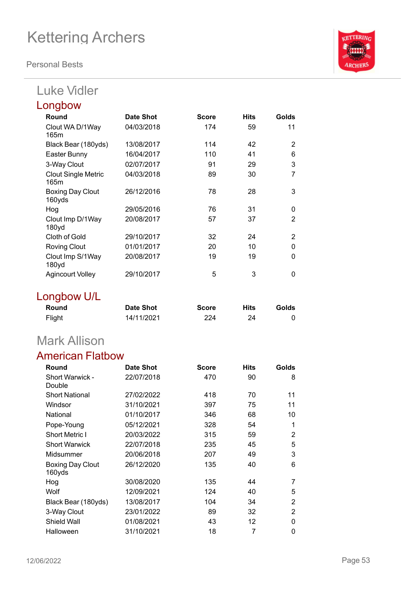**Personal Bests**

## Luke Vidler

| Longbow                            |            |              |             |                |
|------------------------------------|------------|--------------|-------------|----------------|
| Round                              | Date Shot  | <b>Score</b> | <b>Hits</b> | Golds          |
| Clout WA D/1Way<br>165m            | 04/03/2018 | 174          | 59          | 11             |
| Black Bear (180yds)                | 13/08/2017 | 114          | 42          | 2              |
| Easter Bunny                       | 16/04/2017 | 110          | 41          | 6              |
| 3-Way Clout                        | 02/07/2017 | 91           | 29          | 3              |
| <b>Clout Single Metric</b><br>165m | 04/03/2018 | 89           | 30          | 7              |
| <b>Boxing Day Clout</b><br>160yds  | 26/12/2016 | 78           | 28          | 3              |
| Hog                                | 29/05/2016 | 76           | 31          | 0              |
| Clout Imp D/1Way<br>180yd          | 20/08/2017 | 57           | 37          | $\overline{2}$ |
| Cloth of Gold                      | 29/10/2017 | 32           | 24          | 2              |
| <b>Roving Clout</b>                | 01/01/2017 | 20           | 10          | 0              |
| Clout Imp S/1Way<br>180yd          | 20/08/2017 | 19           | 19          | $\Omega$       |
| <b>Agincourt Volley</b>            | 29/10/2017 | 5            | 3           | $\Omega$       |

## Longbow U/L

| Round  | <b>Date Shot</b> | <b>Score</b> | Hits | Golds |
|--------|------------------|--------------|------|-------|
| Flight | 14/11/2021       | 224          | 24   |       |

## Mark Allison

### American Flatbow

| Round                            | Date Shot  | <b>Score</b> | <b>Hits</b> | Golds          |
|----------------------------------|------------|--------------|-------------|----------------|
| <b>Short Warwick -</b><br>Double | 22/07/2018 | 470          | 90          | 8              |
| <b>Short National</b>            | 27/02/2022 | 418          | 70          | 11             |
| Windsor                          | 31/10/2021 | 397          | 75          | 11             |
| National                         | 01/10/2017 | 346          | 68          | 10             |
| Pope-Young                       | 05/12/2021 | 328          | 54          | 1              |
| <b>Short Metric I</b>            | 20/03/2022 | 315          | 59          | 2              |
| <b>Short Warwick</b>             | 22/07/2018 | 235          | 45          | 5              |
| Midsummer                        | 20/06/2018 | 207          | 49          | 3              |
| Boxing Day Clout<br>160yds       | 26/12/2020 | 135          | 40          | 6              |
| Hog                              | 30/08/2020 | 135          | 44          | 7              |
| Wolf                             | 12/09/2021 | 124          | 40          | 5              |
| Black Bear (180yds)              | 13/08/2017 | 104          | 34          | $\overline{2}$ |
| 3-Way Clout                      | 23/01/2022 | 89           | 32          | 2              |
| Shield Wall                      | 01/08/2021 | 43           | 12          | 0              |
| Halloween                        | 31/10/2021 | 18           | 7           | 0              |

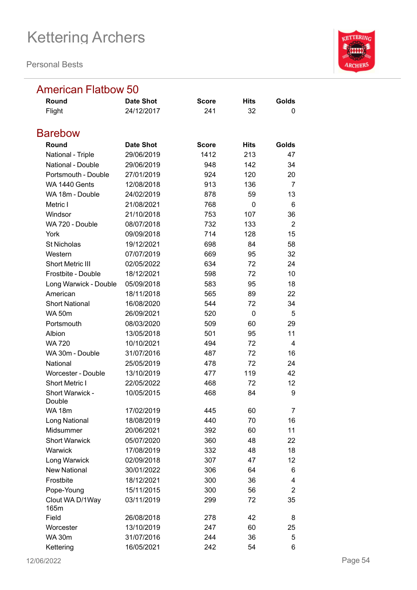**Personal Bests**



### American Flatbow 50

| Round                     | <b>Date Shot</b> | <b>Score</b> | Hits        | Golds          |
|---------------------------|------------------|--------------|-------------|----------------|
| Flight                    | 24/12/2017       | 241          | 32          | 0              |
| <b>Barebow</b>            |                  |              |             |                |
| Round                     | <b>Date Shot</b> | <b>Score</b> | <b>Hits</b> | Golds          |
| National - Triple         | 29/06/2019       | 1412         | 213         | 47             |
| National - Double         | 29/06/2019       | 948          | 142         | 34             |
| Portsmouth - Double       | 27/01/2019       | 924          | 120         | 20             |
| WA 1440 Gents             | 12/08/2018       | 913          | 136         | 7              |
| WA 18m - Double           | 24/02/2019       | 878          | 59          | 13             |
| Metric I                  | 21/08/2021       | 768          | $\Omega$    | 6              |
| Windsor                   | 21/10/2018       | 753          | 107         | 36             |
| WA 720 - Double           | 08/07/2018       | 732          | 133         | $\overline{2}$ |
| York                      | 09/09/2018       | 714          | 128         | 15             |
| <b>St Nicholas</b>        | 19/12/2021       | 698          | 84          | 58             |
| Western                   | 07/07/2019       | 669          | 95          | 32             |
| <b>Short Metric III</b>   | 02/05/2022       | 634          | 72          | 24             |
| Frostbite - Double        | 18/12/2021       | 598          | 72          | 10             |
| Long Warwick - Double     | 05/09/2018       | 583          | 95          | 18             |
| American                  | 18/11/2018       | 565          | 89          | 22             |
| <b>Short National</b>     | 16/08/2020       | 544          | 72          | 34             |
| <b>WA 50m</b>             | 26/09/2021       | 520          | 0           | 5              |
| Portsmouth                | 08/03/2020       | 509          | 60          | 29             |
| Albion                    | 13/05/2018       | 501          | 95          | 11             |
| <b>WA 720</b>             | 10/10/2021       | 494          | 72          | 4              |
| WA 30m - Double           | 31/07/2016       | 487          | 72          | 16             |
| National                  | 25/05/2019       | 478          | 72          | 24             |
| <b>Worcester - Double</b> | 13/10/2019       | 477          | 119         | 42             |
| Short Metric I            | 22/05/2022       | 468          | 72          | 12             |
| Short Warwick -<br>Double | 10/05/2015       | 468          | 84          | 9              |
| <b>WA 18m</b>             | 17/02/2019       | 445          | 60          | 7              |
| Long National             | 18/08/2019       | 440          | 70          | 16             |
| Midsummer                 | 20/06/2021       | 392          | 60          | 11             |
| <b>Short Warwick</b>      | 05/07/2020       | 360          | 48          | 22             |
| Warwick                   | 17/08/2019       | 332          | 48          | 18             |
| Long Warwick              | 02/09/2018       | 307          | 47          | 12             |
| <b>New National</b>       | 30/01/2022       | 306          | 64          | 6              |
| Frostbite                 | 18/12/2021       | 300          | 36          | 4              |
| Pope-Young                | 15/11/2015       | 300          | 56          | $\overline{2}$ |
| Clout WA D/1Way<br>165m   | 03/11/2019       | 299          | 72          | 35             |
| Field                     | 26/08/2018       | 278          | 42          | 8              |
| Worcester                 | 13/10/2019       | 247          | 60          | 25             |
| <b>WA 30m</b>             | 31/07/2016       | 244          | 36          | 5              |
| Kettering                 | 16/05/2021       | 242          | 54          | 6              |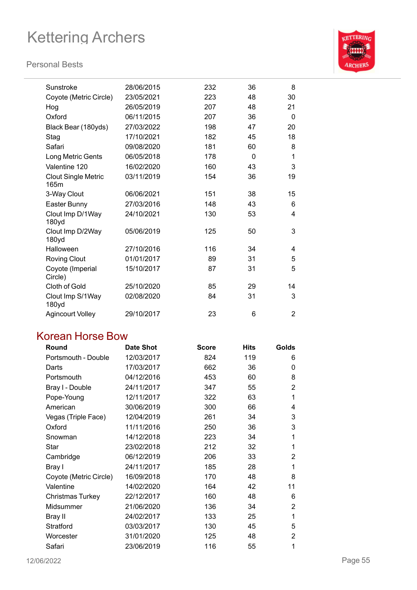### **Personal Bests**



| Sunstroke                          | 28/06/2015 | 232 | 36 | 8              |
|------------------------------------|------------|-----|----|----------------|
| Coyote (Metric Circle)             | 23/05/2021 | 223 | 48 | 30             |
| Hog                                | 26/05/2019 | 207 | 48 | 21             |
| Oxford                             | 06/11/2015 | 207 | 36 | $\Omega$       |
| Black Bear (180yds)                | 27/03/2022 | 198 | 47 | 20             |
| Stag                               | 17/10/2021 | 182 | 45 | 18             |
| Safari                             | 09/08/2020 | 181 | 60 | 8              |
| Long Metric Gents                  | 06/05/2018 | 178 | 0  | 1              |
| Valentine 120                      | 16/02/2020 | 160 | 43 | 3              |
| <b>Clout Single Metric</b><br>165m | 03/11/2019 | 154 | 36 | 19             |
| 3-Way Clout                        | 06/06/2021 | 151 | 38 | 15             |
| Easter Bunny                       | 27/03/2016 | 148 | 43 | 6              |
| Clout Imp D/1Way<br>180yd          | 24/10/2021 | 130 | 53 | 4              |
| Clout Imp D/2Way<br>180yd          | 05/06/2019 | 125 | 50 | 3              |
| Halloween                          | 27/10/2016 | 116 | 34 | 4              |
| <b>Roving Clout</b>                | 01/01/2017 | 89  | 31 | 5              |
| Coyote (Imperial<br>Circle)        | 15/10/2017 | 87  | 31 | 5              |
| Cloth of Gold                      | 25/10/2020 | 85  | 29 | 14             |
| Clout Imp S/1Way<br>180yd          | 02/08/2020 | 84  | 31 | 3              |
| <b>Agincourt Volley</b>            | 29/10/2017 | 23  | 6  | $\overline{2}$ |

### Korean Horse Bow

| Round                   | <b>Date Shot</b> | <b>Score</b> | Hits | Golds          |
|-------------------------|------------------|--------------|------|----------------|
| Portsmouth - Double     | 12/03/2017       | 824          | 119  | 6              |
| Darts                   | 17/03/2017       | 662          | 36   | 0              |
| Portsmouth              | 04/12/2016       | 453          | 60   | 8              |
| Bray I - Double         | 24/11/2017       | 347          | 55   | $\overline{2}$ |
| Pope-Young              | 12/11/2017       | 322          | 63   | 1              |
| American                | 30/06/2019       | 300          | 66   | 4              |
| Vegas (Triple Face)     | 12/04/2019       | 261          | 34   | 3              |
| Oxford                  | 11/11/2016       | 250          | 36   | 3              |
| Snowman                 | 14/12/2018       | 223          | 34   | 1              |
| Star                    | 23/02/2018       | 212          | 32   | 1              |
| Cambridge               | 06/12/2019       | 206          | 33   | 2              |
| Bray I                  | 24/11/2017       | 185          | 28   | 1              |
| Coyote (Metric Circle)  | 16/09/2018       | 170          | 48   | 8              |
| Valentine               | 14/02/2020       | 164          | 42   | 11             |
| <b>Christmas Turkey</b> | 22/12/2017       | 160          | 48   | 6              |
| Midsummer               | 21/06/2020       | 136          | 34   | 2              |
| Bray II                 | 24/02/2017       | 133          | 25   | 1              |
| Stratford               | 03/03/2017       | 130          | 45   | 5              |
| Worcester               | 31/01/2020       | 125          | 48   | 2              |
| Safari                  | 23/06/2019       | 116          | 55   | 1              |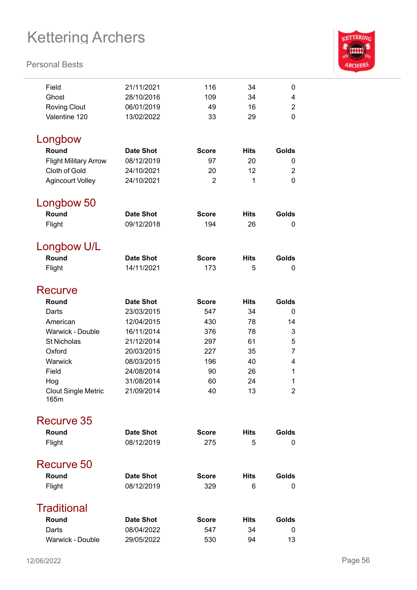

| Field                              | 21/11/2021               | 116            | 34          | 0              |
|------------------------------------|--------------------------|----------------|-------------|----------------|
| Ghost                              | 28/10/2016               | 109            | 34          | 4              |
| <b>Roving Clout</b>                | 06/01/2019               | 49             | 16          | 2              |
| Valentine 120                      | 13/02/2022               | 33             | 29          | 0              |
|                                    |                          |                |             |                |
| Longbow                            |                          |                |             |                |
| Round                              | <b>Date Shot</b>         | <b>Score</b>   | <b>Hits</b> | Golds          |
| <b>Flight Military Arrow</b>       | 08/12/2019               | 97             | 20          | 0              |
| Cloth of Gold                      | 24/10/2021               | 20             | 12          | $\overline{2}$ |
| <b>Agincourt Volley</b>            | 24/10/2021               | $\overline{2}$ | 1           | 0              |
|                                    |                          |                |             |                |
| Longbow 50                         |                          |                |             |                |
| Round                              | <b>Date Shot</b>         | <b>Score</b>   | <b>Hits</b> | Golds          |
| Flight                             | 09/12/2018               | 194            | 26          | 0              |
|                                    |                          |                |             |                |
| Longbow U/L                        |                          |                |             |                |
| Round                              | <b>Date Shot</b>         | <b>Score</b>   | <b>Hits</b> | Golds          |
| Flight                             | 14/11/2021               | 173            | 5           | 0              |
|                                    |                          |                |             |                |
| Recurve                            |                          |                |             |                |
| Round                              | <b>Date Shot</b>         | <b>Score</b>   | <b>Hits</b> | Golds          |
| Darts                              | 23/03/2015               | 547            | 34          | 0              |
| American                           | 12/04/2015               | 430            | 78          | 14             |
| Warwick - Double                   | 16/11/2014               | 376            | 78          | 3              |
| <b>St Nicholas</b>                 | 21/12/2014               | 297            | 61          | 5              |
| Oxford                             | 20/03/2015               | 227            | 35          | $\overline{7}$ |
| Warwick                            | 08/03/2015               | 196            | 40          | 4              |
| Field                              | 24/08/2014<br>31/08/2014 | 90             | 26          | 1<br>1         |
| Hog                                |                          | 60<br>40       | 24<br>13    | $\overline{2}$ |
| <b>Clout Single Metric</b><br>165m | 21/09/2014               |                |             |                |
|                                    |                          |                |             |                |
| Recurve 35                         |                          |                |             |                |
| Round                              | <b>Date Shot</b>         | <b>Score</b>   | <b>Hits</b> | Golds          |
| Flight                             | 08/12/2019               | 275            | 5           | 0              |
| Recurve 50                         |                          |                |             |                |
|                                    |                          |                |             |                |
| Round                              | <b>Date Shot</b>         | <b>Score</b>   | <b>Hits</b> | Golds          |
| Flight                             | 08/12/2019               | 329            | 6           | 0              |
| <b>Traditional</b>                 |                          |                |             |                |
| Round                              | <b>Date Shot</b>         | <b>Score</b>   | <b>Hits</b> | Golds          |
| Darts                              | 08/04/2022               | 547            | 34          | 0              |
| Warwick - Double                   | 29/05/2022               | 530            | 94          | 13             |
|                                    |                          |                |             |                |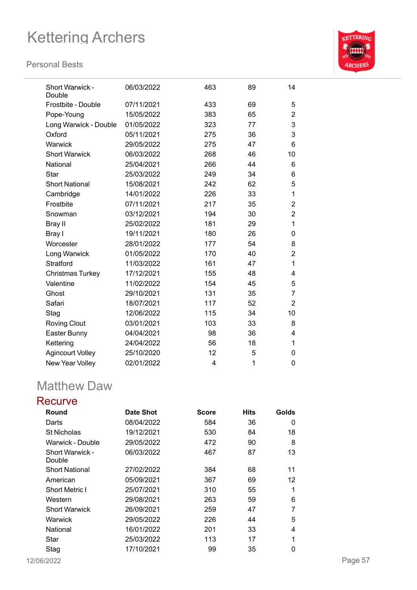#### **Personal Bests**



| Short Warwick -<br>Double | 06/03/2022 | 463 | 89 | 14             |
|---------------------------|------------|-----|----|----------------|
| Frostbite - Double        | 07/11/2021 | 433 | 69 | 5              |
| Pope-Young                | 15/05/2022 | 383 | 65 | $\overline{2}$ |
| Long Warwick - Double     | 01/05/2022 | 323 | 77 | 3              |
| Oxford                    | 05/11/2021 | 275 | 36 | 3              |
| Warwick                   | 29/05/2022 | 275 | 47 | 6              |
| <b>Short Warwick</b>      | 06/03/2022 | 268 | 46 | 10             |
| National                  | 25/04/2021 | 266 | 44 | 6              |
| Star                      | 25/03/2022 | 249 | 34 | 6              |
| <b>Short National</b>     | 15/08/2021 | 242 | 62 | 5              |
| Cambridge                 | 14/01/2022 | 226 | 33 | 1              |
| Frostbite                 | 07/11/2021 | 217 | 35 | 2              |
| Snowman                   | 03/12/2021 | 194 | 30 | $\overline{2}$ |
| Bray II                   | 25/02/2022 | 181 | 29 | 1              |
| Bray I                    | 19/11/2021 | 180 | 26 | 0              |
| Worcester                 | 28/01/2022 | 177 | 54 | 8              |
| Long Warwick              | 01/05/2022 | 170 | 40 | $\overline{2}$ |
| <b>Stratford</b>          | 11/03/2022 | 161 | 47 | 1              |
| <b>Christmas Turkey</b>   | 17/12/2021 | 155 | 48 | 4              |
| Valentine                 | 11/02/2022 | 154 | 45 | 5              |
| Ghost                     | 29/10/2021 | 131 | 35 | 7              |
| Safari                    | 18/07/2021 | 117 | 52 | $\overline{2}$ |
| Stag                      | 12/06/2022 | 115 | 34 | 10             |
| <b>Roving Clout</b>       | 03/01/2021 | 103 | 33 | 8              |
| Easter Bunny              | 04/04/2021 | 98  | 36 | 4              |
| Kettering                 | 24/04/2022 | 56  | 18 | 1              |
| <b>Agincourt Volley</b>   | 25/10/2020 | 12  | 5  | 0              |
| New Year Volley           | 02/01/2022 | 4   | 1  | 0              |

## Matthew Daw

### **Recurve**

| Round                  | Date Shot  | <b>Score</b> | <b>Hits</b> | Golds |
|------------------------|------------|--------------|-------------|-------|
| Darts                  | 08/04/2022 | 584          | 36          | 0     |
| <b>St Nicholas</b>     | 19/12/2021 | 530          | 84          | 18    |
| Warwick - Double       | 29/05/2022 | 472          | 90          | 8     |
| <b>Short Warwick -</b> | 06/03/2022 | 467          | 87          | 13    |
| Double                 |            |              |             |       |
| <b>Short National</b>  | 27/02/2022 | 384          | 68          | 11    |
| American               | 05/09/2021 | 367          | 69          | 12    |
| <b>Short Metric I</b>  | 25/07/2021 | 310          | 55          | 1     |
| Western                | 29/08/2021 | 263          | 59          | 6     |
| <b>Short Warwick</b>   | 26/09/2021 | 259          | 47          | 7     |
| Warwick                | 29/05/2022 | 226          | 44          | 5     |
| National               | 16/01/2022 | 201          | 33          | 4     |
| Star                   | 25/03/2022 | 113          | 17          | 1     |
| Stag                   | 17/10/2021 | 99           | 35          | 0     |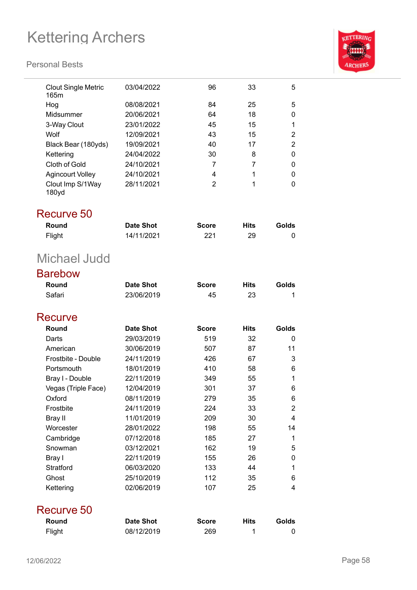

| <b>Clout Single Metric</b><br>165m | 03/04/2022       | 96             | 33          | 5              |
|------------------------------------|------------------|----------------|-------------|----------------|
| Hog                                | 08/08/2021       | 84             | 25          | 5              |
| Midsummer                          | 20/06/2021       | 64             | 18          | 0              |
| 3-Way Clout                        | 23/01/2022       | 45             | 15          | 1              |
| Wolf                               | 12/09/2021       | 43             | 15          | $\overline{2}$ |
| Black Bear (180yds)                | 19/09/2021       | 40             | 17          | $\overline{2}$ |
| Kettering                          | 24/04/2022       | 30             | 8           | 0              |
| Cloth of Gold                      | 24/10/2021       | 7              | 7           | 0              |
| <b>Agincourt Volley</b>            | 24/10/2021       | 4              | 1           | 0              |
| Clout Imp S/1Way<br>180yd          | 28/11/2021       | $\overline{2}$ | 1           | 0              |
| Recurve 50                         |                  |                |             |                |
| Round                              | <b>Date Shot</b> | <b>Score</b>   | <b>Hits</b> | Golds          |
| Flight                             | 14/11/2021       | 221            | 29          | 0              |
| Michael Judd                       |                  |                |             |                |
| <b>Barebow</b>                     |                  |                |             |                |
| Round                              | <b>Date Shot</b> | <b>Score</b>   | <b>Hits</b> | Golds          |
| Safari                             | 23/06/2019       | 45             | 23          | 1              |
| Recurve                            |                  |                |             |                |
| Round                              | <b>Date Shot</b> | <b>Score</b>   | <b>Hits</b> | <b>Golds</b>   |
| Darts                              | 29/03/2019       | 519            | 32          | 0              |
| American                           | 30/06/2019       | 507            | 87          | 11             |
| Frostbite - Double                 | 24/11/2019       | 426            | 67          | 3              |
| Portsmouth                         | 18/01/2019       | 410            | 58          | 6              |
| Bray I - Double                    | 22/11/2019       | 349            | 55          | 1              |
| Vegas (Triple Face)                | 12/04/2019       | 301            | 37          | 6              |
| Oxford                             | 08/11/2019       | 279            | 35          | 6              |
| Frostbite                          | 24/11/2019       | 224            | 33          | $\overline{2}$ |
| <b>Bray II</b>                     | 11/01/2019       | 209            | 30          | 4              |
| Worcester                          | 28/01/2022       | 198            | 55          | 14             |
| Cambridge                          | 07/12/2018       | 185            | 27          | 1              |
| Snowman                            | 03/12/2021       | 162            | 19          | 5              |
| Bray I                             | 22/11/2019       | 155            | 26          | 0              |
| Stratford                          | 06/03/2020       | 133            | 44          | 1              |
| Ghost                              | 25/10/2019       | 112            | 35          | 6              |
| Kettering                          | 02/06/2019       | 107            | 25          | 4              |
| Recurve 50                         |                  |                |             |                |
| Round                              | <b>Date Shot</b> | <b>Score</b>   | <b>Hits</b> | Golds          |
| Flight                             | 08/12/2019       | 269            | 1           | 0              |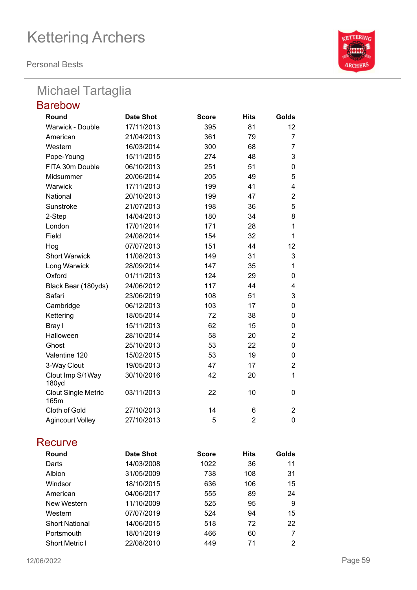**Personal Bests**

## Michael Tartaglia

| <b>Barebow</b>                     |                  |              |                |                |
|------------------------------------|------------------|--------------|----------------|----------------|
| Round                              | <b>Date Shot</b> | <b>Score</b> | <b>Hits</b>    | Golds          |
| Warwick - Double                   | 17/11/2013       | 395          | 81             | 12             |
| American                           | 21/04/2013       | 361          | 79             | 7              |
| Western                            | 16/03/2014       | 300          | 68             | $\overline{7}$ |
| Pope-Young                         | 15/11/2015       | 274          | 48             | 3              |
| FITA 30m Double                    | 06/10/2013       | 251          | 51             | 0              |
| Midsummer                          | 20/06/2014       | 205          | 49             | 5              |
| Warwick                            | 17/11/2013       | 199          | 41             | $\overline{4}$ |
| National                           | 20/10/2013       | 199          | 47             | $\overline{2}$ |
| Sunstroke                          | 21/07/2013       | 198          | 36             | 5              |
| 2-Step                             | 14/04/2013       | 180          | 34             | 8              |
| London                             | 17/01/2014       | 171          | 28             | $\mathbf 1$    |
| Field                              | 24/08/2014       | 154          | 32             | 1              |
| Hog                                | 07/07/2013       | 151          | 44             | 12             |
| <b>Short Warwick</b>               | 11/08/2013       | 149          | 31             | 3              |
| Long Warwick                       | 28/09/2014       | 147          | 35             | $\mathbf 1$    |
| Oxford                             | 01/11/2013       | 124          | 29             | 0              |
| Black Bear (180yds)                | 24/06/2012       | 117          | 44             | 4              |
| Safari                             | 23/06/2019       | 108          | 51             | 3              |
| Cambridge                          | 06/12/2013       | 103          | 17             | $\mathbf 0$    |
| Kettering                          | 18/05/2014       | 72           | 38             | 0              |
| Bray I                             | 15/11/2013       | 62           | 15             | 0              |
| Halloween                          | 28/10/2014       | 58           | 20             | $\overline{2}$ |
| Ghost                              | 25/10/2013       | 53           | 22             | $\mathbf 0$    |
| Valentine 120                      | 15/02/2015       | 53           | 19             | 0              |
| 3-Way Clout                        | 19/05/2013       | 47           | 17             | $\overline{2}$ |
| Clout Imp S/1Way<br>180yd          | 30/10/2016       | 42           | 20             | $\mathbf{1}$   |
| <b>Clout Single Metric</b><br>165m | 03/11/2013       | 22           | 10             | $\Omega$       |
| Cloth of Gold                      | 27/10/2013       | 14           | 6              | $\overline{2}$ |
| <b>Agincourt Volley</b>            | 27/10/2013       | 5            | $\overline{2}$ | $\mathbf 0$    |

### **Recurve**

| Round                 | Date Shot  | <b>Score</b> | <b>Hits</b> | Golds |
|-----------------------|------------|--------------|-------------|-------|
| Darts                 | 14/03/2008 | 1022         | 36          | 11    |
| Albion                | 31/05/2009 | 738          | 108         | 31    |
| Windsor               | 18/10/2015 | 636          | 106         | 15    |
| American              | 04/06/2017 | 555          | 89          | 24    |
| New Western           | 11/10/2009 | 525          | 95          | 9     |
| Western               | 07/07/2019 | 524          | 94          | 15    |
| <b>Short National</b> | 14/06/2015 | 518          | 72          | 22    |
| Portsmouth            | 18/01/2019 | 466          | 60          |       |
| <b>Short Metric I</b> | 22/08/2010 | 449          | 71          | 2     |

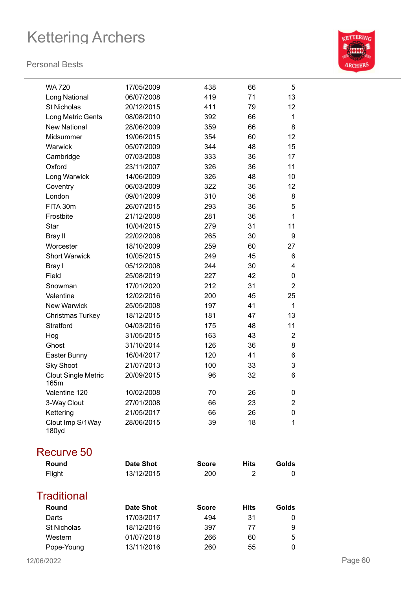### **Personal Bests**



| <b>WA 720</b>                      | 17/05/2009       | 438          | 66          | 5              |
|------------------------------------|------------------|--------------|-------------|----------------|
| Long National                      | 06/07/2008       | 419          | 71          | 13             |
| <b>St Nicholas</b>                 | 20/12/2015       | 411          | 79          | 12             |
| Long Metric Gents                  | 08/08/2010       | 392          | 66          | 1              |
| <b>New National</b>                | 28/06/2009       | 359          | 66          | 8              |
| Midsummer                          | 19/06/2015       | 354          | 60          | 12             |
| Warwick                            | 05/07/2009       | 344          | 48          | 15             |
| Cambridge                          | 07/03/2008       | 333          | 36          | 17             |
| Oxford                             | 23/11/2007       | 326          | 36          | 11             |
| Long Warwick                       | 14/06/2009       | 326          | 48          | 10             |
| Coventry                           | 06/03/2009       | 322          | 36          | 12             |
| London                             | 09/01/2009       | 310          | 36          | 8              |
| FITA 30m                           | 26/07/2015       | 293          | 36          | 5              |
| Frostbite                          | 21/12/2008       | 281          | 36          | 1              |
| Star                               | 10/04/2015       | 279          | 31          | 11             |
| Bray II                            | 22/02/2008       | 265          | 30          | 9              |
| Worcester                          | 18/10/2009       | 259          | 60          | 27             |
| <b>Short Warwick</b>               | 10/05/2015       | 249          | 45          | 6              |
| Bray I                             | 05/12/2008       | 244          | 30          | 4              |
| Field                              | 25/08/2019       | 227          | 42          | 0              |
| Snowman                            | 17/01/2020       | 212          | 31          | $\overline{2}$ |
| Valentine                          | 12/02/2016       | 200          | 45          | 25             |
| <b>New Warwick</b>                 | 25/05/2008       | 197          | 41          | $\mathbf 1$    |
| <b>Christmas Turkey</b>            | 18/12/2015       | 181          | 47          | 13             |
| <b>Stratford</b>                   | 04/03/2016       | 175          | 48          | 11             |
| Hog                                | 31/05/2015       | 163          | 43          | $\overline{2}$ |
| Ghost                              | 31/10/2014       | 126          | 36          | 8              |
| Easter Bunny                       | 16/04/2017       | 120          | 41          | 6              |
| <b>Sky Shoot</b>                   | 21/07/2013       | 100          | 33          | 3              |
| <b>Clout Single Metric</b><br>165m | 20/09/2015       | 96           | 32          | 6              |
| Valentine 120                      | 10/02/2008       | 70           | 26          | 0              |
| 3-Way Clout                        | 27/01/2008       | 66           | 23          | $\overline{2}$ |
| Kettering                          | 21/05/2017       | 66           | 26          | 0              |
| Clout Imp S/1Way<br>180yd          | 28/06/2015       | 39           | 18          | 1              |
| Recurve 50                         |                  |              |             |                |
| Round                              | <b>Date Shot</b> | <b>Score</b> | <b>Hits</b> | Golds          |
| Flight                             | 13/12/2015       | 200          | 2           | 0              |
| <b>Traditional</b>                 |                  |              |             |                |
| Round                              | <b>Date Shot</b> | <b>Score</b> | Hits        | Golds          |
| Darts                              | 17/03/2017       | 494          | 31          | 0              |
| St Nicholas                        | 18/12/2016       | 397          | 77          | 9              |
| Western                            | 01/07/2018       | 266          | 60          | 5              |
| Pope-Young                         | 13/11/2016       | 260          | 55          | 0              |

Pope-Young 13/11/2016 260 55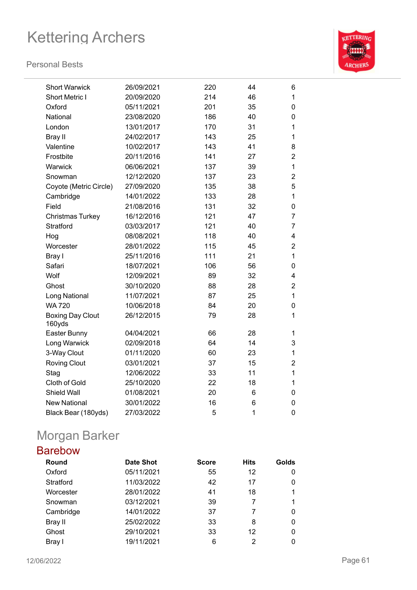#### **Personal Bests**



| <b>Short Warwick</b>              | 26/09/2021 | 220 | 44 | 6              |
|-----------------------------------|------------|-----|----|----------------|
| <b>Short Metric I</b>             | 20/09/2020 | 214 | 46 | 1              |
| Oxford                            | 05/11/2021 | 201 | 35 | 0              |
| National                          | 23/08/2020 | 186 | 40 | 0              |
| London                            | 13/01/2017 | 170 | 31 | 1              |
| Bray II                           | 24/02/2017 | 143 | 25 | 1              |
| Valentine                         | 10/02/2017 | 143 | 41 | 8              |
| Frostbite                         | 20/11/2016 | 141 | 27 | $\overline{2}$ |
| Warwick                           | 06/06/2021 | 137 | 39 | 1              |
| Snowman                           | 12/12/2020 | 137 | 23 | $\overline{2}$ |
| Coyote (Metric Circle)            | 27/09/2020 | 135 | 38 | 5              |
| Cambridge                         | 14/01/2022 | 133 | 28 | 1              |
| Field                             | 21/08/2016 | 131 | 32 | 0              |
| <b>Christmas Turkey</b>           | 16/12/2016 | 121 | 47 | $\overline{7}$ |
| Stratford                         | 03/03/2017 | 121 | 40 | $\overline{7}$ |
| Hog                               | 08/08/2021 | 118 | 40 | 4              |
| Worcester                         | 28/01/2022 | 115 | 45 | $\overline{c}$ |
| Bray I                            | 25/11/2016 | 111 | 21 | 1              |
| Safari                            | 18/07/2021 | 106 | 56 | 0              |
| Wolf                              | 12/09/2021 | 89  | 32 | 4              |
| Ghost                             | 30/10/2020 | 88  | 28 | $\overline{2}$ |
| Long National                     | 11/07/2021 | 87  | 25 | $\mathbf{1}$   |
| <b>WA 720</b>                     | 10/06/2018 | 84  | 20 | 0              |
| <b>Boxing Day Clout</b><br>160yds | 26/12/2015 | 79  | 28 | 1              |
| Easter Bunny                      | 04/04/2021 | 66  | 28 | $\mathbf{1}$   |
| Long Warwick                      | 02/09/2018 | 64  | 14 | 3              |
| 3-Way Clout                       | 01/11/2020 | 60  | 23 | $\mathbf{1}$   |
| <b>Roving Clout</b>               | 03/01/2021 | 37  | 15 | $\overline{2}$ |
| Stag                              | 12/06/2022 | 33  | 11 | 1              |
| Cloth of Gold                     | 25/10/2020 | 22  | 18 | 1              |
| Shield Wall                       | 01/08/2021 | 20  | 6  | 0              |
| <b>New National</b>               | 30/01/2022 | 16  | 6  | 0              |
| Black Bear (180yds)               | 27/03/2022 | 5   | 1  | 0              |
|                                   |            |     |    |                |

## Morgan Barker

## Barebow

| Round     | <b>Date Shot</b> | <b>Score</b> | <b>Hits</b> | Golds |
|-----------|------------------|--------------|-------------|-------|
| Oxford    | 05/11/2021       | 55           | 12          | 0     |
| Stratford | 11/03/2022       | 42           | 17          | 0     |
| Worcester | 28/01/2022       | 41           | 18          | 1     |
| Snowman   | 03/12/2021       | 39           |             |       |
| Cambridge | 14/01/2022       | 37           |             | 0     |
| Bray II   | 25/02/2022       | 33           | 8           | 0     |
| Ghost     | 29/10/2021       | 33           | 12          | 0     |
| Bray I    | 19/11/2021       | 6            | 2           |       |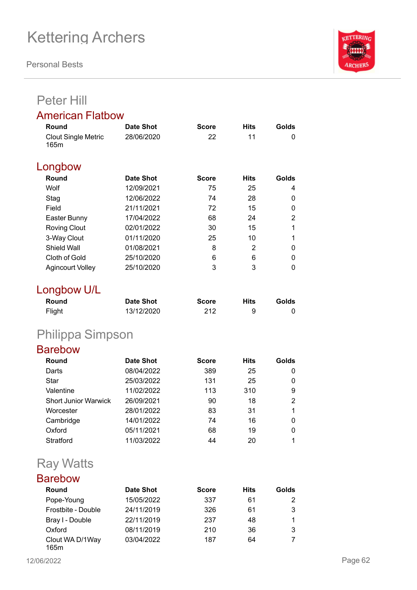**Personal Bests**



## Peter Hill

### American Flatbow

| Date Shot        | <b>Score</b> | <b>Hits</b> | Golds |
|------------------|--------------|-------------|-------|
| 28/06/2020       | 22           | 11          | 0     |
|                  |              |             |       |
| <b>Date Shot</b> | Score        | <b>Hits</b> | Golds |
| 12/09/2021       | 75           | 25          | 4     |
| 12/06/2022       | 74           | 28          | 0     |
| 21/11/2021       | 72           | 15          | 0     |
| 17/04/2022       | 68           | 24          | 2     |
| 02/01/2022       | 30           | 15          | 1     |
| 01/11/2020       | 25           | 10          | 1     |
| 01/08/2021       | 8            | 2           | 0     |
| 25/10/2020       | 6            | 6           | 0     |
| 25/10/2020       | 3            | 3           | 0     |
|                  |              |             |       |

## Longbow U/L

| Round  | <b>Date Shot</b> | <b>Score</b> | Hits | Golds |
|--------|------------------|--------------|------|-------|
| Flight | 13/12/2020       | 212          | 9    |       |

## Philippa Simpson

### Barebow

| Round                       | <b>Date Shot</b> | <b>Score</b> | <b>Hits</b> | Golds |
|-----------------------------|------------------|--------------|-------------|-------|
| Darts                       | 08/04/2022       | 389          | 25          | 0     |
| Star                        | 25/03/2022       | 131          | 25          | 0     |
| Valentine                   | 11/02/2022       | 113          | 310         | 9     |
| <b>Short Junior Warwick</b> | 26/09/2021       | 90           | 18          | 2     |
| Worcester                   | 28/01/2022       | 83           | 31          |       |
| Cambridge                   | 14/01/2022       | 74           | 16          | 0     |
| Oxford                      | 05/11/2021       | 68           | 19          | 0     |
| Stratford                   | 11/03/2022       | 44           | 20          |       |

## Ray Watts

### Barebow

| Round                   | <b>Date Shot</b> | <b>Score</b> | <b>Hits</b> | Golds |
|-------------------------|------------------|--------------|-------------|-------|
| Pope-Young              | 15/05/2022       | 337          | 61          | 2     |
| Frostbite - Double      | 24/11/2019       | 326          | 61          | 3     |
| Bray I - Double         | 22/11/2019       | 237          | 48          |       |
| Oxford                  | 08/11/2019       | 210          | 36          | 3     |
| Clout WA D/1Way<br>165m | 03/04/2022       | 187          | 64          |       |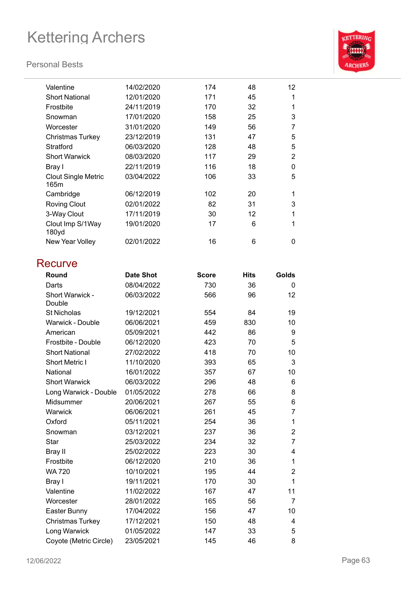### **Personal Bests**



| Valentine                          | 14/02/2020 | 174 | 48 | 12 <sup>2</sup> |
|------------------------------------|------------|-----|----|-----------------|
| <b>Short National</b>              | 12/01/2020 | 171 | 45 | 1               |
| Frostbite                          | 24/11/2019 | 170 | 32 | 1               |
| Snowman                            | 17/01/2020 | 158 | 25 | 3               |
| Worcester                          | 31/01/2020 | 149 | 56 | 7               |
| Christmas Turkey                   | 23/12/2019 | 131 | 47 | 5               |
| Stratford                          | 06/03/2020 | 128 | 48 | 5               |
| <b>Short Warwick</b>               | 08/03/2020 | 117 | 29 | 2               |
| Bray I                             | 22/11/2019 | 116 | 18 | 0               |
| <b>Clout Single Metric</b><br>165m | 03/04/2022 | 106 | 33 | 5               |
| Cambridge                          | 06/12/2019 | 102 | 20 | 1               |
| <b>Roving Clout</b>                | 02/01/2022 | 82  | 31 | 3               |
|                                    |            |     |    | 1               |
| 3-Way Clout                        | 17/11/2019 | 30  | 12 |                 |
| Clout Imp S/1Way<br>180yd          | 19/01/2020 | 17  | 6  | 1               |
| New Year Volley                    | 02/01/2022 | 16  | 6  | 0               |
|                                    |            |     |    |                 |

### **Recurve**

| Round                     | <b>Date Shot</b> | <b>Score</b> | <b>Hits</b> | Golds          |
|---------------------------|------------------|--------------|-------------|----------------|
| Darts                     | 08/04/2022       | 730          | 36          | 0              |
| Short Warwick -<br>Double | 06/03/2022       | 566          | 96          | 12             |
| <b>St Nicholas</b>        | 19/12/2021       | 554          | 84          | 19             |
| Warwick - Double          | 06/06/2021       | 459          | 830         | 10             |
| American                  | 05/09/2021       | 442          | 86          | 9              |
| Frostbite - Double        | 06/12/2020       | 423          | 70          | 5              |
| <b>Short National</b>     | 27/02/2022       | 418          | 70          | 10             |
| <b>Short Metric I</b>     | 11/10/2020       | 393          | 65          | 3              |
| National                  | 16/01/2022       | 357          | 67          | 10             |
| <b>Short Warwick</b>      | 06/03/2022       | 296          | 48          | 6              |
| Long Warwick - Double     | 01/05/2022       | 278          | 66          | 8              |
| Midsummer                 | 20/06/2021       | 267          | 55          | 6              |
| Warwick                   | 06/06/2021       | 261          | 45          | 7              |
| Oxford                    | 05/11/2021       | 254          | 36          | 1              |
| Snowman                   | 03/12/2021       | 237          | 36          | $\overline{2}$ |
| Star                      | 25/03/2022       | 234          | 32          | 7              |
| Bray II                   | 25/02/2022       | 223          | 30          | 4              |
| Frostbite                 | 06/12/2020       | 210          | 36          | 1              |
| <b>WA 720</b>             | 10/10/2021       | 195          | 44          | $\overline{2}$ |
| Bray I                    | 19/11/2021       | 170          | 30          | 1              |
| Valentine                 | 11/02/2022       | 167          | 47          | 11             |
| Worcester                 | 28/01/2022       | 165          | 56          | $\overline{7}$ |
| Easter Bunny              | 17/04/2022       | 156          | 47          | 10             |
| Christmas Turkey          | 17/12/2021       | 150          | 48          | 4              |
| Long Warwick              | 01/05/2022       | 147          | 33          | 5              |
| Coyote (Metric Circle)    | 23/05/2021       | 145          | 46          | 8              |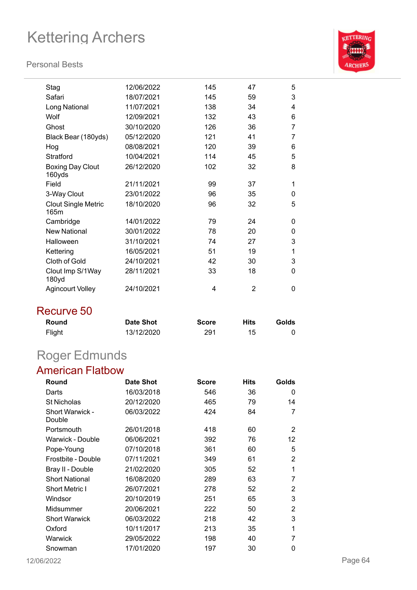#### **Personal Bests**



| Stag                               | 12/06/2022 | 145 | 47 | 5 |
|------------------------------------|------------|-----|----|---|
| Safari                             | 18/07/2021 | 145 | 59 | 3 |
| Long National                      | 11/07/2021 | 138 | 34 | 4 |
| Wolf                               | 12/09/2021 | 132 | 43 | 6 |
| Ghost                              | 30/10/2020 | 126 | 36 | 7 |
| Black Bear (180yds)                | 05/12/2020 | 121 | 41 | 7 |
| Hog                                | 08/08/2021 | 120 | 39 | 6 |
| Stratford                          | 10/04/2021 | 114 | 45 | 5 |
| <b>Boxing Day Clout</b><br>160yds  | 26/12/2020 | 102 | 32 | 8 |
| Field                              | 21/11/2021 | 99  | 37 | 1 |
|                                    |            |     |    |   |
| 3-Way Clout                        | 23/01/2022 | 96  | 35 | 0 |
| <b>Clout Single Metric</b><br>165m | 18/10/2020 | 96  | 32 | 5 |
| Cambridge                          | 14/01/2022 | 79  | 24 | 0 |
| <b>New National</b>                | 30/01/2022 | 78  | 20 | 0 |
| Halloween                          | 31/10/2021 | 74  | 27 | 3 |
| Kettering                          | 16/05/2021 | 51  | 19 | 1 |
| <b>Cloth of Gold</b>               | 24/10/2021 | 42  | 30 | 3 |
| Clout Imp S/1Way<br>180yd          | 28/11/2021 | 33  | 18 | 0 |
| <b>Agincourt Volley</b>            | 24/10/2021 | 4   | 2  | 0 |
|                                    |            |     |    |   |

### Recurve 50

| Round  | <b>Date Shot</b> | <b>Score</b> | Hits | Golds |
|--------|------------------|--------------|------|-------|
| Flight | 13/12/2020       | 291          | 15   |       |

## Roger Edmunds

### American Flatbow

| Round                            | Date Shot  | <b>Score</b> | <b>Hits</b> | Golds |
|----------------------------------|------------|--------------|-------------|-------|
| Darts                            | 16/03/2018 | 546          | 36          | 0     |
| <b>St Nicholas</b>               | 20/12/2020 | 465          | 79          | 14    |
| <b>Short Warwick -</b><br>Double | 06/03/2022 | 424          | 84          | 7     |
| Portsmouth                       | 26/01/2018 | 418          | 60          | 2     |
| Warwick - Double                 | 06/06/2021 | 392          | 76          | 12    |
| Pope-Young                       | 07/10/2018 | 361          | 60          | 5     |
| Frostbite - Double               | 07/11/2021 | 349          | 61          | 2     |
| Bray II - Double                 | 21/02/2020 | 305          | 52          | 1     |
| <b>Short National</b>            | 16/08/2020 | 289          | 63          | 7     |
| <b>Short Metric I</b>            | 26/07/2021 | 278          | 52          | 2     |
| Windsor                          | 20/10/2019 | 251          | 65          | 3     |
| Midsummer                        | 20/06/2021 | 222          | 50          | 2     |
| <b>Short Warwick</b>             | 06/03/2022 | 218          | 42          | 3     |
| Oxford                           | 10/11/2017 | 213          | 35          | 1     |
| Warwick                          | 29/05/2022 | 198          | 40          | 7     |
| Snowman                          | 17/01/2020 | 197          | 30          | 0     |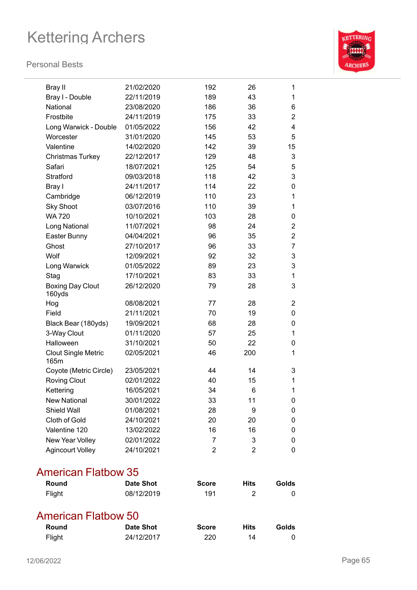#### **Personal Bests**



| <b>Bray II</b>                    | 21/02/2020 | 192 | 26             | 1              |
|-----------------------------------|------------|-----|----------------|----------------|
| Bray I - Double                   | 22/11/2019 | 189 | 43             | 1              |
| National                          | 23/08/2020 | 186 | 36             | 6              |
| Frostbite                         | 24/11/2019 | 175 | 33             | $\overline{2}$ |
| Long Warwick - Double             | 01/05/2022 | 156 | 42             | 4              |
| Worcester                         | 31/01/2020 | 145 | 53             | 5              |
| Valentine                         | 14/02/2020 | 142 | 39             | 15             |
| Christmas Turkey                  | 22/12/2017 | 129 | 48             | 3              |
| Safari                            | 18/07/2021 | 125 | 54             | 5              |
| Stratford                         | 09/03/2018 | 118 | 42             | 3              |
| Bray I                            | 24/11/2017 | 114 | 22             | 0              |
| Cambridge                         | 06/12/2019 | 110 | 23             | 1              |
| <b>Sky Shoot</b>                  | 03/07/2016 | 110 | 39             | 1              |
| <b>WA 720</b>                     | 10/10/2021 | 103 | 28             | 0              |
| Long National                     | 11/07/2021 | 98  | 24             | 2              |
| Easter Bunny                      | 04/04/2021 | 96  | 35             | 2              |
| Ghost                             | 27/10/2017 | 96  | 33             | 7              |
| Wolf                              | 12/09/2021 | 92  | 32             | 3              |
| Long Warwick                      | 01/05/2022 | 89  | 23             | 3              |
| Stag                              | 17/10/2021 | 83  | 33             | 1              |
| <b>Boxing Day Clout</b><br>160yds | 26/12/2020 | 79  | 28             | 3              |
| Hog                               | 08/08/2021 | 77  | 28             | 2              |
| Field                             | 21/11/2021 | 70  | 19             | 0              |
| Black Bear (180yds)               | 19/09/2021 | 68  | 28             | 0              |
| 3-Way Clout                       | 01/11/2020 | 57  | 25             | 1              |
| Halloween                         | 31/10/2021 | 50  | 22             | 0              |
| <b>Clout Single Metric</b>        | 02/05/2021 | 46  | 200            | 1              |
| 165m                              |            |     |                |                |
| Coyote (Metric Circle)            | 23/05/2021 | 44  | 14             | 3              |
| <b>Roving Clout</b>               | 02/01/2022 | 40  | 15             | 1              |
| Kettering                         | 16/05/2021 | 34  | 6              | 1              |
| <b>New National</b>               | 30/01/2022 | 33  | 11             | 0              |
| Shield Wall                       | 01/08/2021 | 28  | 9              | 0              |
| Cloth of Gold                     | 24/10/2021 | 20  | 20             | 0              |
| Valentine 120                     | 13/02/2022 | 16  | 16             | 0              |
| New Year Volley                   | 02/01/2022 | 7   | 3              | 0              |
| <b>Agincourt Volley</b>           | 24/10/2021 | 2   | $\overline{2}$ | 0              |
|                                   |            |     |                |                |

### American Flatbow 35

| <b>Round</b> | Date Shot  | <b>Score</b> | <b>Hits</b> | Golds |
|--------------|------------|--------------|-------------|-------|
| Flight       | 08/12/2019 | 191          |             |       |

## American Flatbow 50

| Round  | Date Shot  | <b>Score</b> | <b>Hits</b> | Golds |
|--------|------------|--------------|-------------|-------|
| Flight | 24/12/2017 | 220          | 14          |       |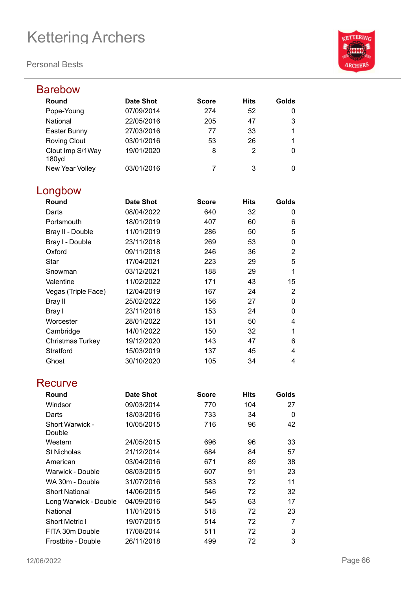

| <b>Barebow</b>            |                  |              |             |                         |
|---------------------------|------------------|--------------|-------------|-------------------------|
| Round                     | <b>Date Shot</b> | <b>Score</b> | <b>Hits</b> | Golds                   |
| Pope-Young                | 07/09/2014       | 274          | 52          | 0                       |
| National                  | 22/05/2016       | 205          | 47          | 3                       |
| Easter Bunny              | 27/03/2016       | 77           | 33          | 1                       |
| <b>Roving Clout</b>       | 03/01/2016       | 53           | 26          | 1                       |
| Clout Imp S/1Way<br>180yd | 19/01/2020       | 8            | 2           | 0                       |
| New Year Volley           | 03/01/2016       | 7            | 3           | 0                       |
| Longbow                   |                  |              |             |                         |
| Round                     | <b>Date Shot</b> | <b>Score</b> | <b>Hits</b> | Golds                   |
| Darts                     | 08/04/2022       | 640          | 32          | 0                       |
| Portsmouth                | 18/01/2019       | 407          | 60          | 6                       |
| Bray II - Double          | 11/01/2019       | 286          | 50          | 5                       |
| Bray I - Double           | 23/11/2018       | 269          | 53          | 0                       |
| Oxford                    | 09/11/2018       | 246          | 36          | $\overline{2}$          |
| <b>Star</b>               | 17/04/2021       | 223          | 29          | 5                       |
| Snowman                   | 03/12/2021       | 188          | 29          | 1                       |
| Valentine                 | 11/02/2022       | 171          | 43          | 15                      |
| Vegas (Triple Face)       | 12/04/2019       | 167          | 24          | $\overline{2}$          |
| Bray II                   | 25/02/2022       | 156          | 27          | $\mathbf 0$             |
| Bray I                    | 23/11/2018       | 153          | 24          | 0                       |
| Worcester                 | 28/01/2022       | 151          | 50          | 4                       |
| Cambridge                 | 14/01/2022       | 150          | 32          | 1                       |
| Christmas Turkey          | 19/12/2020       | 143          | 47          | 6                       |
| Stratford                 | 15/03/2019       | 137          | 45          | 4                       |
| Ghost                     | 30/10/2020       | 105          | 34          | $\overline{\mathbf{4}}$ |
| Recurve                   |                  |              |             |                         |
| Round                     | <b>Date Shot</b> | <b>Score</b> | <b>Hits</b> | Golds                   |
| Windsor                   | 09/03/2014       | 770          | 104         | 27                      |
| Darts                     | 18/03/2016       | 733          | 34          | 0                       |
| Short Warwick -<br>Double | 10/05/2015       | 716          | 96          | 42                      |
| Western                   | 24/05/2015       | 696          | 96          | 33                      |
| <b>St Nicholas</b>        | 21/12/2014       | 684          | 84          | 57                      |
| American                  | 03/04/2016       | 671          | 89          | 38                      |
| Warwick - Double          | 08/03/2015       | 607          | 91          | 23                      |
| WA 30m - Double           | 31/07/2016       | 583          | 72          | 11                      |
| <b>Short National</b>     | 14/06/2015       | 546          | 72          | 32                      |
| Long Warwick - Double     | 04/09/2016       | 545          | 63          | 17                      |
| National                  | 11/01/2015       | 518          | 72          | 23                      |
| <b>Short Metric I</b>     | 19/07/2015       | 514          | 72          | 7                       |
| FITA 30m Double           | 17/08/2014       | 511          | 72          | 3                       |
| Frostbite - Double        | 26/11/2018       | 499          | 72          | 3                       |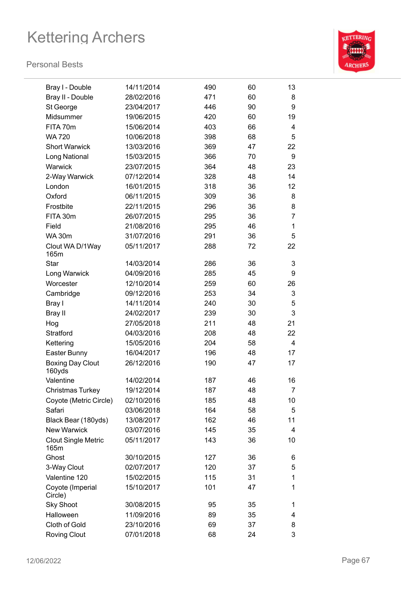

| Bray I - Double                    | 14/11/2014 | 490 | 60 | 13             |
|------------------------------------|------------|-----|----|----------------|
| Bray II - Double                   | 28/02/2016 | 471 | 60 | 8              |
| St George                          | 23/04/2017 | 446 | 90 | 9              |
| Midsummer                          | 19/06/2015 | 420 | 60 | 19             |
| FITA 70m                           | 15/06/2014 | 403 | 66 | 4              |
| <b>WA 720</b>                      | 10/06/2018 | 398 | 68 | 5              |
| <b>Short Warwick</b>               | 13/03/2016 | 369 | 47 | 22             |
| Long National                      | 15/03/2015 | 366 | 70 | 9              |
| Warwick                            | 23/07/2015 | 364 | 48 | 23             |
| 2-Way Warwick                      | 07/12/2014 | 328 | 48 | 14             |
| London                             | 16/01/2015 | 318 | 36 | 12             |
| Oxford                             | 06/11/2015 | 309 | 36 | 8              |
| Frostbite                          | 22/11/2015 | 296 | 36 | 8              |
| FITA 30m                           | 26/07/2015 | 295 | 36 | $\overline{7}$ |
| Field                              | 21/08/2016 | 295 | 46 | 1              |
| <b>WA 30m</b>                      | 31/07/2016 | 291 | 36 | 5              |
| Clout WA D/1Way<br>165m            | 05/11/2017 | 288 | 72 | 22             |
| <b>Star</b>                        | 14/03/2014 | 286 | 36 | 3              |
| Long Warwick                       | 04/09/2016 | 285 | 45 | 9              |
| Worcester                          | 12/10/2014 | 259 | 60 | 26             |
| Cambridge                          | 09/12/2016 | 253 | 34 | 3              |
| Bray I                             | 14/11/2014 | 240 | 30 | 5              |
| Bray II                            | 24/02/2017 | 239 | 30 | 3              |
| Hog                                | 27/05/2018 | 211 | 48 | 21             |
| Stratford                          | 04/03/2016 | 208 | 48 | 22             |
| Kettering                          | 15/05/2016 | 204 | 58 | $\overline{4}$ |
| Easter Bunny                       | 16/04/2017 | 196 | 48 | 17             |
| <b>Boxing Day Clout</b><br>160yds  | 26/12/2016 | 190 | 47 | 17             |
| Valentine                          | 14/02/2014 | 187 | 46 | 16             |
| <b>Christmas Turkey</b>            | 19/12/2014 | 187 | 48 | $\overline{7}$ |
| Coyote (Metric Circle)             | 02/10/2016 | 185 | 48 | 10             |
| Safari                             | 03/06/2018 | 164 | 58 | 5              |
| Black Bear (180yds)                | 13/08/2017 | 162 | 46 | 11             |
| <b>New Warwick</b>                 | 03/07/2016 | 145 | 35 | 4              |
| <b>Clout Single Metric</b><br>165m | 05/11/2017 | 143 | 36 | 10             |
| Ghost                              | 30/10/2015 | 127 | 36 | 6              |
| 3-Way Clout                        | 02/07/2017 | 120 | 37 | 5              |
| Valentine 120                      | 15/02/2015 | 115 | 31 | 1              |
| Coyote (Imperial<br>Circle)        | 15/10/2017 | 101 | 47 | 1              |
| <b>Sky Shoot</b>                   | 30/08/2015 | 95  | 35 | 1              |
| Halloween                          | 11/09/2016 | 89  | 35 | 4              |
| Cloth of Gold                      | 23/10/2016 | 69  | 37 | 8              |
| <b>Roving Clout</b>                | 07/01/2018 | 68  | 24 | 3              |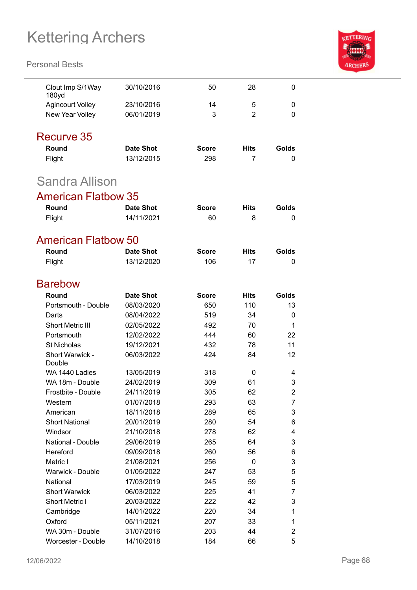

| Clout Imp S/1Way<br>180yd             | 30/10/2016               | 50                  | 28                 | 0           |
|---------------------------------------|--------------------------|---------------------|--------------------|-------------|
| <b>Agincourt Volley</b>               | 23/10/2016               | 14                  | 5                  | 0           |
| New Year Volley                       | 06/01/2019               | 3                   | $\overline{2}$     | 0           |
|                                       |                          |                     |                    |             |
| Recurve 35                            |                          |                     |                    |             |
| Round                                 | <b>Date Shot</b>         | <b>Score</b>        | Hits               | Golds       |
| Flight                                | 13/12/2015               | 298                 | 7                  | 0           |
| Sandra Allison                        |                          |                     |                    |             |
| <b>American Flatbow 35</b>            |                          |                     |                    |             |
| Round                                 | <b>Date Shot</b>         | <b>Score</b>        | <b>Hits</b>        | Golds       |
| Flight                                | 14/11/2021               | 60                  | 8                  | 0           |
|                                       |                          |                     |                    |             |
| <b>American Flatbow 50</b>            |                          |                     |                    |             |
| Round                                 | <b>Date Shot</b>         | <b>Score</b>        | <b>Hits</b>        | Golds       |
| Flight                                | 13/12/2020               | 106                 | 17                 | 0           |
| <b>Barebow</b>                        |                          |                     |                    |             |
|                                       |                          |                     |                    |             |
| Round<br>Portsmouth - Double          | <b>Date Shot</b>         | <b>Score</b><br>650 | <b>Hits</b><br>110 | Golds<br>13 |
|                                       | 08/03/2020               | 519                 | 34                 |             |
| Darts                                 | 08/04/2022<br>02/05/2022 |                     | 70                 | 0<br>1      |
| <b>Short Metric III</b><br>Portsmouth | 12/02/2022               | 492<br>444          | 60                 | 22          |
| <b>St Nicholas</b>                    | 19/12/2021               | 432                 | 78                 | 11          |
| Short Warwick -                       | 06/03/2022               | 424                 | 84                 | 12          |
| Double                                |                          |                     |                    |             |
| WA 1440 Ladies                        | 13/05/2019               | 318                 | 0                  | 4           |
| WA 18m - Double                       | 24/02/2019               | 309                 | 61                 | 3           |
| Frostbite - Double                    | 24/11/2019               | 305                 | 62                 | 2           |
| Western                               | 01/07/2018               | 293                 | 63                 | 7           |
| American                              | 18/11/2018               | 289                 | 65                 | 3           |
| <b>Short National</b>                 | 20/01/2019               | 280                 | 54                 | 6           |
| Windsor                               | 21/10/2018               | 278                 | 62                 | 4           |
| National - Double                     | 29/06/2019               | 265                 | 64                 | 3           |
| Hereford                              | 09/09/2018               | 260                 | 56                 | 6           |
| Metric I                              | 21/08/2021               | 256                 | 0                  | 3           |
| <b>Warwick - Double</b>               | 01/05/2022               | 247                 | 53                 | 5           |
| National                              | 17/03/2019               | 245                 | 59                 | 5           |
| <b>Short Warwick</b>                  | 06/03/2022               | 225                 | 41                 | 7           |
| <b>Short Metric I</b>                 | 20/03/2022               | 222                 | 42                 | 3           |
| Cambridge                             | 14/01/2022               | 220                 | 34                 | 1           |
| Oxford                                | 05/11/2021               | 207                 | 33                 | 1           |
| WA 30m - Double                       | 31/07/2016               | 203                 | 44                 | 2           |
| <b>Worcester - Double</b>             | 14/10/2018               | 184                 | 66                 | 5           |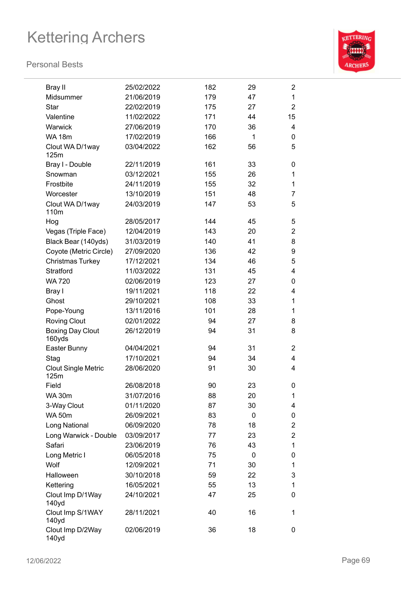

| <b>Bray II</b>                     | 25/02/2022 | 182 | 29 | $\overline{2}$ |
|------------------------------------|------------|-----|----|----------------|
| Midsummer                          | 21/06/2019 | 179 | 47 | $\mathbf{1}$   |
| Star                               | 22/02/2019 | 175 | 27 | $\overline{2}$ |
| Valentine                          | 11/02/2022 | 171 | 44 | 15             |
| Warwick                            | 27/06/2019 | 170 | 36 | 4              |
| <b>WA 18m</b>                      | 17/02/2019 | 166 | 1  | 0              |
| Clout WA D/1way                    | 03/04/2022 | 162 | 56 | 5              |
| 125m                               |            |     |    |                |
| Bray I - Double                    | 22/11/2019 | 161 | 33 | 0              |
| Snowman                            | 03/12/2021 | 155 | 26 | 1              |
| Frostbite                          | 24/11/2019 | 155 | 32 | 1              |
| Worcester                          | 13/10/2019 | 151 | 48 | 7              |
| Clout WA D/1way<br>110m            | 24/03/2019 | 147 | 53 | 5              |
| Hog                                | 28/05/2017 | 144 | 45 | 5              |
| Vegas (Triple Face)                | 12/04/2019 | 143 | 20 | $\overline{2}$ |
| Black Bear (140yds)                | 31/03/2019 | 140 | 41 | 8              |
| Coyote (Metric Circle)             | 27/09/2020 | 136 | 42 | 9              |
| Christmas Turkey                   | 17/12/2021 | 134 | 46 | 5              |
| Stratford                          | 11/03/2022 | 131 | 45 | 4              |
| <b>WA 720</b>                      | 02/06/2019 | 123 | 27 | 0              |
| Bray I                             | 19/11/2021 | 118 | 22 | 4              |
| Ghost                              | 29/10/2021 | 108 | 33 | 1              |
| Pope-Young                         | 13/11/2016 | 101 | 28 | 1              |
| <b>Roving Clout</b>                | 02/01/2022 | 94  | 27 | 8              |
| <b>Boxing Day Clout</b><br>160yds  | 26/12/2019 | 94  | 31 | 8              |
| Easter Bunny                       | 04/04/2021 | 94  | 31 | $\overline{2}$ |
| Stag                               | 17/10/2021 | 94  | 34 | $\overline{4}$ |
| <b>Clout Single Metric</b><br>125m | 28/06/2020 | 91  | 30 | 4              |
| Field                              | 26/08/2018 | 90  | 23 | 0              |
| <b>WA 30m</b>                      | 31/07/2016 | 88  | 20 | 1              |
| 3-Way Clout                        | 01/11/2020 | 87  | 30 | 4              |
| <b>WA 50m</b>                      | 26/09/2021 | 83  | 0  | 0              |
| Long National                      | 06/09/2020 | 78  | 18 | $\overline{c}$ |
| Long Warwick - Double              | 03/09/2017 | 77  | 23 | $\overline{c}$ |
| Safari                             | 23/06/2019 | 76  | 43 | $\mathbf{1}$   |
| Long Metric I                      | 06/05/2018 | 75  | 0  | 0              |
| Wolf                               | 12/09/2021 | 71  | 30 | 1              |
| Halloween                          | 30/10/2018 | 59  | 22 | 3              |
| Kettering                          | 16/05/2021 | 55  | 13 | 1              |
| Clout Imp D/1Way<br>140yd          | 24/10/2021 | 47  | 25 | 0              |
| Clout Imp S/1WAY<br>140yd          | 28/11/2021 | 40  | 16 | 1              |
| Clout Imp D/2Way<br>140yd          | 02/06/2019 | 36  | 18 | 0              |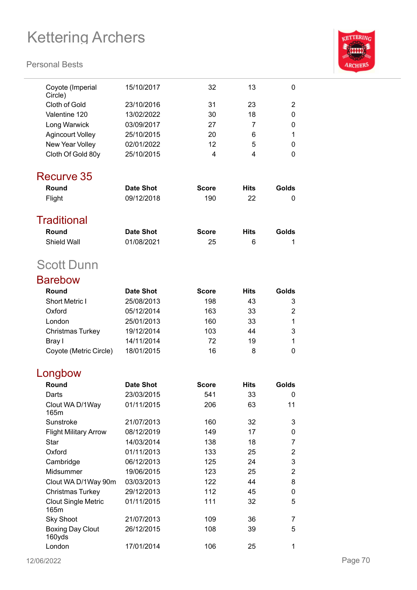

| Coyote (Imperial<br>Circle)        | 15/10/2017       | 32           | 13          | 0                         |
|------------------------------------|------------------|--------------|-------------|---------------------------|
| <b>Cloth of Gold</b>               | 23/10/2016       | 31           | 23          | 2                         |
| Valentine 120                      | 13/02/2022       | 30           | 18          | 0                         |
| Long Warwick                       | 03/09/2017       | 27           | 7           | 0                         |
| <b>Agincourt Volley</b>            | 25/10/2015       | 20           | 6           | 1                         |
| New Year Volley                    | 02/01/2022       | 12           | 5           | 0                         |
| Cloth Of Gold 80y                  | 25/10/2015       | 4            | 4           | 0                         |
|                                    |                  |              |             |                           |
| Recurve 35                         |                  |              |             |                           |
| Round                              | <b>Date Shot</b> | <b>Score</b> | <b>Hits</b> | Golds                     |
| Flight                             | 09/12/2018       | 190          | 22          | 0                         |
|                                    |                  |              |             |                           |
| <b>Traditional</b>                 |                  |              |             |                           |
| Round                              | <b>Date Shot</b> | <b>Score</b> | <b>Hits</b> | Golds                     |
| <b>Shield Wall</b>                 | 01/08/2021       | 25           | 6           | 1                         |
| <b>Scott Dunn</b>                  |                  |              |             |                           |
| <b>Barebow</b>                     |                  |              |             |                           |
| Round                              | <b>Date Shot</b> | <b>Score</b> | <b>Hits</b> | Golds                     |
| <b>Short Metric I</b>              | 25/08/2013       | 198          | 43          | 3                         |
| Oxford                             | 05/12/2014       | 163          | 33          | 2                         |
| London                             | 25/01/2013       | 160          | 33          | 1                         |
| <b>Christmas Turkey</b>            | 19/12/2014       | 103          | 44          | 3                         |
| Bray I                             | 14/11/2014       | 72           | 19          | 1                         |
| Coyote (Metric Circle)             | 18/01/2015       | 16           | 8           | 0                         |
|                                    |                  |              |             |                           |
| Longbow                            |                  |              |             |                           |
| Round                              | <b>Date Shot</b> | <b>Score</b> | <b>Hits</b> | Golds                     |
| Darts                              | 23/03/2015       | 541          | 33          | 0                         |
| Clout WA D/1Way<br>165m            | 01/11/2015       | 206          | 63          | 11                        |
| Sunstroke                          | 21/07/2013       | 160          | 32          | 3                         |
| <b>Flight Military Arrow</b>       | 08/12/2019       | 149          | 17          | 0                         |
| <b>Star</b>                        | 14/03/2014       | 138          | 18          | $\overline{7}$            |
| Oxford                             | 01/11/2013       | 133          | 25          | 2                         |
| Cambridge                          | 06/12/2013       | 125          | 24          | $\ensuremath{\mathsf{3}}$ |
| Midsummer                          | 19/06/2015       | 123          | 25          | $\overline{2}$            |
| Clout WA D/1Way 90m                | 03/03/2013       | 122          | 44          | 8                         |
| Christmas Turkey                   | 29/12/2013       | 112          | 45          | 0                         |
| <b>Clout Single Metric</b><br>165m | 01/11/2015       | 111          | 32          | 5                         |
| <b>Sky Shoot</b>                   | 21/07/2013       | 109          | 36          | 7                         |
| <b>Boxing Day Clout</b><br>160yds  | 26/12/2015       | 108          | 39          | 5                         |
| London                             | 17/01/2014       | 106          | 25          | 1                         |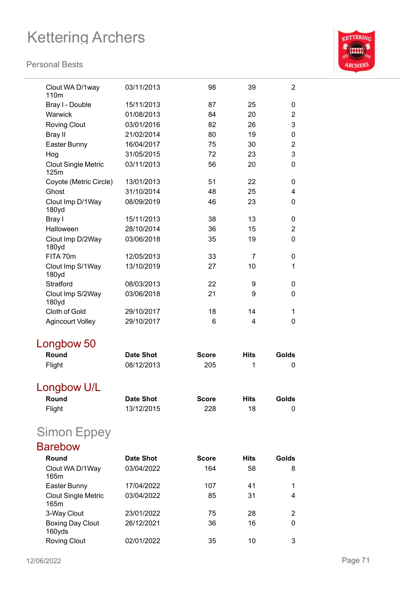

| Clout WA D/1way<br>110 <sub>m</sub> | 03/11/2013       | 98           | 39          | $\overline{2}$ |
|-------------------------------------|------------------|--------------|-------------|----------------|
| Bray I - Double                     | 15/11/2013       | 87           | 25          | 0              |
| Warwick                             | 01/08/2013       | 84           | 20          | $\overline{2}$ |
| <b>Roving Clout</b>                 | 03/01/2016       | 82           | 26          | 3              |
| <b>Bray II</b>                      | 21/02/2014       | 80           | 19          | 0              |
| Easter Bunny                        | 16/04/2017       | 75           | 30          | $\overline{2}$ |
| Hog                                 | 31/05/2015       | 72           | 23          | 3              |
| <b>Clout Single Metric</b><br>125m  | 03/11/2013       | 56           | 20          | 0              |
| Coyote (Metric Circle)              | 13/01/2013       | 51           | 22          | 0              |
| Ghost                               | 31/10/2014       | 48           | 25          | 4              |
| Clout Imp D/1Way<br>180yd           | 08/09/2019       | 46           | 23          | 0              |
| Bray I                              | 15/11/2013       | 38           | 13          | 0              |
| Halloween                           | 28/10/2014       | 36           | 15          | $\overline{2}$ |
| Clout Imp D/2Way<br>180yd           | 03/06/2018       | 35           | 19          | 0              |
| FITA 70m                            | 12/05/2013       | 33           | 7           | 0              |
| Clout Imp S/1Way<br>180yd           | 13/10/2019       | 27           | 10          | 1              |
| Stratford                           | 08/03/2013       | 22           | 9           | 0              |
| Clout Imp S/2Way<br>180yd           | 03/06/2018       | 21           | 9           | 0              |
| <b>Cloth of Gold</b>                | 29/10/2017       | 18           | 14          | 1              |
| <b>Agincourt Volley</b>             | 29/10/2017       | 6            | 4           | 0              |
| Longbow 50                          |                  |              |             |                |
| Round                               | <b>Date Shot</b> | <b>Score</b> | <b>Hits</b> | Golds          |
| Flight                              | 08/12/2013       | 205          | 1           | 0              |
| Longbow U/L                         |                  |              |             |                |
| Round                               | <b>Date Shot</b> | <b>Score</b> | <b>Hits</b> | Golds          |
| Flight                              | 13/12/2015       | 228          | 18          | 0              |
| <b>Simon Eppey</b>                  |                  |              |             |                |
| <b>Barebow</b>                      |                  |              |             |                |
| Round                               | <b>Date Shot</b> | <b>Score</b> | <b>Hits</b> | Golds          |
| Clout WA D/1Way<br>165m             | 03/04/2022       | 164          | 58          | 8              |
| Easter Bunny                        | 17/04/2022       | 107          | 41          | 1              |
| <b>Clout Single Metric</b><br>165m  | 03/04/2022       | 85           | 31          | 4              |
| 3-Way Clout                         | 23/01/2022       | 75           | 28          | 2              |
| <b>Boxing Day Clout</b><br>160yds   | 26/12/2021       | 36           | 16          | 0              |
| <b>Roving Clout</b>                 | 02/01/2022       | 35           | 10          | 3              |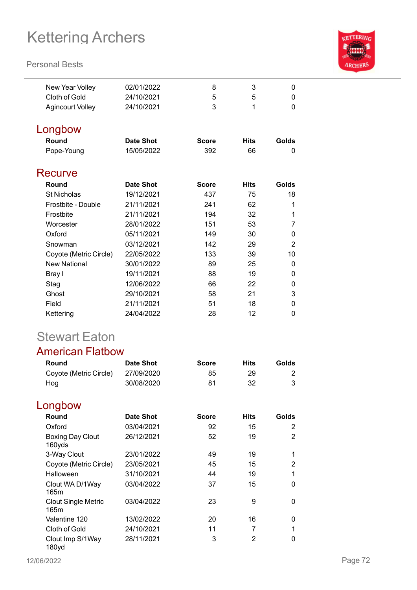#### **Personal Bests**



| New Year Volley         | 02/01/2022       | 8            | 3           | 0        |
|-------------------------|------------------|--------------|-------------|----------|
| Cloth of Gold           | 24/10/2021       | 5            | 5           | 0        |
| <b>Agincourt Volley</b> | 24/10/2021       | 3            | 1           | 0        |
| Longbow                 |                  |              |             |          |
| Round                   | <b>Date Shot</b> | <b>Score</b> | <b>Hits</b> | Golds    |
| Pope-Young              | 15/05/2022       | 392          | 66          | 0        |
| Recurve                 |                  |              |             |          |
| Round                   | Date Shot        | <b>Score</b> | <b>Hits</b> | Golds    |
| <b>St Nicholas</b>      | 19/12/2021       | 437          | 75          | 18       |
| Frostbite - Double      | 21/11/2021       | 241          | 62          | 1        |
| Frostbite               | 21/11/2021       | 194          | 32          | 1        |
| Worcester               | 28/01/2022       | 151          | 53          | 7        |
| Oxford                  | 05/11/2021       | 149          | 30          | 0        |
| Snowman                 | 03/12/2021       | 142          | 29          | 2        |
| Coyote (Metric Circle)  | 22/05/2022       | 133          | 39          | 10       |
| <b>New National</b>     | 30/01/2022       | 89           | 25          | 0        |
| Bray I                  | 19/11/2021       | 88           | 19          | 0        |
| Stag                    | 12/06/2022       | 66           | 22          | $\Omega$ |
| Ghost                   | 29/10/2021       | 58           | 21          | 3        |
| Field                   | 21/11/2021       | 51           | 18          | $\Omega$ |
| Kettering               | 24/04/2022       | 28           | 12          | 0        |

## Stewart Eaton

### American Flatbow

| Round                  | Date Shot  | <b>Score</b> | Hits | Golds |
|------------------------|------------|--------------|------|-------|
| Coyote (Metric Circle) | 27/09/2020 | 85           | 29   |       |
| Hog                    | 30/08/2020 | 81           | 32   |       |

## Longbow

| Round                              | <b>Date Shot</b> | <b>Score</b> | <b>Hits</b> | Golds |
|------------------------------------|------------------|--------------|-------------|-------|
| Oxford                             | 03/04/2021       | 92           | 15          | 2     |
| <b>Boxing Day Clout</b><br>160yds  | 26/12/2021       | 52           | 19          | 2     |
| 3-Way Clout                        | 23/01/2022       | 49           | 19          | 1     |
| Coyote (Metric Circle)             | 23/05/2021       | 45           | 15          | 2     |
| Halloween                          | 31/10/2021       | 44           | 19          | 1     |
| Clout WA D/1Way<br>165m            | 03/04/2022       | 37           | 15          | 0     |
| <b>Clout Single Metric</b><br>165m | 03/04/2022       | 23           | 9           | 0     |
| Valentine 120                      | 13/02/2022       | 20           | 16          | 0     |
| Cloth of Gold                      | 24/10/2021       | 11           | 7           | 1     |
| Clout Imp S/1Way<br>180yd          | 28/11/2021       | 3            | 2           | 0     |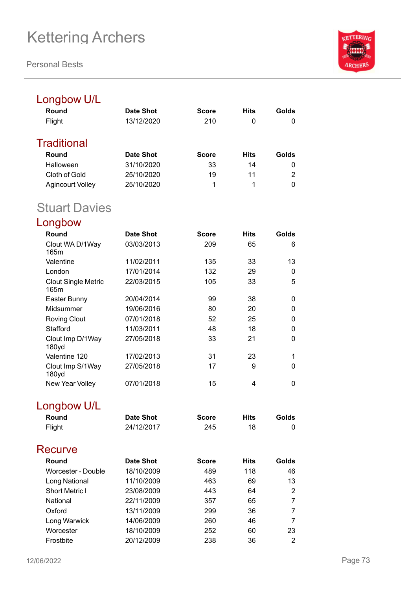**Personal Bests**



## Longbow U/L

| Round            | Date Shot  | <b>Score</b> | <b>Hits</b> | Golds |
|------------------|------------|--------------|-------------|-------|
| Flight           | 13/12/2020 | 210          | 0           | 0     |
| Traditional      |            |              |             |       |
| Round            | Date Shot  | <b>Score</b> | <b>Hits</b> | Golds |
| Halloween        | 31/10/2020 | 33           | 14          | 0     |
| Cloth of Gold    | 25/10/2020 | 19           | 11          | 2     |
| Agincourt Volley | 25/10/2020 | 1            | 1           | 0     |
|                  |            |              |             |       |

## Stuart Davies

Longbow

| Round                              | Date Shot  | Score | <b>Hits</b> | Golds |
|------------------------------------|------------|-------|-------------|-------|
| Clout WA D/1Way<br>165m            | 03/03/2013 | 209   | 65          | 6     |
| Valentine                          | 11/02/2011 | 135   | 33          | 13    |
| London                             | 17/01/2014 | 132   | 29          | 0     |
| <b>Clout Single Metric</b><br>165m | 22/03/2015 | 105   | 33          | 5     |
| Easter Bunny                       | 20/04/2014 | 99    | 38          | 0     |
| Midsummer                          | 19/06/2016 | 80    | 20          | 0     |
| <b>Roving Clout</b>                | 07/01/2018 | 52    | 25          | 0     |
| Stafford                           | 11/03/2011 | 48    | 18          | 0     |
| Clout Imp D/1Way<br>180yd          | 27/05/2018 | 33    | 21          | 0     |
| Valentine 120                      | 17/02/2013 | 31    | 23          |       |
| Clout Imp S/1Way<br>180yd          | 27/05/2018 | 17    | 9           | 0     |
| New Year Volley                    | 07/01/2018 | 15    | 4           | 0     |

## Longbow U/L

| Round                 | Date Shot        | <b>Score</b> | <b>Hits</b> | Golds          |
|-----------------------|------------------|--------------|-------------|----------------|
| Flight                | 24/12/2017       | 245          | 18          | 0              |
| Recurve               |                  |              |             |                |
| Round                 | <b>Date Shot</b> | <b>Score</b> | <b>Hits</b> | Golds          |
| Worcester - Double    | 18/10/2009       | 489          | 118         | 46             |
| Long National         | 11/10/2009       | 463          | 69          | 13             |
| <b>Short Metric I</b> | 23/08/2009       | 443          | 64          | 2              |
| National              | 22/11/2009       | 357          | 65          | 7              |
| Oxford                | 13/11/2009       | 299          | 36          | 7              |
| Long Warwick          | 14/06/2009       | 260          | 46          | 7              |
| Worcester             | 18/10/2009       | 252          | 60          | 23             |
| Frostbite             | 20/12/2009       | 238          | 36          | $\overline{2}$ |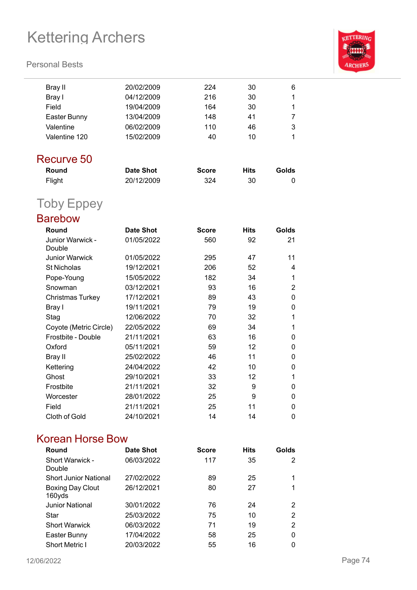#### **Personal Bests**



| Bray II                    | 20/02/2009       | 224          | 30          | 6     |
|----------------------------|------------------|--------------|-------------|-------|
| Bray I                     | 04/12/2009       | 216          | 30          | 1     |
| Field                      | 19/04/2009       | 164          | 30          | 1     |
| Easter Bunny               | 13/04/2009       | 148          | 41          | 7     |
| Valentine                  | 06/02/2009       | 110          | 46          | 3     |
| Valentine 120              | 15/02/2009       | 40           | 10          | 1     |
| Recurve 50                 |                  |              |             |       |
| Round                      | <b>Date Shot</b> | <b>Score</b> | <b>Hits</b> | Golds |
| Flight                     | 20/12/2009       | 324          | 30          | 0     |
| <b>Toby Eppey</b>          |                  |              |             |       |
| <b>Barebow</b>             |                  |              |             |       |
| Round                      | <b>Date Shot</b> | <b>Score</b> | <b>Hits</b> | Golds |
| Junior Warwick -<br>Double | 01/05/2022       | 560          | 92          | 21    |
| <b>Junior Warwick</b>      | 01/05/2022       | 295          | 47          | 11    |
| <b>St Nicholas</b>         | 19/12/2021       | 206          | 52          | 4     |
| Pope-Young                 | 15/05/2022       | 182          | 34          | 1     |
| Snowman                    | 03/12/2021       | 93           | 16          | 2     |
| <b>Christmas Turkey</b>    | 17/12/2021       | 89           | 43          | 0     |
| Bray I                     | 19/11/2021       | 79           | 19          | 0     |
| Stag                       |                  |              |             |       |
|                            | 12/06/2022       | 70           | 32          | 1     |

Frostbite - Double 21/11/2021 63 16 0 Oxford 05/11/2021 59 12 0 Bray II 25/02/2022 46 11 0 Kettering 24/04/2022 42 10 0 Ghost 29/10/2021 33 12 1 Frostbite 21/11/2021 32 9 0 Worcester 28/01/2022 25 9 0 Field 21/11/2021 25 11 0 Cloth of Gold 24/10/2021 14 14 0

### Korean Horse Bow

| Round                        | Date Shot  | <b>Score</b> | <b>Hits</b> | Golds |
|------------------------------|------------|--------------|-------------|-------|
| Short Warwick -<br>Double    | 06/03/2022 | 117          | 35          | 2     |
| <b>Short Junior National</b> | 27/02/2022 | 89           | 25          | 1     |
| Boxing Day Clout<br>160yds   | 26/12/2021 | 80           | 27          | 1     |
| <b>Junior National</b>       | 30/01/2022 | 76           | 24          | 2     |
| Star                         | 25/03/2022 | 75           | 10          | 2     |
| <b>Short Warwick</b>         | 06/03/2022 | 71           | 19          | 2     |
| Easter Bunny                 | 17/04/2022 | 58           | 25          | 0     |
| <b>Short Metric I</b>        | 20/03/2022 | 55           | 16          | 0     |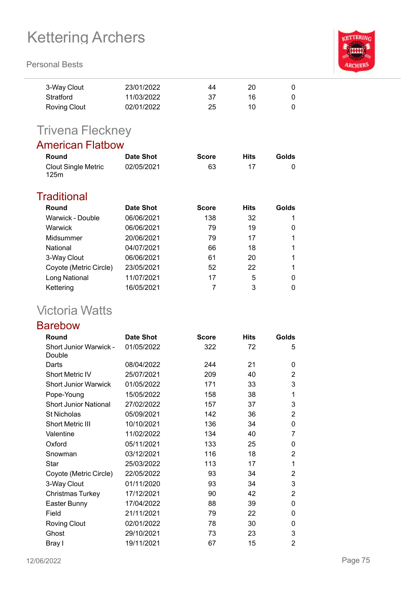#### **Personal Bests**

| <b>KETTERING</b> |
|------------------|
|                  |
|                  |
|                  |
|                  |
| <b>ARCHERS</b>   |
|                  |

| 3-Way Clout  | 23/01/2022 | 44 | 20 |   |
|--------------|------------|----|----|---|
| Stratford    | 11/03/2022 | 37 | 16 | 0 |
| Roving Clout | 02/01/2022 | 25 | 10 | 0 |

## Trivena Fleckney

### American Flatbow

| Round                              | Date Shot  | <b>Score</b> | <b>Hits</b> | Golds |
|------------------------------------|------------|--------------|-------------|-------|
| <b>Clout Single Metric</b><br>125m | 02/05/2021 | 63           |             |       |

#### **Traditional**

| Round                  | Date Shot  | <b>Score</b> | <b>Hits</b> | Golds |
|------------------------|------------|--------------|-------------|-------|
| Warwick - Double       | 06/06/2021 | 138          | 32          |       |
| Warwick                | 06/06/2021 | 79           | 19          | 0     |
| Midsummer              | 20/06/2021 | 79           | 17          |       |
| National               | 04/07/2021 | 66           | 18          |       |
| 3-Way Clout            | 06/06/2021 | 61           | 20          |       |
| Coyote (Metric Circle) | 23/05/2021 | 52           | 22          |       |
| Long National          | 11/07/2021 | 17           | 5           | 0     |
| Kettering              | 16/05/2021 |              | 3           | 0     |

## Victoria Watts

#### Barebow

| Round                                   | <b>Date Shot</b> | <b>Score</b> | <b>Hits</b> | Golds          |
|-----------------------------------------|------------------|--------------|-------------|----------------|
| <b>Short Junior Warwick -</b><br>Double | 01/05/2022       | 322          | 72          | 5              |
| Darts                                   | 08/04/2022       | 244          | 21          | 0              |
| <b>Short Metric IV</b>                  | 25/07/2021       | 209          | 40          | 2              |
| <b>Short Junior Warwick</b>             | 01/05/2022       | 171          | 33          | 3              |
| Pope-Young                              | 15/05/2022       | 158          | 38          | 1              |
| <b>Short Junior National</b>            | 27/02/2022       | 157          | 37          | 3              |
| <b>St Nicholas</b>                      | 05/09/2021       | 142          | 36          | $\overline{2}$ |
| Short Metric III                        | 10/10/2021       | 136          | 34          | 0              |
| Valentine                               | 11/02/2022       | 134          | 40          | 7              |
| Oxford                                  | 05/11/2021       | 133          | 25          | 0              |
| Snowman                                 | 03/12/2021       | 116          | 18          | 2              |
| Star                                    | 25/03/2022       | 113          | 17          | 1              |
| Coyote (Metric Circle)                  | 22/05/2022       | 93           | 34          | 2              |
| 3-Way Clout                             | 01/11/2020       | 93           | 34          | 3              |
| Christmas Turkey                        | 17/12/2021       | 90           | 42          | 2              |
| Easter Bunny                            | 17/04/2022       | 88           | 39          | 0              |
| Field                                   | 21/11/2021       | 79           | 22          | 0              |
| <b>Roving Clout</b>                     | 02/01/2022       | 78           | 30          | 0              |
| Ghost                                   | 29/10/2021       | 73           | 23          | 3              |
| Bray I                                  | 19/11/2021       | 67           | 15          | 2              |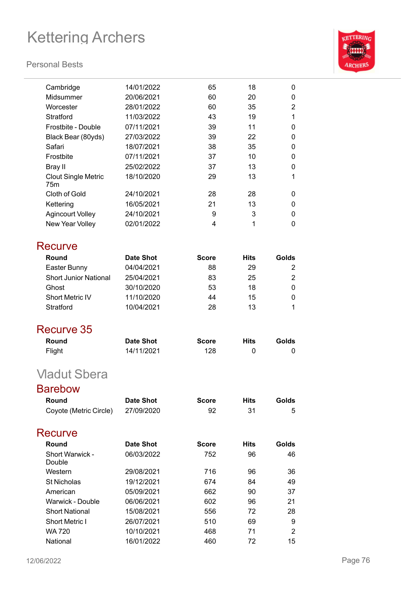#### **Personal Bests**



| Cambridge                         | 14/01/2022       | 65           | 18          | 0              |
|-----------------------------------|------------------|--------------|-------------|----------------|
| Midsummer                         | 20/06/2021       | 60           | 20          | 0              |
| Worcester                         | 28/01/2022       | 60           | 35          | 2              |
| Stratford                         | 11/03/2022       | 43           | 19          | 1              |
| Frostbite - Double                | 07/11/2021       | 39           | 11          | 0              |
| Black Bear (80yds)                | 27/03/2022       | 39           | 22          | 0              |
| Safari                            | 18/07/2021       | 38           | 35          | 0              |
| Frostbite                         | 07/11/2021       | 37           | 10          | 0              |
| <b>Bray II</b>                    | 25/02/2022       | 37           | 13          | 0              |
| <b>Clout Single Metric</b><br>75m | 18/10/2020       | 29           | 13          | 1              |
| Cloth of Gold                     | 24/10/2021       | 28           | 28          | 0              |
| Kettering                         | 16/05/2021       | 21           | 13          | 0              |
| <b>Agincourt Volley</b>           | 24/10/2021       | 9            | 3           | 0              |
| New Year Volley                   | 02/01/2022       | 4            | 1           | 0              |
| Recurve                           |                  |              |             |                |
| Round                             | <b>Date Shot</b> | <b>Score</b> | <b>Hits</b> | Golds          |
| Easter Bunny                      | 04/04/2021       | 88           | 29          | 2              |
| <b>Short Junior National</b>      | 25/04/2021       | 83           | 25          | $\overline{2}$ |
| Ghost                             | 30/10/2020       | 53           | 18          | 0              |
| <b>Short Metric IV</b>            | 11/10/2020       | 44           | 15          | 0              |
| Stratford                         | 10/04/2021       | 28           | 13          | 1              |
| Recurve 35                        |                  |              |             |                |
| Round                             | <b>Date Shot</b> | <b>Score</b> | <b>Hits</b> | Golds          |
| Flight                            | 14/11/2021       | 128          | 0           | 0              |
| <b>Vladut Sbera</b>               |                  |              |             |                |
| <b>Barebow</b>                    |                  |              |             |                |
|                                   |                  |              |             |                |
| Round                             | <b>Date Shot</b> | <b>Score</b> | <b>Hits</b> | Golds          |
| Coyote (Metric Circle)            | 27/09/2020       | 92           | 31          | 5              |
| Recurve                           |                  |              |             |                |
| Round                             | <b>Date Shot</b> | <b>Score</b> | <b>Hits</b> | Golds          |
| <b>Short Warwick -</b><br>Double  | 06/03/2022       | 752          | 96          | 46             |
| Western                           | 29/08/2021       | 716          | 96          | 36             |
| <b>St Nicholas</b>                | 19/12/2021       | 674          | 84          | 49             |
| American                          | 05/09/2021       | 662          | 90          | 37             |
| <b>Warwick - Double</b>           | 06/06/2021       | 602          | 96          | 21             |
| <b>Short National</b>             | 15/08/2021       | 556          | 72          | 28             |
| Short Metric I                    | 26/07/2021       | 510          | 69          | 9              |
| <b>WA 720</b>                     | 10/10/2021       | 468          | 71          | 2              |
| National                          | 16/01/2022       | 460          | 72          | 15             |